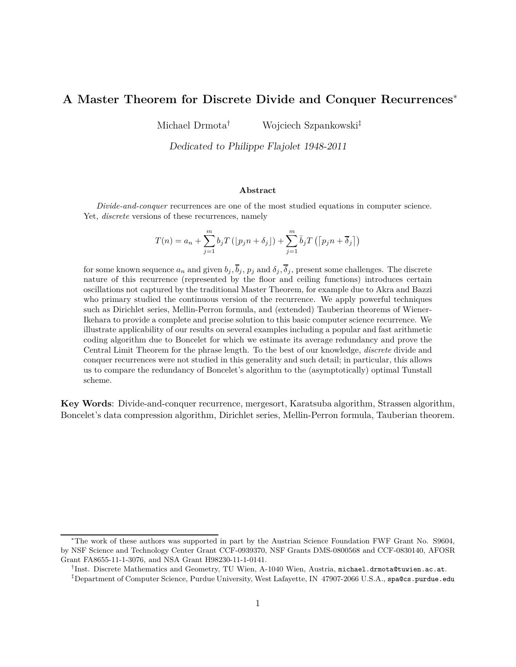# **A Master Theorem for Discrete Divide and Conquer Recurrences** ∗

Michael Drmota† Wojciech Szpankowski‡

Dedicated to Philippe Flajolet 1948-2011

#### **Abstract**

*Divide-and-conquer* recurrences are one of the most studied equations in computer science. Yet, *discrete* versions of these recurrences, namely

$$
T(n) = a_n + \sum_{j=1}^m b_j T\left( \lfloor p_j n + \delta_j \rfloor \right) + \sum_{j=1}^m \bar{b}_j T\left( \lceil p_j n + \overline{\delta}_j \rceil \right)
$$

for some known sequence  $a_n$  and given  $b_j$ ,  $\overline{b}_j$ ,  $p_j$  and  $\delta_j$ ,  $\overline{\delta}_j$ , present some challenges. The discrete nature of this recurrence (represented by the floor and ceiling functions) introduces certain oscillations not captured by the traditional Master Theorem, for example due to Akra and Bazzi who primary studied the continuous version of the recurrence. We apply powerful techniques such as Dirichlet series, Mellin-Perron formula, and (extended) Tauberian theorems of Wiener-Ikehara to provide a complete and precise solution to this basic computer science recurrence. We illustrate applicability of our results on several examples including a popular and fast arithmetic coding algorithm due to Boncelet for which we estimate its average redundancy and prove the Central Limit Theorem for the phrase length. To the best of our knowledge, *discrete* divide and conquer recurrences were not studied in this generality and such detail; in particular, this allows us to compare the redundancy of Boncelet's algorithm to the (asymptotically) optimal Tunstall scheme.

**Key Words**: Divide-and-conquer recurrence, mergesort, Karatsuba algorithm, Strassen algorithm, Boncelet's data compression algorithm, Dirichlet series, Mellin-Perron formula, Tauberian theorem.

<sup>∗</sup>The work of these authors was supported in part by the Austrian Science Foundation FWF Grant No. S9604, by NSF Science and Technology Center Grant CCF-0939370, NSF Grants DMS-0800568 and CCF-0830140, AFOSR Grant FA8655-11-1-3076, and NSA Grant H98230-11-1-0141.

<sup>†</sup> Inst. Discrete Mathematics and Geometry, TU Wien, A-1040 Wien, Austria, michael.drmota@tuwien.ac.at.

<sup>‡</sup>Department of Computer Science, Purdue University, West Lafayette, IN 47907-2066 U.S.A., spa@cs.purdue.edu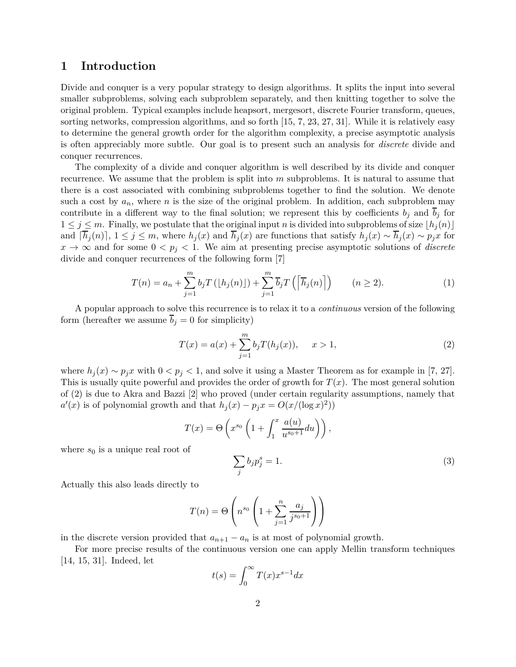## **1 Introduction**

Divide and conquer is a very popular strategy to design algorithms. It splits the input into several smaller subproblems, solving each subproblem separately, and then knitting together to solve the original problem. Typical examples include heapsort, mergesort, discrete Fourier transform, queues, sorting networks, compression algorithms, and so forth [15, 7, 23, 27, 31]. While it is relatively easy to determine the general growth order for the algorithm complexity, a precise asymptotic analysis is often appreciably more subtle. Our goal is to present such an analysis for *discrete* divide and conquer recurrences.

The complexity of a divide and conquer algorithm is well described by its divide and conquer recurrence. We assume that the problem is split into *m* subproblems. It is natural to assume that there is a cost associated with combining subproblems together to find the solution. We denote such a cost by  $a_n$ , where *n* is the size of the original problem. In addition, each subproblem may contribute in a different way to the final solution; we represent this by coefficients  $b_j$  and  $\overline{b}_j$  for  $1 \leq j \leq m$ . Finally, we postulate that the original input *n* is divided into subproblems of size  $\lfloor h_j(n) \rfloor$ and  $[\overline{h}_j(n)]$ ,  $1 \leq j \leq m$ , where  $h_j(x)$  and  $\overline{h}_j(x)$  are functions that satisfy  $h_j(x) \sim \overline{h}_j(x) \sim \overline{p}_j(x)$  for  $x \to \infty$  and for some  $0 < p_j < 1$ . We aim at presenting precise asymptotic solutions of *discrete* divide and conquer recurrences of the following form [7]

$$
T(n) = a_n + \sum_{j=1}^{m} b_j T\left(\lfloor h_j(n) \rfloor\right) + \sum_{j=1}^{m} \overline{b}_j T\left(\left\lceil \overline{h}_j(n) \right\rceil\right) \qquad (n \ge 2).
$$
 (1)

A popular approach to solve this recurrence is to relax it to a *continuous* version of the following form (hereafter we assume  $\overline{b}_j = 0$  for simplicity)

$$
T(x) = a(x) + \sum_{j=1}^{m} b_j T(h_j(x)), \quad x > 1,
$$
\n(2)

where  $h_j(x) \sim p_j x$  with  $0 \lt p_j \lt 1$ , and solve it using a Master Theorem as for example in [7, 27]. This is usually quite powerful and provides the order of growth for *T*(*x*). The most general solution of (2) is due to Akra and Bazzi [2] who proved (under certain regularity assumptions, namely that  $a'(x)$  is of polynomial growth and that  $h_j(x) - p_j x = O(x/(\log x)^2)$ 

$$
T(x) = \Theta\left(x^{s_0} \left(1 + \int_1^x \frac{a(u)}{u^{s_0+1}} du\right)\right),
$$
  
where  $s_0$  is a unique real root of  

$$
\sum_j b_j p_j^s = 1.
$$
 (3)

Actually this also leads directly to

$$
T(n) = \Theta\left(n^{s_0} \left(1 + \sum_{j=1}^n \frac{a_j}{j^{s_0+1}}\right)\right)
$$

in the discrete version provided that  $a_{n+1} - a_n$  is at most of polynomial growth.

For more precise results of the continuous version one can apply Mellin transform techniques [14, 15, 31]. Indeed, let

$$
t(s) = \int_0^\infty T(x) x^{s-1} dx
$$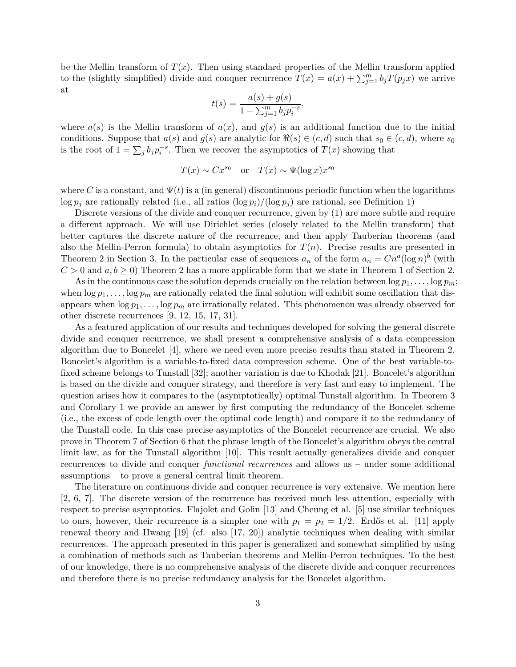be the Mellin transform of  $T(x)$ . Then using standard properties of the Mellin transform applied to the (slightly simplified) divide and conquer recurrence  $T(x) = a(x) + \sum_{j=1}^{m} b_j T(p_j x)$  we arrive at

$$
t(s) = \frac{a(s) + g(s)}{1 - \sum_{j=1}^{m} b_j p_i^{-s}},
$$

where  $a(s)$  is the Mellin transform of  $a(x)$ , and  $g(s)$  is an additional function due to the initial conditions. Suppose that  $a(s)$  and  $g(s)$  are analytic for  $\Re(s) \in (c, d)$  such that  $s_0 \in (c, d)$ , where  $s_0$ is the root of  $1 = \sum_j b_j p_i^{-s}$ . Then we recover the asymptotics of  $T(x)$  showing that

$$
T(x) \sim Cx^{s_0}
$$
 or  $T(x) \sim \Psi(\log x)x^{s_0}$ 

where *C* is a constant, and  $\Psi(t)$  is a (in general) discontinuous periodic function when the logarithms  $\log p_i$  are rationally related (i.e., all ratios  $(\log p_i)/(\log p_j)$  are rational, see Definition 1)

Discrete versions of the divide and conquer recurrence, given by (1) are more subtle and require a different approach. We will use Dirichlet series (closely related to the Mellin transform) that better captures the discrete nature of the recurrence, and then apply Tauberian theorems (and also the Mellin-Perron formula) to obtain asymptotics for  $T(n)$ . Precise results are presented in Theorem 2 in Section 3. In the particular case of sequences  $a_n$  of the form  $a_n = C n^a (\log n)^b$  (with  $C > 0$  and  $a, b \ge 0$ ) Theorem 2 has a more applicable form that we state in Theorem 1 of Section 2.

As in the continuous case the solution depends crucially on the relation between  $\log p_1, \ldots, \log p_m$ ; when  $\log p_1, \ldots, \log p_m$  are rationally related the final solution will exhibit some oscillation that disappears when  $\log p_1, \ldots, \log p_m$  are irrationally related. This phenomenon was already observed for other discrete recurrences [9, 12, 15, 17, 31].

As a featured application of our results and techniques developed for solving the general discrete divide and conquer recurrence, we shall present a comprehensive analysis of a data compression algorithm due to Boncelet [4], where we need even more precise results than stated in Theorem 2. Boncelet's algorithm is a variable-to-fixed data compression scheme. One of the best variable-tofixed scheme belongs to Tunstall [32]; another variation is due to Khodak [21]. Boncelet's algorithm is based on the divide and conquer strategy, and therefore is very fast and easy to implement. The question arises how it compares to the (asymptotically) optimal Tunstall algorithm. In Theorem 3 and Corollary 1 we provide an answer by first computing the redundancy of the Boncelet scheme (i.e., the excess of code length over the optimal code length) and compare it to the redundancy of the Tunstall code. In this case precise asymptotics of the Boncelet recurrence are crucial. We also prove in Theorem 7 of Section 6 that the phrase length of the Boncelet's algorithm obeys the central limit law, as for the Tunstall algorithm [10]. This result actually generalizes divide and conquer recurrences to divide and conquer *functional recurrences* and allows us – under some additional assumptions – to prove a general central limit theorem.

The literature on continuous divide and conquer recurrence is very extensive. We mention here [2, 6, 7]. The discrete version of the recurrence has received much less attention, especially with respect to precise asymptotics. Flajolet and Golin [13] and Cheung et al. [5] use similar techniques to ours, however, their recurrence is a simpler one with  $p_1 = p_2 = 1/2$ . Erdős et al. [11] apply renewal theory and Hwang [19] (cf. also [17, 20]) analytic techniques when dealing with similar recurrences. The approach presented in this paper is generalized and somewhat simplified by using a combination of methods such as Tauberian theorems and Mellin-Perron techniques. To the best of our knowledge, there is no comprehensive analysis of the discrete divide and conquer recurrences and therefore there is no precise redundancy analysis for the Boncelet algorithm.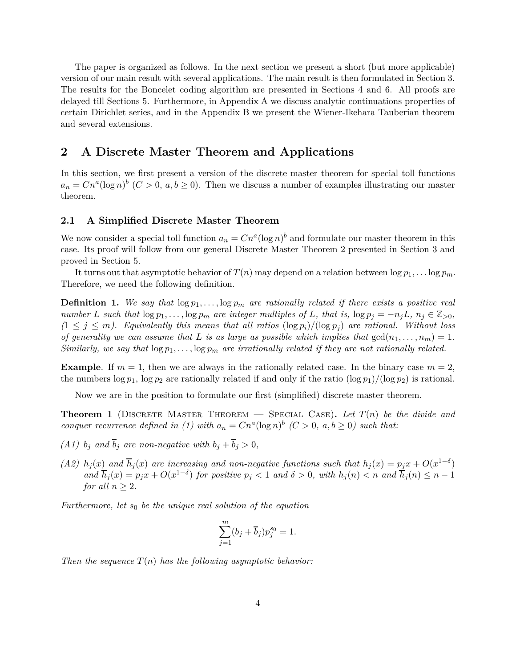The paper is organized as follows. In the next section we present a short (but more applicable) version of our main result with several applications. The main result is then formulated in Section 3. The results for the Boncelet coding algorithm are presented in Sections 4 and 6. All proofs are delayed till Sections 5. Furthermore, in Appendix A we discuss analytic continuations properties of certain Dirichlet series, and in the Appendix B we present the Wiener-Ikehara Tauberian theorem and several extensions.

## **2 A Discrete Master Theorem and Applications**

In this section, we first present a version of the discrete master theorem for special toll functions  $a_n = Cn^a(\log n)^b$  (*C* > 0, *a, b* ≥ 0). Then we discuss a number of examples illustrating our master theorem.

### **2.1 A Simplified Discrete Master Theorem**

We now consider a special toll function  $a_n = C n^a (\log n)^b$  and formulate our master theorem in this case. Its proof will follow from our general Discrete Master Theorem 2 presented in Section 3 and proved in Section 5.

It turns out that asymptotic behavior of  $T(n)$  may depend on a relation between  $\log p_1, \ldots \log p_m$ . Therefore, we need the following definition.

**Definition 1.** We say that  $\log p_1, \ldots, \log p_m$  are rationally related if there exists a positive real number L such that  $\log p_1, \ldots, \log p_m$  are integer multiples of L, that is,  $\log p_i = -n_i L$ ,  $n_i \in \mathbb{Z}_{>0}$ ,  $(1 \leq j \leq m)$ . Equivalently this means that all ratios  $(\log p_i)/(\log p_j)$  are rational. Without loss *of generality we can assume that L is as large as possible which implies that*  $gcd(n_1, \ldots, n_m) = 1$ *. Similarly, we say that*  $\log p_1, \ldots, \log p_m$  *are irrationally related if they are not rationally related.* 

**Example**. If  $m = 1$ , then we are always in the rationally related case. In the binary case  $m = 2$ , the numbers  $\log p_1$ ,  $\log p_2$  are rationally related if and only if the ratio  $(\log p_1)/(\log p_2)$  is rational.

Now we are in the position to formulate our first (simplified) discrete master theorem.

**Theorem 1** (DISCRETE MASTER THEOREM — SPECIAL CASE). Let  $T(n)$  be the divide and *conquer recurrence defined in (1) with*  $a_n = Cn^a(\log n)^b$  ( $C > 0$ ,  $a, b \ge 0$ ) such that:

- *(A1)*  $b_j$  *and*  $\overline{b}_j$  *are non-negative with*  $b_j + \overline{b}_j > 0$ *,*
- (A2)  $h_j(x)$  and  $\overline{h}_j(x)$  are increasing and non-negative functions such that  $h_j(x) = p_j x + O(x^{1-\delta})$ and  $\overline{h}_j(x) = p_j x + O(x^{1-\delta})$  for positive  $p_j < 1$  and  $\delta > 0$ , with  $h_j(n) < n$  and  $\overline{h}_j(n) \leq n-1$ *for all*  $n > 2$ *.*

*Furthermore, let s*<sup>0</sup> *be the unique real solution of the equation*

$$
\sum_{j=1}^m (b_j + \overline{b}_j) p_j^{s_0} = 1.
$$

*Then the sequence*  $T(n)$  *has the following asymptotic behavior:*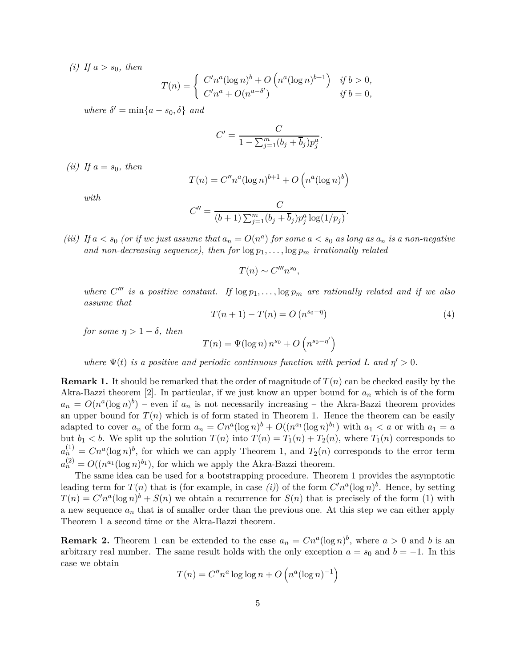*(i)* If  $a > s_0$ *, then* 

$$
T(n) = \begin{cases} C' n^a (\log n)^b + O\left(n^a (\log n)^{b-1}\right) & \text{if } b > 0, \\ C' n^a + O(n^{a-\delta'}) & \text{if } b = 0, \end{cases}
$$

 $where \delta' = \min\{a - s_0, \delta\}$  *and* 

$$
C' = \frac{C}{1 - \sum_{j=1}^{m} (b_j + \overline{b}_j) p_j^a}
$$

*(ii)* If  $a = s_0$ *, then* 

$$
T(n) = C''n^a(\log n)^{b+1} + O\left(n^a(\log n)^b\right)
$$

*with*

$$
C'' = \frac{C}{(b+1)\sum_{j=1}^{m} (b_j + \overline{b}_j)p_j^a \log(1/p_j)}.
$$

*(iii)* If  $a < s_0$  *(or if we just assume that*  $a_n = O(n^a)$  *for some*  $a < s_0$  *as long as*  $a_n$  *is a non-negative* and non-decreasing sequence), then for  $\log p_1, \ldots, \log p_m$  irrationally related

 $T(n) \sim C''' n^{s_0},$ 

*where*  $C'''$  *is a positive constant.* If  $\log p_1, \ldots, \log p_m$  *are rationally related and if we also assume that*

$$
T(n+1) - T(n) = O(n^{s_0 - \eta})
$$
\n(4)

*.*

*for some*  $\eta > 1 - \delta$ *, then* 

$$
T(n) = \Psi(\log n) n^{s_0} + O\left(n^{s_0 - \eta'}\right)
$$

*where*  $\Psi(t)$  *is a positive and periodic continuous function with period L and*  $\eta' > 0$ *.* 

**Remark 1.** It should be remarked that the order of magnitude of *T*(*n*) can be checked easily by the Akra-Bazzi theorem [2]. In particular, if we just know an upper bound for *a<sup>n</sup>* which is of the form  $a_n = O(n^a(\log n)^b)$  – even if  $a_n$  is not necessarily increasing – the Akra-Bazzi theorem provides an upper bound for  $T(n)$  which is of form stated in Theorem 1. Hence the theorem can be easily adapted to cover  $a_n$  of the form  $a_n = Cn^a(\log n)^b + O((n^{a_1}(\log n)^{b_1})$  with  $a_1 < a$  or with  $a_1 = a$ but  $b_1 < b$ . We split up the solution  $T(n)$  into  $T(n) = T_1(n) + T_2(n)$ , where  $T_1(n)$  corresponds to  $a_n^{(1)} = Cn^a(\log n)^b$ , for which we can apply Theorem 1, and  $T_2(n)$  corresponds to the error term  $a_n^{(2)} = O((n^{a_1}(\log n)^{b_1}),$  for which we apply the Akra-Bazzi theorem.

The same idea can be used for a bootstrapping procedure. Theorem 1 provides the asymptotic leading term for  $T(n)$  that is (for example, in case *(i)*) of the form  $C'n^a(\log n)^b$ . Hence, by setting  $T(n) = C'n^a(\log n)^b + S(n)$  we obtain a recurrence for  $S(n)$  that is precisely of the form (1) with a new sequence  $a_n$  that is of smaller order than the previous one. At this step we can either apply Theorem 1 a second time or the Akra-Bazzi theorem.

**Remark 2.** Theorem 1 can be extended to the case  $a_n = C n^a (\log n)^b$ , where  $a > 0$  and b is an arbitrary real number. The same result holds with the only exception  $a = s_0$  and  $b = -1$ . In this case we obtain

$$
T(n) = C''n^a \log \log n + O\left(n^a (\log n)^{-1}\right)
$$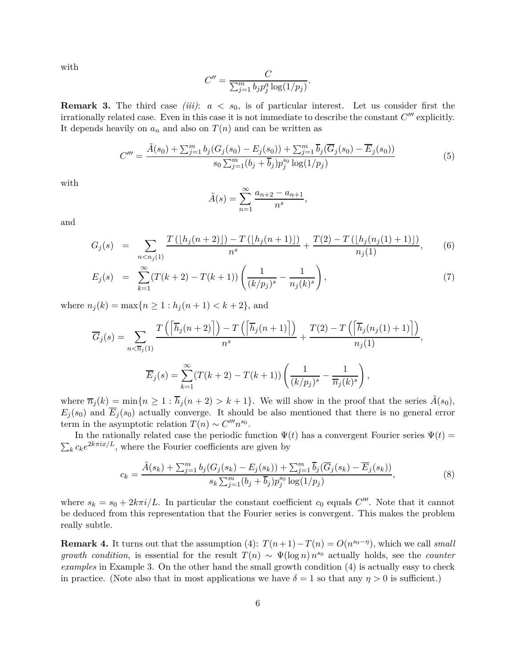with

$$
C'' = \frac{C}{\sum_{j=1}^m b_j p_j^a \log(1/p_j)}.
$$

**Remark 3.** The third case *(iii)*: *a < s*0, is of particular interest. Let us consider first the irrationally related case. Even in this case it is not immediate to describe the constant *C* ′′′ explicitly. It depends heavily on  $a_n$  and also on  $T(n)$  and can be written as

$$
C''' = \frac{\tilde{A}(s_0) + \sum_{j=1}^{m} b_j (G_j(s_0) - E_j(s_0)) + \sum_{j=1}^{m} \overline{b}_j (\overline{G}_j(s_0) - \overline{E}_j(s_0))}{s_0 \sum_{j=1}^{m} (b_j + \overline{b}_j) p_j^{s_0} \log(1/p_j)}
$$
(5)

with

$$
\tilde{A}(s) = \sum_{n=1}^{\infty} \frac{a_{n+2} - a_{n+1}}{n^s},
$$

and

$$
G_j(s) = \sum_{n < n_j(1)} \frac{T(\lfloor h_j(n+2) \rfloor) - T(\lfloor h_j(n+1) \rfloor)}{n^s} + \frac{T(2) - T(\lfloor h_j(n_j(1) + 1) \rfloor)}{n_j(1)},\tag{6}
$$

$$
E_j(s) = \sum_{k=1}^{\infty} (T(k+2) - T(k+1)) \left( \frac{1}{(k/p_j)^s} - \frac{1}{n_j(k)^s} \right),\tag{7}
$$

where  $n_j(k) = \max\{n \ge 1 : h_j(n+1) < k+2\}$ , and

$$
\overline{G}_j(s) = \sum_{n < \overline{n}_j(1)} \frac{T\left(\left\lceil \overline{h}_j(n+2) \right\rceil\right) - T\left(\left\lceil \overline{h}_j(n+1) \right\rceil\right)}{n^s} + \frac{T(2) - T\left(\left\lceil \overline{h}_j(n_j(1) + 1) \right\rceil\right)}{n_j(1)},
$$
\n
$$
\overline{E}_j(s) = \sum_{k=1}^{\infty} (T(k+2) - T(k+1)) \left(\frac{1}{(k/p_j)^s} - \frac{1}{\overline{n}_j(k)^s}\right),
$$

where  $\overline{n}_j(k) = \min\{n \geq 1 : \overline{h}_j(n+2) > k+1\}$ . We will show in the proof that the series  $\tilde{A}(s_0)$ ,  $E_i(s_0)$  and  $\overline{E}_i(s_0)$  actually converge. It should be also mentioned that there is no general error term in the asymptotic relation  $T(n) \sim C^{m} n^{s_0}$ .

In the rationally related case the periodic function  $\Psi(t)$  has a convergent Fourier series  $\Psi(t)$  =  $\sum_{k} c_{k} e^{2k\pi i x/L}$ , where the Fourier coefficients are given by

$$
c_k = \frac{\tilde{A}(s_k) + \sum_{j=1}^m b_j (G_j(s_k) - E_j(s_k)) + \sum_{j=1}^m \overline{b}_j (\overline{G}_j(s_k) - \overline{E}_j(s_k))}{s_k \sum_{j=1}^m (b_j + \overline{b}_j) p_j^{s_0} \log(1/p_j)},
$$
\n(8)

where  $s_k = s_0 + 2k\pi i/L$ . In particular the constant coefficient  $c_0$  equals  $C'''$ . Note that it cannot be deduced from this representation that the Fourier series is convergent. This makes the problem really subtle.

**Remark 4.** It turns out that the assumption (4):  $T(n+1) - T(n) = O(n^{s_0-\eta})$ , which we call *small growth condition*, is essential for the result  $T(n) \sim \Psi(\log n) n^{s_0}$  actually holds, see the *counter examples* in Example 3. On the other hand the small growth condition (4) is actually easy to check in practice. (Note also that in most applications we have  $\delta = 1$  so that any  $\eta > 0$  is sufficient.)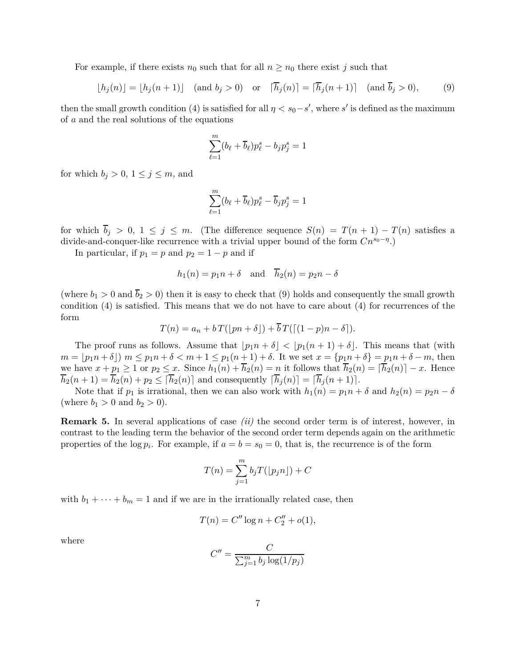For example, if there exists  $n_0$  such that for all  $n \geq n_0$  there exist *j* such that

$$
\lfloor h_j(n) \rfloor = \lfloor h_j(n+1) \rfloor \quad \text{(and } b_j > 0) \quad \text{or} \quad \lceil \overline{h}_j(n) \rceil = \lceil \overline{h}_j(n+1) \rceil \quad \text{(and } \overline{b}_j > 0), \tag{9}
$$

then the small growth condition (4) is satisfied for all  $\eta < s_0 - s'$ , where *s'* is defined as the maximum of *a* and the real solutions of the equations

$$
\sum_{\ell=1}^m (b_\ell + \overline{b}_\ell) p_\ell^s - b_j p_j^s = 1
$$

for which  $b_j > 0$ ,  $1 \leq j \leq m$ , and

$$
\sum_{\ell=1}^m (b_\ell + \overline{b}_\ell) p_\ell^s - \overline{b}_j p_j^s = 1
$$

for which  $\overline{b}_j > 0$ ,  $1 \leq j \leq m$ . (The difference sequence  $S(n) = T(n+1) - T(n)$  satisfies a divide-and-conquer-like recurrence with a trivial upper bound of the form *Cns*0−*<sup>η</sup>* .)

In particular, if  $p_1 = p$  and  $p_2 = 1 - p$  and if

$$
h_1(n) = p_1 n + \delta
$$
 and  $\overline{h}_2(n) = p_2 n - \delta$ 

(where  $b_1 > 0$  and  $\overline{b}_2 > 0$ ) then it is easy to check that (9) holds and consequently the small growth condition (4) is satisfied. This means that we do not have to care about (4) for recurrences of the form

$$
T(n) = a_n + bT(\lfloor pn + \delta \rfloor) + \overline{b}T(\lceil (1-p)n - \delta \rceil).
$$

The proof runs as follows. Assume that  $|p_1n + \delta| < |p_1(n + 1) + \delta|$ . This means that (with  $m = [p_1n + \delta]$   $m \leq p_1n + \delta < m+1 \leq p_1(n+1) + \delta$ . It we set  $x = \{p_1n + \delta\} = p_1n + \delta - m$ , then we have  $x + p_1 \geq 1$  or  $p_2 \leq x$ . Since  $h_1(n) + \overline{h}_2(n) = n$  it follows that  $\overline{h}_2(n) = [\overline{h}_2(n)] - x$ . Hence  $\overline{h}_2(n+1) = \overline{h}_2(n) + p_2 \leq [\overline{h}_2(n)]$  and consequently  $[\overline{h}_j(n)] = [\overline{h}_j(n+1)]$ .

Note that if  $p_1$  is irrational, then we can also work with  $h_1(n) = p_1 n + \delta$  and  $h_2(n) = p_2 n - \delta$ (where  $b_1 > 0$  and  $b_2 > 0$ ).

**Remark 5.** In several applications of case *(ii)* the second order term is of interest, however, in contrast to the leading term the behavior of the second order term depends again on the arithmetic properties of the  $\log p_i$ . For example, if  $a = b = s_0 = 0$ , that is, the recurrence is of the form

$$
T(n) = \sum_{j=1}^{m} b_j T(\lfloor p_j n \rfloor) + C
$$

with  $b_1 + \cdots + b_m = 1$  and if we are in the irrationally related case, then

$$
T(n) = C'' \log n + C_2'' + o(1),
$$

where

$$
C'' = \frac{C}{\sum_{j=1}^{m} b_j \log(1/p_j)}
$$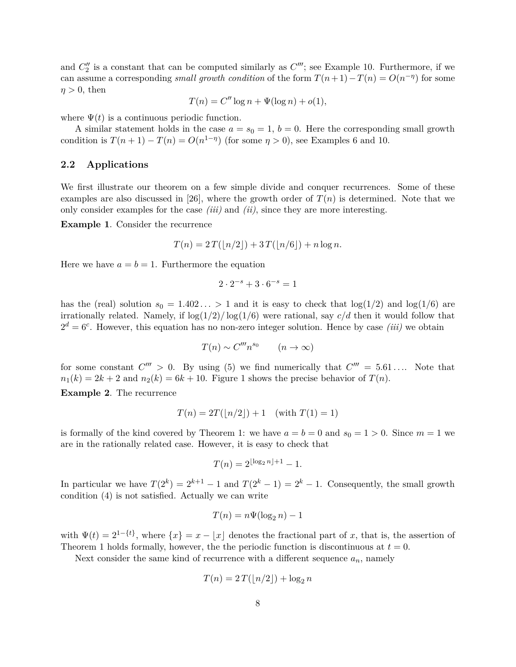and  $C''_2$  is a constant that can be computed similarly as  $C'''$ ; see Example 10. Furthermore, if we can assume a corresponding *small growth condition* of the form  $T(n+1) - T(n) = O(n^{-\eta})$  for some  $\eta > 0$ , then

$$
T(n) = C'' \log n + \Psi(\log n) + o(1),
$$

where  $\Psi(t)$  is a continuous periodic function.

A similar statement holds in the case  $a = s_0 = 1$ ,  $b = 0$ . Here the corresponding small growth condition is  $T(n+1) - T(n) = O(n^{1-\eta})$  (for some  $\eta > 0$ ), see Examples 6 and 10.

### **2.2 Applications**

We first illustrate our theorem on a few simple divide and conquer recurrences. Some of these examples are also discussed in [26], where the growth order of  $T(n)$  is determined. Note that we only consider examples for the case *(iii)* and *(ii)*, since they are more interesting.

**Example 1**. Consider the recurrence

$$
T(n) = 2T(\lfloor n/2 \rfloor) + 3T(\lfloor n/6 \rfloor) + n \log n.
$$

Here we have  $a = b = 1$ . Furthermore the equation

$$
2\cdot 2^{-s} + 3\cdot 6^{-s} = 1
$$

has the (real) solution  $s_0 = 1.402... > 1$  and it is easy to check that  $\log(1/2)$  and  $\log(1/6)$  are irrationally related. Namely, if  $\log(1/2)/\log(1/6)$  were rational, say  $c/d$  then it would follow that  $2^d = 6^c$ . However, this equation has no non-zero integer solution. Hence by case *(iii)* we obtain

$$
T(n) \sim C''' n^{s_0} \qquad (n \to \infty)
$$

for some constant  $C''' > 0$ . By using (5) we find numerically that  $C''' = 5.61...$  Note that  $n_1(k) = 2k + 2$  and  $n_2(k) = 6k + 10$ . Figure 1 shows the precise behavior of  $T(n)$ .

**Example 2**. The recurrence

$$
T(n) = 2T(\lfloor n/2 \rfloor) + 1 \quad \text{(with } T(1) = 1\text{)}
$$

is formally of the kind covered by Theorem 1: we have  $a = b = 0$  and  $s_0 = 1 > 0$ . Since  $m = 1$  we are in the rationally related case. However, it is easy to check that

$$
T(n) = 2^{\lfloor \log_2 n \rfloor + 1} - 1.
$$

In particular we have  $T(2^k) = 2^{k+1} - 1$  and  $T(2^k - 1) = 2^k - 1$ . Consequently, the small growth condition (4) is not satisfied. Actually we can write

$$
T(n) = n\Psi(\log_2 n) - 1
$$

with  $\Psi(t) = 2^{1-\{t\}}$ , where  $\{x\} = x - \lfloor x \rfloor$  denotes the fractional part of *x*, that is, the assertion of Theorem 1 holds formally, however, the the periodic function is discontinuous at  $t = 0$ .

Next consider the same kind of recurrence with a different sequence  $a_n$ , namely

$$
T(n) = 2T(\lfloor n/2 \rfloor) + \log_2 n
$$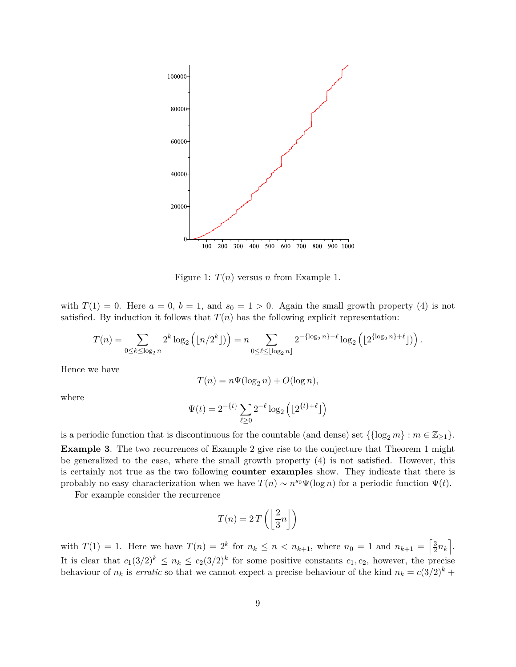

Figure 1:  $T(n)$  versus *n* from Example 1.

with  $T(1) = 0$ . Here  $a = 0$ ,  $b = 1$ , and  $s_0 = 1 > 0$ . Again the small growth property (4) is not satisfied. By induction it follows that  $T(n)$  has the following explicit representation:

$$
T(n) = \sum_{0 \leq k \leq \log_2 n} 2^k \log_2 \left( \lfloor n/2^k \rfloor \right) = n \sum_{0 \leq \ell \leq \lfloor \log_2 n \rfloor} 2^{-\{\log_2 n\} - \ell} \log_2 \left( \lfloor 2^{\{\log_2 n\} + \ell} \rfloor \right).
$$

Hence we have

$$
T(n) = n\Psi(\log_2 n) + O(\log n),
$$

where

$$
\Psi(t) = 2^{-\{t\}} \sum_{\ell \ge 0} 2^{-\ell} \log_2 \left( \lfloor 2^{\{t\} + \ell} \rfloor \right)
$$

is a periodic function that is discontinuous for the countable (and dense) set  $\{\log_2 m\} : m \in \mathbb{Z}_{\geq 1}\}.$ **Example 3**. The two recurrences of Example 2 give rise to the conjecture that Theorem 1 might be generalized to the case, where the small growth property (4) is not satisfied. However, this is certainly not true as the two following **counter examples** show. They indicate that there is probably no easy characterization when we have  $T(n) \sim n^{s_0} \Psi(\log n)$  for a periodic function  $\Psi(t)$ .

For example consider the recurrence

$$
T(n) = 2 T\left(\left\lfloor \frac{2}{3}n \right\rfloor\right)
$$

with  $T(1) = 1$ . Here we have  $T(n) = 2^k$  for  $n_k \le n < n_{k+1}$ , where  $n_0 = 1$  and  $n_{k+1} = \left[\frac{3}{2}\right]$  $\frac{3}{2}n_k$ . It is clear that  $c_1(3/2)^k \leq n_k \leq c_2(3/2)^k$  for some positive constants  $c_1, c_2$ , however, the precise behaviour of  $n_k$  is *erratic* so that we cannot expect a precise behaviour of the kind  $n_k = c(3/2)^k$  +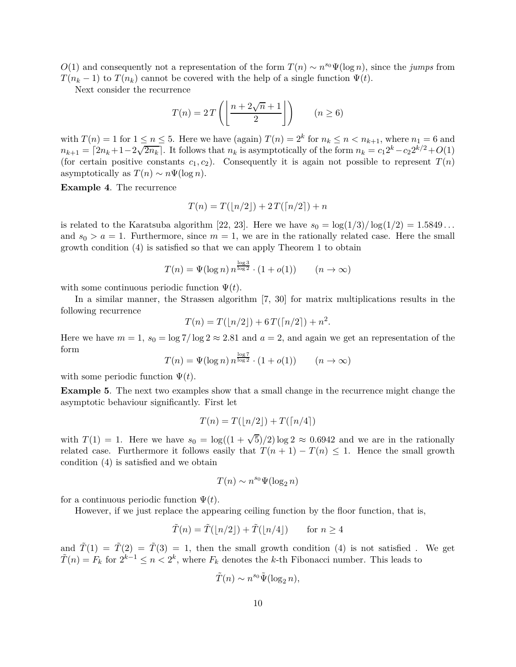*O*(1) and consequently not a representation of the form  $T(n) \sim n^{s_0} \Psi(\log n)$ , since the *jumps* from  $T(n_k - 1)$  to  $T(n_k)$  cannot be covered with the help of a single function  $\Psi(t)$ .

Next consider the recurrence

$$
T(n) = 2T\left(\left\lfloor \frac{n + 2\sqrt{n} + 1}{2} \right\rfloor\right) \qquad (n \ge 6)
$$

with  $T(n) = 1$  for  $1 \leq n \leq 5$ . Here we have (again)  $T(n) = 2^k$  for  $n_k \leq n < n_{k+1}$ , where  $n_1 = 6$  and  $n_{k+1} = \lceil 2n_k + 1 - 2\sqrt{2n_k} \rceil$ . It follows that  $n_k$  is asymptotically of the form  $n_k = c_1 2^k - c_2 2^{k/2} + O(1)$ (for certain positive constants  $c_1, c_2$ ). Consequently it is again not possible to represent  $T(n)$ asymptotically as  $T(n) \sim n\Psi(\log n)$ .

**Example 4**. The recurrence

$$
T(n) = T(\lfloor n/2 \rfloor) + 2T(\lceil n/2 \rceil) + n
$$

is related to the Karatsuba algorithm [22, 23]. Here we have  $s_0 = \log(1/3)/\log(1/2) = 1.5849...$ and  $s_0 > a = 1$ . Furthermore, since  $m = 1$ , we are in the rationally related case. Here the small growth condition (4) is satisfied so that we can apply Theorem 1 to obtain

$$
T(n) = \Psi(\log n) n^{\frac{\log 3}{\log 2}} \cdot (1 + o(1)) \qquad (n \to \infty)
$$

with some continuous periodic function  $\Psi(t)$ .

In a similar manner, the Strassen algorithm [7, 30] for matrix multiplications results in the following recurrence

$$
T(n) = T(\lfloor n/2 \rfloor) + 6T(\lceil n/2 \rceil) + n^2.
$$

Here we have  $m = 1$ ,  $s_0 = \log 7/\log 2 \approx 2.81$  and  $a = 2$ , and again we get an representation of the form  $\log 7$ 

$$
T(n) = \Psi(\log n) n^{\frac{\log n}{\log 2}} \cdot (1 + o(1)) \qquad (n \to \infty)
$$

with some periodic function  $\Psi(t)$ .

**Example 5**. The next two examples show that a small change in the recurrence might change the asymptotic behaviour significantly. First let

$$
T(n) = T(\lfloor n/2 \rfloor) + T(\lceil n/4 \rceil)
$$

with  $T(1) = 1$ . Here we have  $s_0 = \log((1 + \sqrt{5})/2) \log 2 \approx 0.6942$  and we are in the rationally related case. Furthermore it follows easily that  $T(n + 1) - T(n) \leq 1$ . Hence the small growth condition (4) is satisfied and we obtain

$$
T(n) \sim n^{s_0} \Psi(\log_2 n)
$$

for a continuous periodic function  $\Psi(t)$ .

However, if we just replace the appearing ceiling function by the floor function, that is,

$$
\tilde{T}(n) = \tilde{T}(\lfloor n/2 \rfloor) + \tilde{T}(\lfloor n/4 \rfloor) \quad \text{for } n \ge 4
$$

and  $\tilde{T}(1) = \tilde{T}(2) = \tilde{T}(3) = 1$ , then the small growth condition (4) is not satisfied. We get  $\tilde{T}(n) = F_k$  for  $2^{k-1} \leq n < 2^k$ , where  $F_k$  denotes the *k*-th Fibonacci number. This leads to

$$
\tilde{T}(n) \sim n^{s_0} \tilde{\Psi}(\log_2 n),
$$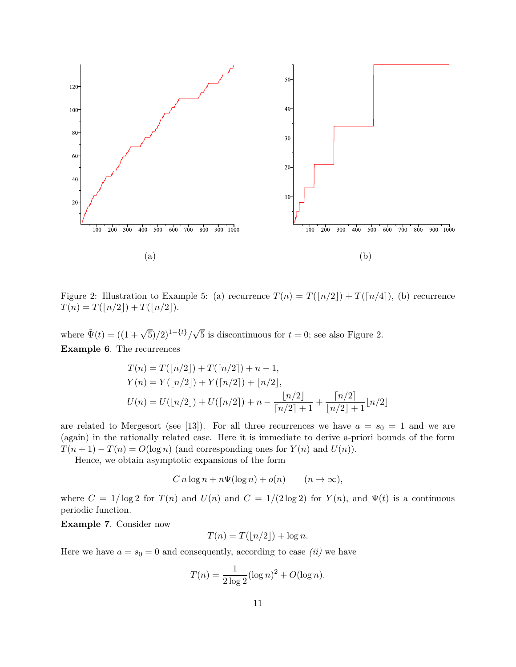

Figure 2: Illustration to Example 5: (a) recurrence  $T(n) = T(\lfloor n/2 \rfloor) + T(\lceil n/4 \rceil)$ , (b) recurrence  $T(n) = T(|n/2|) + T(|n/2|).$ 

where  $\tilde{\Psi}(t) = ((1 + \sqrt{5})/2)^{1-\{t\}}/\sqrt{5}$  is discontinuous for  $t = 0$ ; see also Figure 2. **Example 6**. The recurrences

$$
T(n) = T(\lfloor n/2 \rfloor) + T(\lceil n/2 \rceil) + n - 1,
$$
  
\n
$$
Y(n) = Y(\lfloor n/2 \rfloor) + Y(\lceil n/2 \rceil) + \lfloor n/2 \rfloor,
$$
  
\n
$$
U(n) = U(\lfloor n/2 \rfloor) + U(\lceil n/2 \rceil) + n - \frac{\lfloor n/2 \rfloor}{\lceil n/2 \rceil + 1} + \frac{\lceil n/2 \rceil}{\lfloor n/2 \rfloor + 1} \lfloor n/2 \rfloor
$$

are related to Mergesort (see [13]). For all three recurrences we have  $a = s_0 = 1$  and we are (again) in the rationally related case. Here it is immediate to derive a-priori bounds of the form  $T(n+1) - T(n) = O(\log n)$  (and corresponding ones for  $Y(n)$  and  $U(n)$ ).

Hence, we obtain asymptotic expansions of the form

$$
C n \log n + n\Psi(\log n) + o(n) \qquad (n \to \infty),
$$

where  $C = 1/\log 2$  for  $T(n)$  and  $U(n)$  and  $C = 1/(2 \log 2)$  for  $Y(n)$ , and  $\Psi(t)$  is a continuous periodic function.

**Example 7**. Consider now

$$
T(n) = T(\lfloor n/2 \rfloor) + \log n.
$$

Here we have  $a = s_0 = 0$  and consequently, according to case *(ii)* we have

$$
T(n) = \frac{1}{2 \log 2} (\log n)^2 + O(\log n).
$$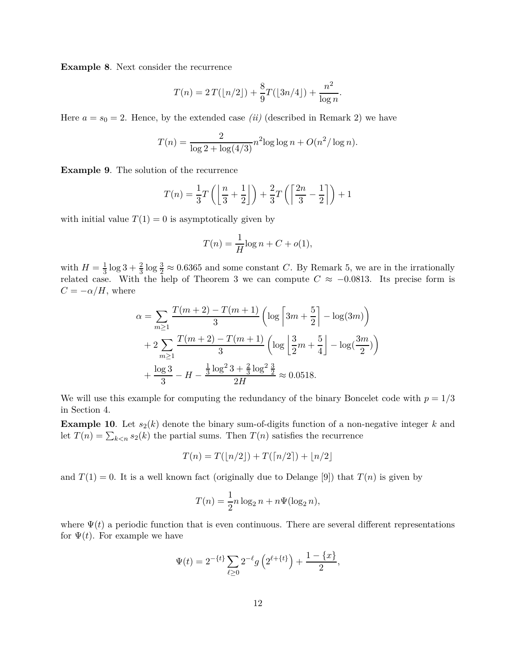**Example 8**. Next consider the recurrence

$$
T(n) = 2T(\lfloor n/2 \rfloor) + \frac{8}{9}T(\lfloor 3n/4 \rfloor) + \frac{n^2}{\log n}.
$$

Here  $a = s_0 = 2$ . Hence, by the extended case *(ii)* (described in Remark 2) we have

$$
T(n) = \frac{2}{\log 2 + \log(4/3)} n^{2} \log \log n + O(n^{2}/\log n).
$$

**Example 9**. The solution of the recurrence

$$
T(n) = \frac{1}{3}T\left(\left\lfloor \frac{n}{3} + \frac{1}{2} \right\rfloor\right) + \frac{2}{3}T\left(\left\lceil \frac{2n}{3} - \frac{1}{2} \right\rceil\right) + 1
$$

with initial value  $T(1) = 0$  is asymptotically given by

$$
T(n) = \frac{1}{H}\log n + C + o(1),
$$

with  $H=\frac{1}{3}$  $\frac{1}{3}\log 3 + \frac{2}{3}\log \frac{3}{2} \approx 0.6365$  and some constant *C*. By Remark 5, we are in the irrationally related case. With the help of Theorem 3 we can compute  $C \approx -0.0813$ . Its precise form is  $C = -\alpha/H$ , where

$$
\alpha = \sum_{m\geq 1} \frac{T(m+2) - T(m+1)}{3} \left( \log \left[ 3m + \frac{5}{2} \right] - \log(3m) \right)
$$
  
+ 
$$
2 \sum_{m\geq 1} \frac{T(m+2) - T(m+1)}{3} \left( \log \left[ \frac{3}{2}m + \frac{5}{4} \right] - \log(\frac{3m}{2}) \right)
$$
  
+ 
$$
\frac{\log 3}{3} - H - \frac{\frac{1}{3} \log^2 3 + \frac{2}{3} \log^2 \frac{3}{2}}{2H} \approx 0.0518.
$$

We will use this example for computing the redundancy of the binary Boncelet code with  $p = 1/3$ in Section 4.

**Example 10**. Let  $s_2(k)$  denote the binary sum-of-digits function of a non-negative integer k and let  $T(n) = \sum_{k \le n} s_2(k)$  the partial sums. Then  $T(n)$  satisfies the recurrence

$$
T(n) = T(\lfloor n/2 \rfloor) + T(\lceil n/2 \rceil) + \lfloor n/2 \rfloor
$$

and  $T(1) = 0$ . It is a well known fact (originally due to Delange [9]) that  $T(n)$  is given by

$$
T(n) = \frac{1}{2}n \log_2 n + n\Psi(\log_2 n),
$$

where  $\Psi(t)$  a periodic function that is even continuous. There are several different representations for  $\Psi(t)$ . For example we have

$$
\Psi(t) = 2^{-\{t\}} \sum_{\ell \ge 0} 2^{-\ell} g\left(2^{\ell + \{t\}}\right) + \frac{1 - \{x\}}{2},
$$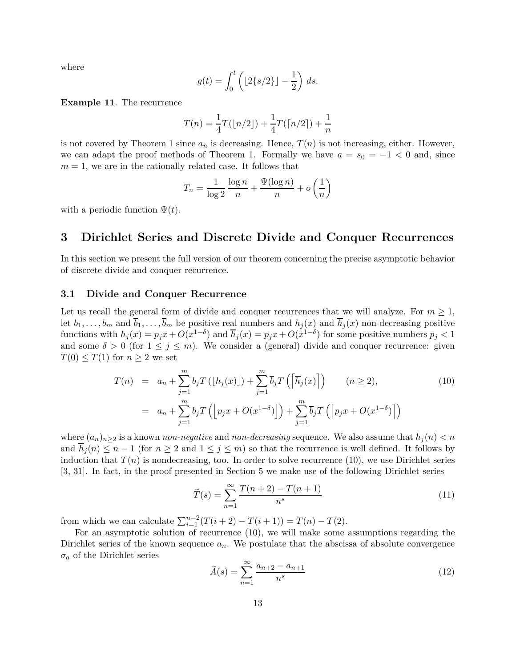where

$$
g(t) = \int_0^t \left( \lfloor 2\{s/2\} \rfloor - \frac{1}{2} \right) ds.
$$

**Example 11**. The recurrence

$$
T(n) = \frac{1}{4}T(\lfloor n/2 \rfloor) + \frac{1}{4}T(\lceil n/2 \rceil) + \frac{1}{n}
$$

is not covered by Theorem 1 since  $a_n$  is decreasing. Hence,  $T(n)$  is not increasing, either. However, we can adapt the proof methods of Theorem 1. Formally we have  $a = s_0 = -1 < 0$  and, since  $m = 1$ , we are in the rationally related case. It follows that

$$
T_n = \frac{1}{\log 2} \frac{\log n}{n} + \frac{\Psi(\log n)}{n} + o\left(\frac{1}{n}\right)
$$

with a periodic function  $\Psi(t)$ .

### **3 Dirichlet Series and Discrete Divide and Conquer Recurrences**

In this section we present the full version of our theorem concerning the precise asymptotic behavior of discrete divide and conquer recurrence.

### **3.1 Divide and Conquer Recurrence**

Let us recall the general form of divide and conquer recurrences that we will analyze. For  $m \geq 1$ , let  $b_1, \ldots, b_m$  and  $\overline{b}_1, \ldots, \overline{b}_m$  be positive real numbers and  $h_j(x)$  and  $\overline{h}_j(x)$  non-decreasing positive functions with  $h_j(x) = p_j x + O(x^{1-\delta})$  and  $\overline{h}_j(x) = p_j x + O(x^{1-\delta})$  for some positive numbers  $p_j < 1$ and some  $\delta > 0$  (for  $1 \leq j \leq m$ ). We consider a (general) divide and conquer recurrence: given  $T(0) \leq T(1)$  for  $n \geq 2$  we set

$$
T(n) = a_n + \sum_{j=1}^{m} b_j T\left(\lfloor h_j(x) \rfloor\right) + \sum_{j=1}^{m} \overline{b}_j T\left(\left\lceil \overline{h}_j(x) \right\rceil\right) \qquad (n \ge 2),
$$
\n
$$
= a_n + \sum_{j=1}^{m} b_j T\left(\lfloor p_j x + O(x^{1-\delta}) \right\rfloor\right) + \sum_{j=1}^{m} \overline{b}_j T\left(\left\lceil p_j x + O(x^{1-\delta}) \right\rceil\right)
$$
\n(10)

where  $(a_n)_{n\geq 2}$  is a known *non-negative* and *non-decreasing* sequence. We also assume that  $h_j(n) < n$ and  $\overline{h}_j(n) \leq n-1$  (for  $n \geq 2$  and  $1 \leq j \leq m$ ) so that the recurrence is well defined. It follows by induction that  $T(n)$  is nondecreasing, too. In order to solve recurrence  $(10)$ , we use Dirichlet series [3, 31]. In fact, in the proof presented in Section 5 we make use of the following Dirichlet series

$$
\widetilde{T}(s) = \sum_{n=1}^{\infty} \frac{T(n+2) - T(n+1)}{n^s}
$$
\n(11)

from which we can calculate  $\sum_{i=1}^{n-2} (T(i+2) - T(i+1)) = T(n) - T(2)$ .

For an asymptotic solution of recurrence (10), we will make some assumptions regarding the Dirichlet series of the known sequence  $a_n$ . We postulate that the abscissa of absolute convergence  $\sigma_a$  of the Dirichlet series

$$
\tilde{A}(s) = \sum_{n=1}^{\infty} \frac{a_{n+2} - a_{n+1}}{n^s}
$$
\n(12)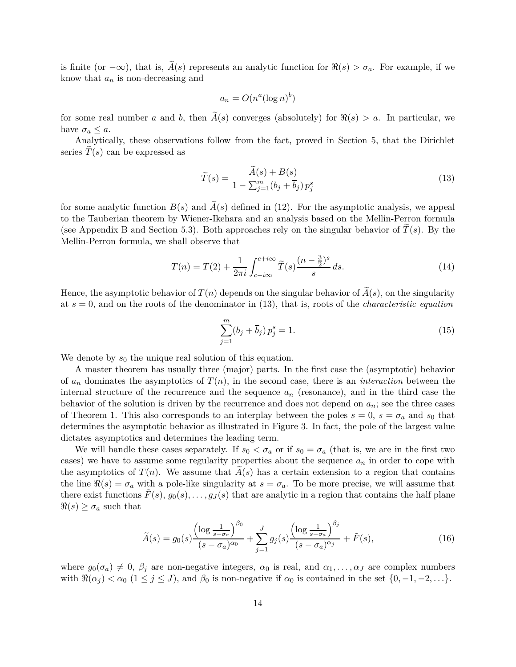is finite (or  $-\infty$ ), that is,  $\tilde{A}(s)$  represents an analytic function for  $\Re(s) > \sigma_a$ . For example, if we know that *a<sup>n</sup>* is non-decreasing and

$$
a_n = O(n^a (\log n)^b)
$$

for some real number *a* and *b*, then  $\tilde{A}(s)$  converges (absolutely) for  $\Re(s) > a$ . In particular, we have  $\sigma_a \leq a$ .

Analytically, these observations follow from the fact, proved in Section 5, that the Dirichlet series  $T(s)$  can be expressed as

$$
\widetilde{T}(s) = \frac{A(s) + B(s)}{1 - \sum_{j=1}^{m} (b_j + \overline{b}_j) p_j^s}
$$
\n(13)

for some analytic function  $B(s)$  and  $\widetilde{A}(s)$  defined in (12). For the asymptotic analysis, we appeal to the Tauberian theorem by Wiener-Ikehara and an analysis based on the Mellin-Perron formula (see Appendix B and Section 5.3). Both approaches rely on the singular behavior of  $T(s)$ . By the Mellin-Perron formula, we shall observe that

$$
T(n) = T(2) + \frac{1}{2\pi i} \int_{c-i\infty}^{c+i\infty} \tilde{T}(s) \frac{(n-\frac{3}{2})^s}{s} ds.
$$
 (14)

Hence, the asymptotic behavior of  $T(n)$  depends on the singular behavior of  $\tilde{A}(s)$ , on the singularity at *s* = 0, and on the roots of the denominator in (13), that is, roots of the *characteristic equation*

$$
\sum_{j=1}^{m} (b_j + \overline{b}_j) p_j^s = 1.
$$
 (15)

We denote by  $s_0$  the unique real solution of this equation.

A master theorem has usually three (major) parts. In the first case the (asymptotic) behavior of  $a_n$  dominates the asymptotics of  $T(n)$ , in the second case, there is an *interaction* between the internal structure of the recurrence and the sequence *a<sup>n</sup>* (resonance), and in the third case the behavior of the solution is driven by the recurrence and does not depend on  $a_n$ ; see the three cases of Theorem 1. This also corresponds to an interplay between the poles  $s = 0$ ,  $s = \sigma_a$  and  $s_0$  that determines the asymptotic behavior as illustrated in Figure 3. In fact, the pole of the largest value dictates asymptotics and determines the leading term.

We will handle these cases separately. If  $s_0 < \sigma_a$  or if  $s_0 = \sigma_a$  (that is, we are in the first two cases) we have to assume some regularity properties about the sequence  $a_n$  in order to cope with the asymptotics of  $T(n)$ . We assume that  $A(s)$  has a certain extension to a region that contains the line  $\Re(s) = \sigma_a$  with a pole-like singularity at  $s = \sigma_a$ . To be more precise, we will assume that there exist functions  $F(s)$ ,  $g_0(s), \ldots, g_J(s)$  that are analytic in a region that contains the half plane  $\Re(s) \geq \sigma_a$  such that

$$
\widetilde{A}(s) = g_0(s) \frac{\left(\log \frac{1}{s - \sigma_a}\right)^{\beta_0}}{(s - \sigma_a)^{\alpha_0}} + \sum_{j=1}^{J} g_j(s) \frac{\left(\log \frac{1}{s - \sigma_a}\right)^{\beta_j}}{(s - \sigma_a)^{\alpha_j}} + \widetilde{F}(s),\tag{16}
$$

where  $g_0(\sigma_a) \neq 0$ ,  $\beta_j$  are non-negative integers,  $\alpha_0$  is real, and  $\alpha_1, \ldots, \alpha_J$  are complex numbers with  $\Re(\alpha_j) < \alpha_0$  ( $1 \le j \le J$ ), and  $\beta_0$  is non-negative if  $\alpha_0$  is contained in the set  $\{0, -1, -2, \ldots\}$ .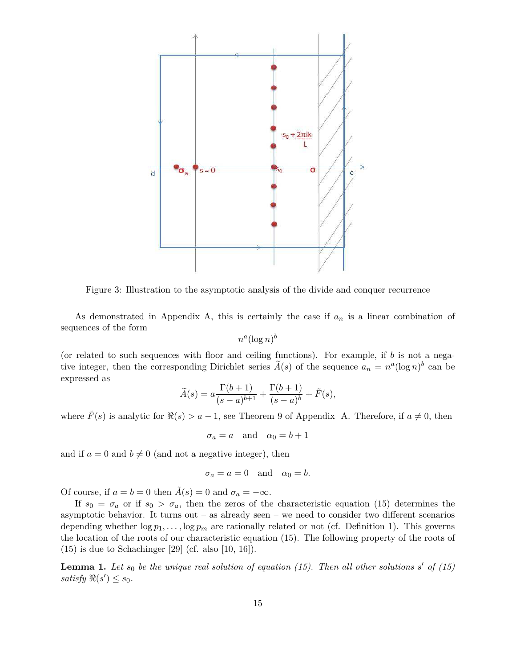

Figure 3: Illustration to the asymptotic analysis of the divide and conquer recurrence

As demonstrated in Appendix A, this is certainly the case if *a<sup>n</sup>* is a linear combination of sequences of the form

$$
n^a(\log n)^b
$$

(or related to such sequences with floor and ceiling functions). For example, if *b* is not a negative integer, then the corresponding Dirichlet series  $\tilde{A}(s)$  of the sequence  $a_n = n^a(\log n)^b$  can be expressed as

$$
\widetilde{A}(s) = a \frac{\Gamma(b+1)}{(s-a)^{b+1}} + \frac{\Gamma(b+1)}{(s-a)^b} + \widetilde{F}(s),
$$

where  $F(s)$  is analytic for  $\Re(s) > a - 1$ , see Theorem 9 of Appendix A. Therefore, if  $a \neq 0$ , then

$$
\sigma_a = a \quad \text{and} \quad \alpha_0 = b + 1
$$

and if  $a = 0$  and  $b \neq 0$  (and not a negative integer), then

$$
\sigma_a = a = 0 \quad \text{and} \quad \alpha_0 = b.
$$

Of course, if  $a = b = 0$  then  $\tilde{A}(s) = 0$  and  $\sigma_a = -\infty$ .

If  $s_0 = \sigma_a$  or if  $s_0 > \sigma_a$ , then the zeros of the characteristic equation (15) determines the asymptotic behavior. It turns out – as already seen – we need to consider two different scenarios depending whether  $\log p_1, \ldots, \log p_m$  are rationally related or not (cf. Definition 1). This governs the location of the roots of our characteristic equation (15). The following property of the roots of  $(15)$  is due to Schachinger [29] (cf. also [10, 16]).

**Lemma 1.** Let  $s_0$  be the unique real solution of equation (15). Then all other solutions  $s'$  of (15)  $satisfy \Re(s') \leq s_0.$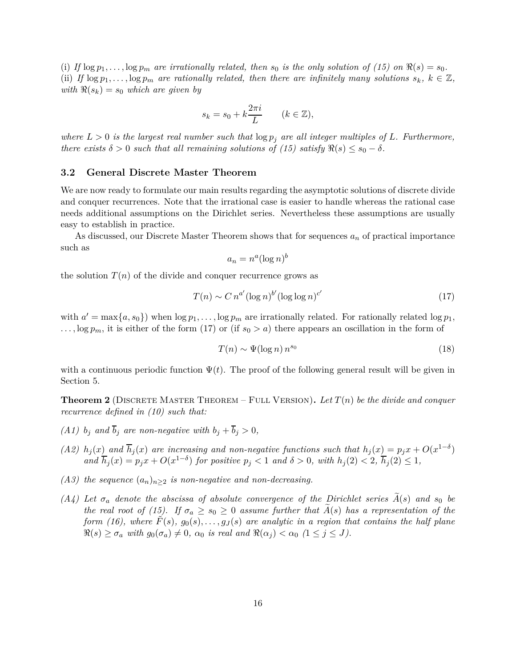(i) If  $\log p_1, \ldots, \log p_m$  are irrationally related, then  $s_0$  is the only solution of (15) on  $\Re(s) = s_0$ . (ii) If  $\log p_1, \ldots, \log p_m$  are rationally related, then there are infinitely many solutions  $s_k, k \in \mathbb{Z}$ , *with*  $\Re(s_k) = s_0$  *which are given by* 

$$
s_k = s_0 + k \frac{2\pi i}{L} \qquad (k \in \mathbb{Z}),
$$

*where*  $L > 0$  *is the largest real number such that*  $\log p_j$  *are all integer multiples of*  $L$ *. Furthermore, there exists*  $\delta > 0$  *such that all remaining solutions of (15) satisfy*  $\Re(s) \leq s_0 - \delta$ *.* 

### **3.2 General Discrete Master Theorem**

We are now ready to formulate our main results regarding the asymptotic solutions of discrete divide and conquer recurrences. Note that the irrational case is easier to handle whereas the rational case needs additional assumptions on the Dirichlet series. Nevertheless these assumptions are usually easy to establish in practice.

As discussed, our Discrete Master Theorem shows that for sequences *a<sup>n</sup>* of practical importance such as

$$
a_n = n^a (\log n)^b
$$

the solution  $T(n)$  of the divide and conquer recurrence grows as

$$
T(n) \sim C n^{a'} (\log n)^{b'} (\log \log n)^{c'}
$$
 (17)

with  $a' = \max\{a, s_0\}$  when  $\log p_1, \ldots, \log p_m$  are irrationally related. For rationally related  $\log p_1$ ,  $\ldots$ ,  $\log p_m$ , it is either of the form (17) or (if  $s_0 > a$ ) there appears an oscillation in the form of

$$
T(n) \sim \Psi(\log n) n^{s_0} \tag{18}
$$

with a continuous periodic function  $\Psi(t)$ . The proof of the following general result will be given in Section 5.

**Theorem 2** (Discrete Master Theorem – Full Version)**.** *Let T*(*n*) *be the divide and conquer recurrence defined in (10) such that:*

- *(A1)*  $b_j$  *and*  $\overline{b}_j$  *are non-negative with*  $b_j + \overline{b}_j > 0$ *,*
- (A2)  $h_j(x)$  and  $\overline{h}_j(x)$  are increasing and non-negative functions such that  $h_j(x) = p_j x + O(x^{1-\delta})$ and  $\overline{h}_j(x) = p_j x + O(x^{1-\delta})$  for positive  $p_j < 1$  and  $\delta > 0$ , with  $h_j(2) < 2$ ,  $\overline{h}_j(2) \le 1$ ,
- *(A3) the sequence*  $(a_n)_{n\geq 2}$  *is non-negative and non-decreasing.*
- $(A4)$  Let  $\sigma_a$  denote the abscissa of absolute convergence of the Dirichlet series  $\overline{A}(s)$  and  $s_0$  be *the real root of (15). If*  $\sigma_a \geq s_0 \geq 0$  *assume further that*  $A(s)$  *has a representation of the form (16), where*  $\tilde{F}(s)$ ,  $g_0(s), \ldots, g_J(s)$  are analytic in a region that contains the half plane  $\Re(s) \geq \sigma_a$  with  $g_0(\sigma_a) \neq 0$ ,  $\alpha_0$  is real and  $\Re(\alpha_j) < \alpha_0$   $(1 \leq j \leq J)$ .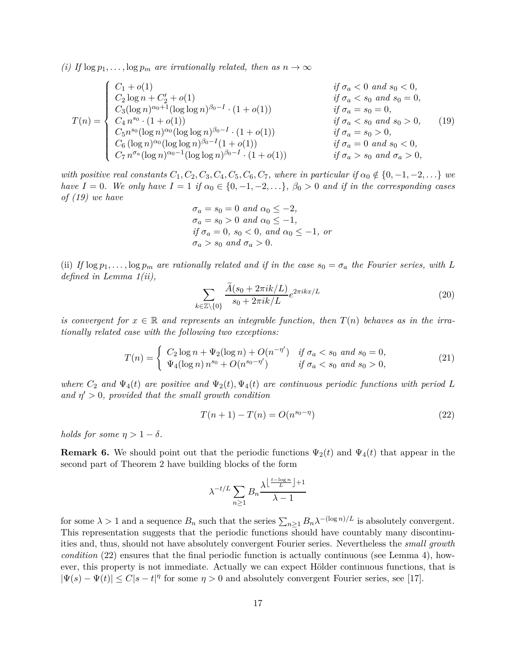*(i)* If  $\log p_1, \ldots, \log p_m$  are irrationally related, then as  $n \to \infty$ 

$$
T(n) = \begin{cases} C_1 + o(1) & \text{if } \sigma_a < 0 \text{ and } s_0 < 0, \\ C_2 \log n + C_2' + o(1) & \text{if } \sigma_a < s_0 \text{ and } s_0 = 0, \\ C_3 (\log n)^{\alpha_0 + 1} (\log \log n)^{\beta_0 - I} \cdot (1 + o(1)) & \text{if } \sigma_a = s_0 = 0, \\ C_4 n^{s_0} \cdot (1 + o(1)) & \text{if } \sigma_a < s_0 \text{ and } s_0 > 0, \\ C_5 n^{s_0} (\log n)^{\alpha_0} (\log \log n)^{\beta_0 - I} \cdot (1 + o(1)) & \text{if } \sigma_a = s_0 > 0, \\ C_6 (\log n)^{\alpha_0} (\log \log n)^{\beta_0 - I} (1 + o(1)) & \text{if } \sigma_a = 0 \text{ and } s_0 < 0, \\ C_7 n^{\sigma_a} (\log n)^{\alpha_0 - 1} (\log \log n)^{\beta_0 - I} \cdot (1 + o(1)) & \text{if } \sigma_a > s_0 \text{ and } \sigma_a > 0, \end{cases} \tag{19}
$$

*with positive real constants*  $C_1, C_2, C_3, C_4, C_5, C_6, C_7$ *, where in particular if*  $\alpha_0 \notin \{0, -1, -2, \ldots\}$  *we have*  $I = 0$ *. We only have*  $I = 1$  *if*  $\alpha_0 \in \{0, -1, -2, \ldots\}$ *,*  $\beta_0 > 0$  *and if in the corresponding cases of (19) we have*

$$
\sigma_a = s_0 = 0 \text{ and } \alpha_0 \le -2,
$$
  
\n
$$
\sigma_a = s_0 > 0 \text{ and } \alpha_0 \le -1,
$$
  
\nif  $\sigma_a = 0$ ,  $s_0 < 0$ , and  $\alpha_0 \le -1$ , or  
\n
$$
\sigma_a > s_0 \text{ and } \sigma_a > 0.
$$

(ii) *If*  $\log p_1, \ldots, \log p_m$  are rationally related and if in the case  $s_0 = \sigma_a$  the Fourier series, with L *defined in Lemma 1(ii),*

$$
\sum_{k \in \mathbb{Z} \setminus \{0\}} \frac{\widetilde{A}(s_0 + 2\pi ik/L)}{s_0 + 2\pi ik/L} e^{2\pi ikx/L} \tag{20}
$$

*is convergent for*  $x \in \mathbb{R}$  *and represents an integrable function, then*  $T(n)$  *behaves as in the irrationally related case with the following two exceptions:*

$$
T(n) = \begin{cases} C_2 \log n + \Psi_2(\log n) + O(n^{-\eta'}) & \text{if } \sigma_a < s_0 \text{ and } s_0 = 0, \\ \Psi_4(\log n) \, n^{s_0} + O(n^{s_0 - \eta'}) & \text{if } \sigma_a < s_0 \text{ and } s_0 > 0, \end{cases} \tag{21}
$$

*where*  $C_2$  *and*  $\Psi_4(t)$  *are positive and*  $\Psi_2(t)$ *,*  $\Psi_4(t)$  *are continuous periodic functions with period L and*  $\eta' > 0$ *, provided that the small growth condition* 

$$
T(n+1) - T(n) = O(n^{s_0 - \eta})
$$
\n(22)

*holds for some*  $\eta > 1 - \delta$ *.* 

**Remark 6.** We should point out that the periodic functions  $\Psi_2(t)$  and  $\Psi_4(t)$  that appear in the second part of Theorem 2 have building blocks of the form

$$
\lambda^{-t/L} \sum_{n\geq 1} B_n \frac{\lambda^{\left\lfloor \frac{t-\log n}{L} \right\rfloor + 1}}{\lambda - 1}
$$

for some  $\lambda > 1$  and a sequence  $B_n$  such that the series  $\sum_{n\geq 1} B_n \lambda^{-(\log n)/L}$  is absolutely convergent. This representation suggests that the periodic functions should have countably many discontinuities and, thus, should not have absolutely convergent Fourier series. Nevertheless the *small growth condition* (22) ensures that the final periodic function is actually continuous (see Lemma 4), however, this property is not immediate. Actually we can expect Hölder continuous functions, that is  $|\Psi(s) - \Psi(t)| \le C|s - t|$ <sup>*η*</sup> for some  $\eta > 0$  and absolutely convergent Fourier series, see [17].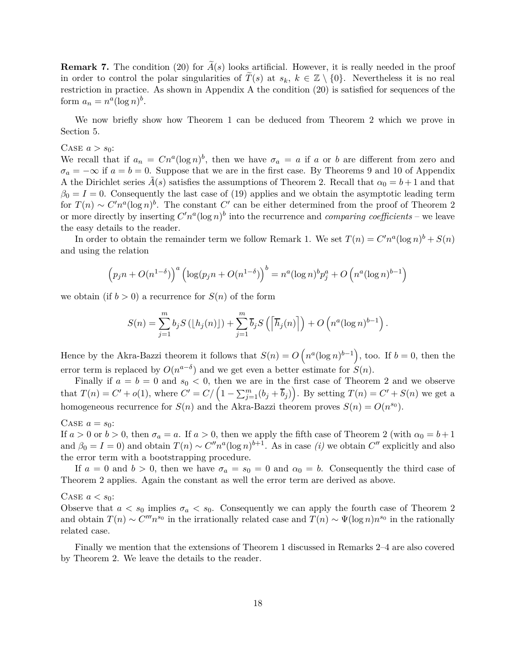**Remark 7.** The condition (20) for  $\tilde{A}(s)$  looks artificial. However, it is really needed in the proof in order to control the polar singularities of  $\tilde{T}(s)$  at  $s_k$ ,  $k \in \mathbb{Z} \setminus \{0\}$ . Nevertheless it is no real restriction in practice. As shown in Appendix A the condition (20) is satisfied for sequences of the form  $a_n = n^a(\log n)^b$ .

We now briefly show how Theorem 1 can be deduced from Theorem 2 which we prove in Section 5.

#### CASE  $a > s_0$ :

We recall that if  $a_n = Cn^a(\log n)^b$ , then we have  $\sigma_a = a$  if *a* or *b* are different from zero and  $\sigma_a = -\infty$  if  $a = b = 0$ . Suppose that we are in the first case. By Theorems 9 and 10 of Appendix A the Dirichlet series  $\tilde{A}(s)$  satisfies the assumptions of Theorem 2. Recall that  $\alpha_0 = b + 1$  and that  $\beta_0 = I = 0$ . Consequently the last case of (19) applies and we obtain the asymptotic leading term for  $T(n) \sim C'n^a(\log n)^b$ . The constant  $C'$  can be either determined from the proof of Theorem 2 or more directly by inserting  $C'n^a(\log n)^b$  into the recurrence and *comparing coefficients* – we leave the easy details to the reader.

In order to obtain the remainder term we follow Remark 1. We set  $T(n) = C'n^a(\log n)^b + S(n)$ and using the relation

$$
(p_j n + O(n^{1-\delta}))^a (\log(p_j n + O(n^{1-\delta}))^b = n^a (\log n)^b p_j^a + O\left(n^a (\log n)^{b-1}\right)
$$

we obtain (if  $b > 0$ ) a recurrence for  $S(n)$  of the form

$$
S(n) = \sum_{j=1}^{m} b_j S\left(\lfloor h_j(n) \rfloor\right) + \sum_{j=1}^{m} \overline{b}_j S\left(\left\lceil \overline{h}_j(n) \right\rceil\right) + O\left(n^a (\log n)^{b-1}\right).
$$

Hence by the Akra-Bazzi theorem it follows that  $S(n) = O(n^a(\log n)^{b-1})$ , too. If  $b = 0$ , then the error term is replaced by  $O(n^{a-\delta})$  and we get even a better estimate for  $S(n)$ .

Finally if  $a = b = 0$  and  $s_0 < 0$ , then we are in the first case of Theorem 2 and we observe that  $T(n) = C' + o(1)$ , where  $C' = C / (1 - \sum_{j=1}^{m} (b_j + \overline{b}_j))$ . By setting  $T(n) = C' + S(n)$  we get a homogeneous recurrence for  $S(n)$  and the Akra-Bazzi theorem proves  $S(n) = O(n^{s_0})$ .

#### CASE  $a = s_0$ :

If  $a > 0$  or  $b > 0$ , then  $\sigma_a = a$ . If  $a > 0$ , then we apply the fifth case of Theorem 2 (with  $\alpha_0 = b + 1$ and  $\beta_0 = I = 0$ ) and obtain  $T(n) \sim C'' n^a (\log n)^{b+1}$ . As in case *(i)* we obtain  $C''$  explicitly and also the error term with a bootstrapping procedure.

If  $a = 0$  and  $b > 0$ , then we have  $\sigma_a = s_0 = 0$  and  $\alpha_0 = b$ . Consequently the third case of Theorem 2 applies. Again the constant as well the error term are derived as above.

#### CASE  $a < s_0$ :

Observe that  $a < s_0$  implies  $\sigma_a < s_0$ . Consequently we can apply the fourth case of Theorem 2 and obtain  $T(n) \sim C^{m} n^{s_0}$  in the irrationally related case and  $T(n) \sim \Psi(\log n) n^{s_0}$  in the rationally related case.

Finally we mention that the extensions of Theorem 1 discussed in Remarks 2–4 are also covered by Theorem 2. We leave the details to the reader.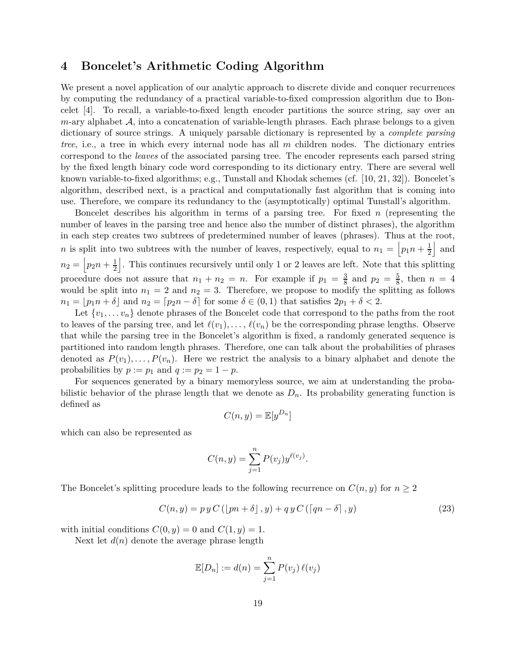# **4 Boncelet's Arithmetic Coding Algorithm**

We present a novel application of our analytic approach to discrete divide and conquer recurrences by computing the redundancy of a practical variable-to-fixed compression algorithm due to Boncelet [4]. To recall, a variable-to-fixed length encoder partitions the source string, say over an  $m$ -ary alphabet  $A$ , into a concatenation of variable-length phrases. Each phrase belongs to a given dictionary of source strings. A uniquely parsable dictionary is represented by a *complete parsing tree*, i.e., a tree in which every internal node has all *m* children nodes. The dictionary entries correspond to the *leaves* of the associated parsing tree. The encoder represents each parsed string by the fixed length binary code word corresponding to its dictionary entry. There are several well known variable-to-fixed algorithms; e.g., Tunstall and Khodak schemes (cf. [10, 21, 32]). Boncelet's algorithm, described next, is a practical and computationally fast algorithm that is coming into use. Therefore, we compare its redundancy to the (asymptotically) optimal Tunstall's algorithm.

Boncelet describes his algorithm in terms of a parsing tree. For fixed *n* (representing the number of leaves in the parsing tree and hence also the number of distinct phrases), the algorithm in each step creates two subtrees of predetermined number of leaves (phrases). Thus at the root, *n* is split into two subtrees with the number of leaves, respectively, equal to  $n_1 = |p_1 n + \frac{1}{2}|$ 2 | and  $n_2 = \left| p_2 n + \frac{1}{2} \right|$ k . This continues recursively until only 1 or 2 leaves are left. Note that this splitting procedure does not assure that  $n_1 + n_2 = n$ . For example if  $p_1 = \frac{3}{8}$  $\frac{3}{8}$  and  $p_2 = \frac{5}{8}$  $\frac{5}{8}$ , then  $n = 4$ would be split into  $n_1 = 2$  and  $n_2 = 3$ . Therefore, we propose to modify the splitting as follows  $n_1 = |p_1 n + \delta|$  and  $n_2 = [p_2 n - \delta]$  for some  $\delta \in (0, 1)$  that satisfies  $2p_1 + \delta < 2$ .

Let  $\{v_1, \ldots v_n\}$  denote phrases of the Boncelet code that correspond to the paths from the root to leaves of the parsing tree, and let  $\ell(v_1), \ldots, \ell(v_n)$  be the corresponding phrase lengths. Observe that while the parsing tree in the Boncelet's algorithm is fixed, a randomly generated sequence is partitioned into random length phrases. Therefore, one can talk about the probabilities of phrases denoted as  $P(v_1), \ldots, P(v_n)$ . Here we restrict the analysis to a binary alphabet and denote the probabilities by  $p := p_1$  and  $q := p_2 = 1 - p$ .

For sequences generated by a binary memoryless source, we aim at understanding the probabilistic behavior of the phrase length that we denote as  $D_n$ . Its probability generating function is defined as

$$
C(n, y) = \mathbb{E}[y^{D_n}]
$$

which can also be represented as

$$
C(n, y) = \sum_{j=1}^{n} P(v_j) y^{\ell(v_j)}.
$$

The Boncelet's splitting procedure leads to the following recurrence on  $C(n, y)$  for  $n \geq 2$ 

$$
C(n, y) = p y C \left( \left[ pn + \delta \right], y \right) + q y C \left( \left[ qn - \delta \right], y \right) \tag{23}
$$

with initial conditions  $C(0, y) = 0$  and  $C(1, y) = 1$ .

Next let  $d(n)$  denote the average phrase length

$$
\mathbb{E}[D_n] := d(n) = \sum_{j=1}^n P(v_j) \,\ell(v_j)
$$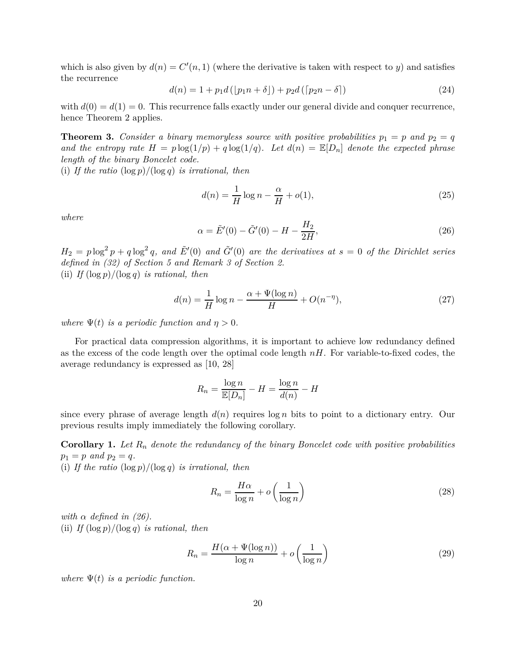which is also given by  $d(n) = C'(n, 1)$  (where the derivative is taken with respect to *y*) and satisfies the recurrence

$$
d(n) = 1 + p_1 d\left(\left[p_1 n + \delta\right]\right) + p_2 d\left(\left[p_2 n - \delta\right]\right)
$$
\n(24)

with  $d(0) = d(1) = 0$ . This recurrence falls exactly under our general divide and conquer recurrence, hence Theorem 2 applies.

**Theorem 3.** *Consider a binary memoryless source with positive probabilities*  $p_1 = p$  *and*  $p_2 = q$ and the entropy rate  $H = p \log(1/p) + q \log(1/q)$ . Let  $d(n) = \mathbb{E}[D_n]$  denote the expected phrase *length of the binary Boncelet code.*

(i) *If the ratio* (log *p*)*/*(log *q*) *is irrational, then*

$$
d(n) = \frac{1}{H}\log n - \frac{\alpha}{H} + o(1),\tag{25}
$$

*where*

$$
\alpha = \tilde{E}'(0) - \tilde{G}'(0) - H - \frac{H_2}{2H},\tag{26}
$$

 $H_2 = p \log^2 p + q \log^2 q$ , and  $\tilde{E}'(0)$  and  $\tilde{G}'(0)$  are the derivatives at  $s = 0$  of the Dirichlet series *defined in (32) of Section 5 and Remark 3 of Section 2.* (ii) *If*  $(\log p)/(\log q)$  *is rational, then* 

$$
d(n) = \frac{1}{H} \log n - \frac{\alpha + \Psi(\log n)}{H} + O(n^{-\eta}),
$$
\n(27)

*where*  $\Psi(t)$  *is a periodic function and*  $\eta > 0$ *.* 

For practical data compression algorithms, it is important to achieve low redundancy defined as the excess of the code length over the optimal code length *nH*. For variable-to-fixed codes, the average redundancy is expressed as [10, 28]

$$
R_n = \frac{\log n}{\mathbb{E}[D_n]} - H = \frac{\log n}{d(n)} - H
$$

since every phrase of average length  $d(n)$  requires  $\log n$  bits to point to a dictionary entry. Our previous results imply immediately the following corollary.

**Corollary 1.** *Let R<sup>n</sup> denote the redundancy of the binary Boncelet code with positive probabilities*  $p_1 = p \text{ and } p_2 = q.$ 

(i) If the ratio  $(\log p)/(\log q)$  *is irrational, then* 

$$
R_n = \frac{H\alpha}{\log n} + o\left(\frac{1}{\log n}\right) \tag{28}
$$

*with*  $\alpha$  *defined in (26).* (ii) *If*  $(\log p)/(\log q)$  *is rational, then* 

$$
R_n = \frac{H(\alpha + \Psi(\log n))}{\log n} + o\left(\frac{1}{\log n}\right)
$$
\n(29)

*where*  $\Psi(t)$  *is a periodic function.*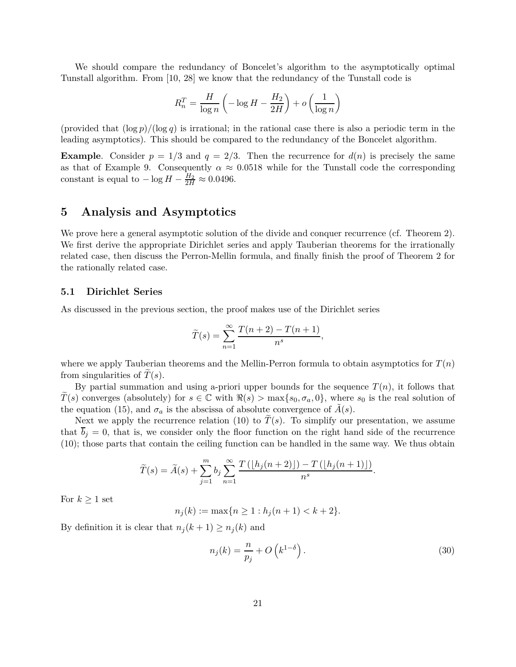We should compare the redundancy of Boncelet's algorithm to the asymptotically optimal Tunstall algorithm. From [10, 28] we know that the redundancy of the Tunstall code is

$$
R_n^T = \frac{H}{\log n} \left( -\log H - \frac{H_2}{2H} \right) + o\left( \frac{1}{\log n} \right)
$$

(provided that  $(\log p)/(\log q)$  is irrational; in the rational case there is also a periodic term in the leading asymptotics). This should be compared to the redundancy of the Boncelet algorithm.

**Example**. Consider  $p = 1/3$  and  $q = 2/3$ . Then the recurrence for  $d(n)$  is precisely the same as that of Example 9. Consequently  $\alpha \approx 0.0518$  while for the Tunstall code the corresponding constant is equal to  $-\log H - \frac{H_2}{2H} \approx 0.0496$ .

### **5 Analysis and Asymptotics**

We prove here a general asymptotic solution of the divide and conquer recurrence (cf. Theorem 2). We first derive the appropriate Dirichlet series and apply Tauberian theorems for the irrationally related case, then discuss the Perron-Mellin formula, and finally finish the proof of Theorem 2 for the rationally related case.

### **5.1 Dirichlet Series**

As discussed in the previous section, the proof makes use of the Dirichlet series

$$
\widetilde{T}(s) = \sum_{n=1}^{\infty} \frac{T(n+2) - T(n+1)}{n^s},
$$

where we apply Tauberian theorems and the Mellin-Perron formula to obtain asymptotics for  $T(n)$ from singularities of  $T(s)$ .

By partial summation and using a-priori upper bounds for the sequence  $T(n)$ , it follows that  $\hat{T}(s)$  converges (absolutely) for  $s \in \mathbb{C}$  with  $\Re(s) > \max\{s_0, \sigma_a, 0\}$ , where  $s_0$  is the real solution of the equation (15), and  $\sigma_a$  is the abscissa of absolute convergence of  $\tilde{A}(s)$ .

Next we apply the recurrence relation (10) to  $T(s)$ . To simplify our presentation, we assume that  $\overline{b}_j = 0$ , that is, we consider only the floor function on the right hand side of the recurrence (10); those parts that contain the ceiling function can be handled in the same way. We thus obtain

$$
\widetilde{T}(s) = \widetilde{A}(s) + \sum_{j=1}^{m} b_j \sum_{n=1}^{\infty} \frac{T\left(\lfloor h_j(n+2)\rfloor\right) - T\left(\lfloor h_j(n+1)\rfloor\right)}{n^s}.
$$

For  $k \geq 1$  set

$$
n_j(k) := \max\{n \ge 1 : h_j(n+1) < k+2\}.
$$

By definition it is clear that  $n_j(k+1) \geq n_j(k)$  and

$$
n_j(k) = \frac{n}{p_j} + O\left(k^{1-\delta}\right). \tag{30}
$$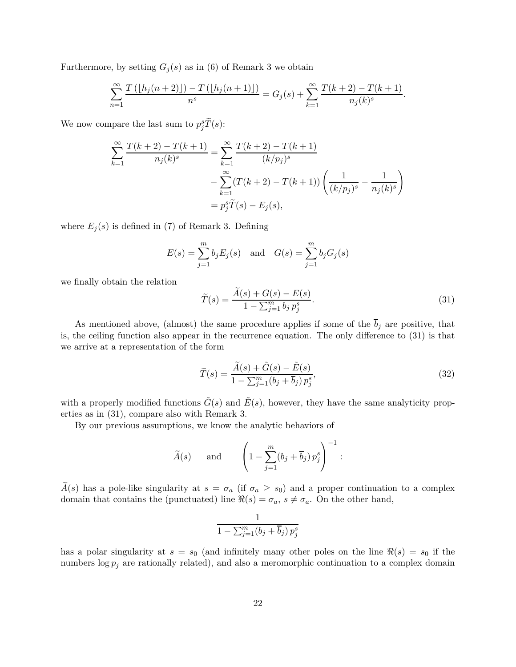Furthermore, by setting  $G_j(s)$  as in (6) of Remark 3 we obtain

$$
\sum_{n=1}^{\infty} \frac{T(\lfloor h_j(n+2)\rfloor) - T(\lfloor h_j(n+1)\rfloor)}{n^s} = G_j(s) + \sum_{k=1}^{\infty} \frac{T(k+2) - T(k+1)}{n_j(k)^s}.
$$

We now compare the last sum to  $p_j^s \tilde{T}(s)$ :

$$
\sum_{k=1}^{\infty} \frac{T(k+2) - T(k+1)}{n_j(k)^s} = \sum_{k=1}^{\infty} \frac{T(k+2) - T(k+1)}{(k/p_j)^s}
$$

$$
-\sum_{k=1}^{\infty} (T(k+2) - T(k+1)) \left( \frac{1}{(k/p_j)^s} - \frac{1}{n_j(k)^s} \right)
$$

$$
= p_j^s \tilde{T}(s) - E_j(s),
$$

where  $E_i(s)$  is defined in (7) of Remark 3. Defining

$$
E(s) = \sum_{j=1}^{m} b_j E_j(s)
$$
 and  $G(s) = \sum_{j=1}^{m} b_j G_j(s)$ 

we finally obtain the relation

$$
\widetilde{T}(s) = \frac{\widetilde{A}(s) + G(s) - E(s)}{1 - \sum_{j=1}^{m} b_j p_j^s}.
$$
\n(31)

As mentioned above, (almost) the same procedure applies if some of the  $\overline{b}_j$  are positive, that is, the ceiling function also appear in the recurrence equation. The only difference to (31) is that we arrive at a representation of the form

$$
\widetilde{T}(s) = \frac{\widetilde{A}(s) + \widetilde{G}(s) - \widetilde{E}(s)}{1 - \sum_{j=1}^{m} (b_j + \overline{b}_j) p_j^s},\tag{32}
$$

with a properly modified functions  $\tilde{G}(s)$  and  $\tilde{E}(s)$ , however, they have the same analyticity properties as in (31), compare also with Remark 3.

By our previous assumptions, we know the analytic behaviors of

$$
\widetilde{A}(s)
$$
 and  $\left(1 - \sum_{j=1}^{m} (b_j + \overline{b}_j) p_j^s\right)^{-1}$ :

 $\widetilde{A}(s)$  has a pole-like singularity at  $s = \sigma_a$  (if  $\sigma_a \geq s_0$ ) and a proper continuation to a complex domain that contains the (punctuated) line  $\Re(s) = \sigma_a$ ,  $s \neq \sigma_a$ . On the other hand,

$$
\frac{1}{1 - \sum_{j=1}^{m} (b_j + \overline{b}_j) p_j^s}
$$

has a polar singularity at  $s = s_0$  (and infinitely many other poles on the line  $\Re(s) = s_0$  if the numbers  $\log p_j$  are rationally related), and also a meromorphic continuation to a complex domain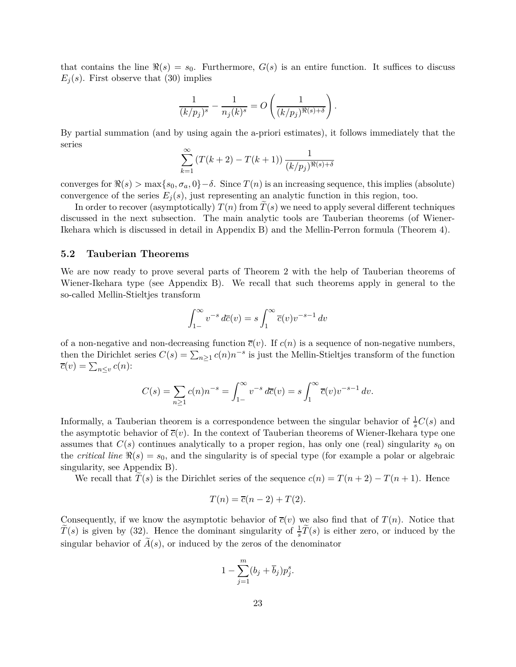that contains the line  $\Re(s) = s_0$ . Furthermore,  $G(s)$  is an entire function. It suffices to discuss  $E_j(s)$ . First observe that (30) implies

$$
\frac{1}{(k/p_j)^s}-\frac{1}{n_j(k)^s}=O\left(\frac{1}{(k/p_j)^{\Re(s)+\delta}}\right).
$$

By partial summation (and by using again the a-priori estimates), it follows immediately that the series

$$
\sum_{k=1}^{\infty} (T(k+2) - T(k+1)) \frac{1}{(k/p_j)^{\Re(s) + \delta}}
$$

converges for  $\Re(s) > \max\{s_0, \sigma_a, 0\} - \delta$ . Since  $T(n)$  is an increasing sequence, this implies (absolute) convergence of the series  $E_i(s)$ , just representing an analytic function in this region, too.

In order to recover (asymptotically)  $T(n)$  from  $T(s)$  we need to apply several different techniques discussed in the next subsection. The main analytic tools are Tauberian theorems (of Wiener-Ikehara which is discussed in detail in Appendix B) and the Mellin-Perron formula (Theorem 4).

### **5.2 Tauberian Theorems**

We are now ready to prove several parts of Theorem 2 with the help of Tauberian theorems of Wiener-Ikehara type (see Appendix B). We recall that such theorems apply in general to the so-called Mellin-Stieltjes transform

$$
\int_{1-}^{\infty} v^{-s} d\overline{c}(v) = s \int_{1}^{\infty} \overline{c}(v) v^{-s-1} dv
$$

of a non-negative and non-decreasing function  $\overline{c}(v)$ . If  $c(n)$  is a sequence of non-negative numbers, then the Dirichlet series  $C(s) = \sum_{n\geq 1} c(n)n^{-s}$  is just the Mellin-Stieltjes transform of the function  $\overline{c}(v) = \sum_{n \leq v} c(n)$ :

$$
C(s) = \sum_{n\geq 1} c(n) n^{-s} = \int_{1-}^{\infty} v^{-s} d\overline{c}(v) = s \int_{1}^{\infty} \overline{c}(v) v^{-s-1} dv.
$$

Informally, a Tauberian theorem is a correspondence between the singular behavior of  $\frac{1}{s}C(s)$  and the asymptotic behavior of  $\bar{c}(v)$ . In the context of Tauberian theorems of Wiener-Ikehara type one assumes that  $C(s)$  continues analytically to a proper region, has only one (real) singularity  $s_0$  on the *critical line*  $\Re(s) = s_0$ , and the singularity is of special type (for example a polar or algebraic singularity, see Appendix B).

We recall that  $T(s)$  is the Dirichlet series of the sequence  $c(n) = T(n+2) - T(n+1)$ . Hence

$$
T(n) = \overline{c}(n-2) + T(2).
$$

Consequently, if we know the asymptotic behavior of  $\overline{c}(v)$  we also find that of  $T(n)$ . Notice that  $\widetilde{T}(s)$  is given by (32). Hence the dominant singularity of  $\frac{1}{s}\widetilde{T}(s)$  is either zero, or induced by the singular behavior of  $\tilde{A}(s)$ , or induced by the zeros of the denominator

$$
1 - \sum_{j=1}^{m} (b_j + \overline{b}_j) p_j^s.
$$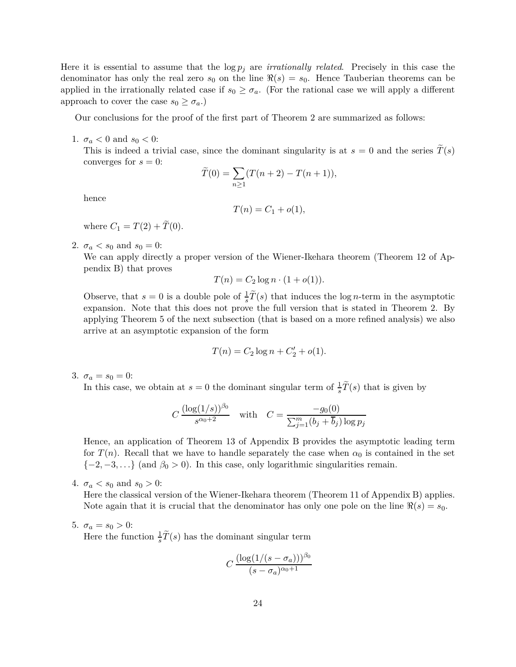Here it is essential to assume that the log *p<sup>j</sup>* are *irrationally related*. Precisely in this case the denominator has only the real zero  $s_0$  on the line  $\Re(s) = s_0$ . Hence Tauberian theorems can be applied in the irrationally related case if  $s_0 \geq \sigma_a$ . (For the rational case we will apply a different approach to cover the case  $s_0 \geq \sigma_a$ .)

Our conclusions for the proof of the first part of Theorem 2 are summarized as follows:

1.  $\sigma_a < 0$  and  $s_0 < 0$ :

This is indeed a trivial case, since the dominant singularity is at  $s = 0$  and the series  $T(s)$ converges for  $s = 0$ :

$$
\widetilde{T}(0) = \sum_{n \ge 1} (T(n+2) - T(n+1)),
$$

hence

$$
T(n) = C_1 + o(1),
$$

where  $C_1 = T(2) + \tilde{T}(0)$ .

2.  $\sigma_a < s_0$  and  $s_0 = 0$ :

We can apply directly a proper version of the Wiener-Ikehara theorem (Theorem 12 of Appendix B) that proves

$$
T(n) = C_2 \log n \cdot (1 + o(1)).
$$

Observe, that  $s = 0$  is a double pole of  $\frac{1}{s}\tilde{T}(s)$  that induces the log *n*-term in the asymptotic expansion. Note that this does not prove the full version that is stated in Theorem 2. By applying Theorem 5 of the next subsection (that is based on a more refined analysis) we also arrive at an asymptotic expansion of the form

$$
T(n) = C_2 \log n + C'_2 + o(1).
$$

3.  $\sigma_a = s_0 = 0$ :

In this case, we obtain at  $s = 0$  the dominant singular term of  $\frac{1}{s}\tilde{T}(s)$  that is given by

$$
C \frac{(\log(1/s))^{\beta_0}}{s^{\alpha_0+2}} \quad \text{with} \quad C = \frac{-g_0(0)}{\sum_{j=1}^m (b_j + \overline{b}_j) \log p_j}
$$

Hence, an application of Theorem 13 of Appendix B provides the asymptotic leading term for  $T(n)$ . Recall that we have to handle separately the case when  $\alpha_0$  is contained in the set  ${-2, -3, \ldots}$  (and  $\beta_0 > 0$ ). In this case, only logarithmic singularities remain.

4.  $\sigma_a < s_0$  and  $s_0 > 0$ :

Here the classical version of the Wiener-Ikehara theorem (Theorem 11 of Appendix B) applies. Note again that it is crucial that the denominator has only one pole on the line  $\Re(s) = s_0$ .

5.  $\sigma_a = s_0 > 0$ :

Here the function  $\frac{1}{s}\tilde{T}(s)$  has the dominant singular term

$$
C \frac{(\log(1/(s - \sigma_a)))^{\beta_0}}{(s - \sigma_a)^{\alpha_0 + 1}}
$$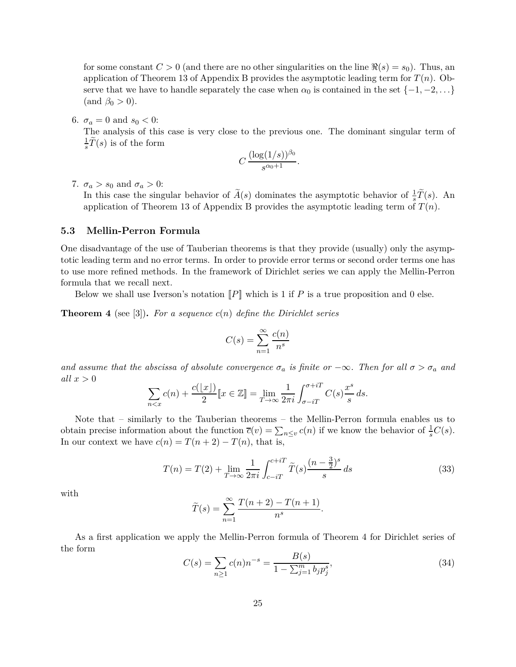for some constant  $C > 0$  (and there are no other singularities on the line  $\Re(s) = s_0$ ). Thus, an application of Theorem 13 of Appendix B provides the asymptotic leading term for *T*(*n*). Observe that we have to handle separately the case when  $\alpha_0$  is contained in the set  $\{-1, -2, \ldots\}$  $(\text{and } \beta_0 > 0).$ 

6.  $\sigma_a = 0$  and  $s_0 < 0$ :

The analysis of this case is very close to the previous one. The dominant singular term of 1  $\frac{1}{s}T(s)$  is of the form

$$
C\,\frac{(\log(1/s))^{\beta_0}}{s^{\alpha_0+1}}.
$$

7.  $\sigma_a > s_0$  and  $\sigma_a > 0$ :

In this case the singular behavior of  $\tilde{A}(s)$  dominates the asymptotic behavior of  $\frac{1}{s}\tilde{T}(s)$ . An application of Theorem 13 of Appendix B provides the asymptotic leading term of  $T(n)$ .

### **5.3 Mellin-Perron Formula**

One disadvantage of the use of Tauberian theorems is that they provide (usually) only the asymptotic leading term and no error terms. In order to provide error terms or second order terms one has to use more refined methods. In the framework of Dirichlet series we can apply the Mellin-Perron formula that we recall next.

Below we shall use Iverson's notation  $\llbracket P \rrbracket$  which is 1 if P is a true proposition and 0 else.

**Theorem 4** (see [3])**.** *For a sequence c*(*n*) *define the Dirichlet series*

$$
C(s) = \sum_{n=1}^{\infty} \frac{c(n)}{n^s}
$$

*and assume that the abscissa of absolute convergence*  $\sigma_a$  *is finite or*  $-\infty$ *. Then for all*  $\sigma > \sigma_a$  *and all x >* 0

$$
\sum_{n < x} c(n) + \frac{c(\lfloor x \rfloor)}{2} \llbracket x \in \mathbb{Z} \rrbracket = \lim_{T \to \infty} \frac{1}{2\pi i} \int_{\sigma - iT}^{\sigma + iT} C(s) \frac{x^s}{s} ds.
$$

Note that – similarly to the Tauberian theorems – the Mellin-Perron formula enables us to obtain precise information about the function  $\overline{c}(v) = \sum_{n \leq v} c(n)$  if we know the behavior of  $\frac{1}{s}C(s)$ . In our context we have  $c(n) = T(n+2) - T(n)$ , that is,

$$
T(n) = T(2) + \lim_{T \to \infty} \frac{1}{2\pi i} \int_{c-iT}^{c+iT} \tilde{T}(s) \frac{(n-\frac{3}{2})^s}{s} ds
$$
 (33)

with

$$
\widetilde{T}(s) = \sum_{n=1}^{\infty} \frac{T(n+2) - T(n+1)}{n^s}
$$

As a first application we apply the Mellin-Perron formula of Theorem 4 for Dirichlet series of the form

$$
C(s) = \sum_{n\geq 1} c(n)n^{-s} = \frac{B(s)}{1 - \sum_{j=1}^{m} b_j p_j^s},
$$
\n(34)

*.*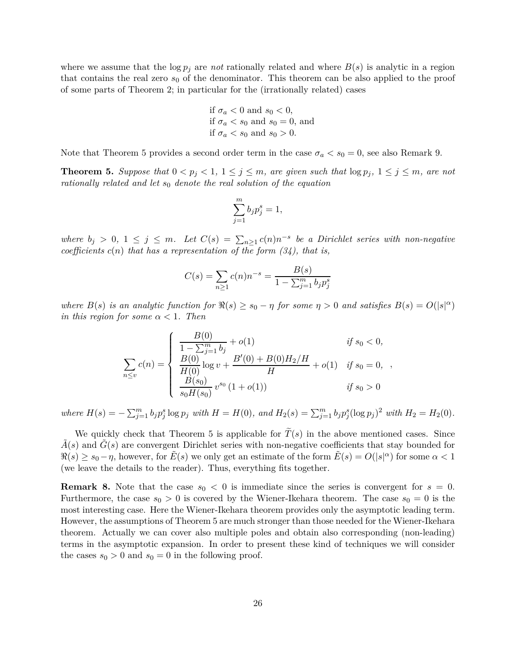where we assume that the  $\log p_j$  are *not* rationally related and where  $B(s)$  is analytic in a region that contains the real zero  $s<sub>0</sub>$  of the denominator. This theorem can be also applied to the proof of some parts of Theorem 2; in particular for the (irrationally related) cases

if 
$$
\sigma_a < 0
$$
 and  $s_0 < 0$ ,  
if  $\sigma_a < s_0$  and  $s_0 = 0$ , and  
if  $\sigma_a < s_0$  and  $s_0 > 0$ .

Note that Theorem 5 provides a second order term in the case  $\sigma_a < s_0 = 0$ , see also Remark 9.

**Theorem 5.** Suppose that  $0 < p_j < 1$ ,  $1 \leq j \leq m$ , are given such that  $\log p_j$ ,  $1 \leq j \leq m$ , are not *rationally related and let s*<sup>0</sup> *denote the real solution of the equation*

$$
\sum_{j=1}^{m} b_j p_j^s = 1,
$$

*where*  $b_j$  > 0, 1 ≤ *j* ≤ *m*. Let  $C(s) = \sum_{n\geq 1} c(n)n^{-s}$  be a Dirichlet series with non-negative *coefficients*  $c(n)$  *that has a representation of the form*  $(34)$ *, that is,* 

$$
C(s) = \sum_{n\geq 1} c(n)n^{-s} = \frac{B(s)}{1 - \sum_{j=1}^{m} b_j p_j^s}
$$

*where*  $B(s)$  *is an analytic function for*  $\Re(s) \ge s_0 - \eta$  *for some*  $\eta > 0$  *and satisfies*  $B(s) = O(|s|^{\alpha})$ *in this region for some*  $\alpha < 1$ *. Then* 

$$
\sum_{n \le v} c(n) = \begin{cases}\n\frac{B(0)}{1 - \sum_{j=1}^{m} b_j} + o(1) & \text{if } s_0 < 0, \\
\frac{B(0)}{H(0)} \log v + \frac{B'(0) + B(0)H_2/H}{H} + o(1) & \text{if } s_0 = 0, \\
\frac{B(s_0)}{s_0 H(s_0)} v^{s_0} (1 + o(1)) & \text{if } s_0 > 0\n\end{cases}
$$

*,*

where  $H(s) = -\sum_{j=1}^{m} b_j p_j^s \log p_j$  with  $H = H(0)$ , and  $H_2(s) = \sum_{j=1}^{m} b_j p_j^s (\log p_j)^2$  with  $H_2 = H_2(0)$ .

We quickly check that Theorem 5 is applicable for  $\tilde{T}(s)$  in the above mentioned cases. Since  $A(s)$  and  $G(s)$  are convergent Dirichlet series with non-negative coefficients that stay bounded for  $\Re(s) \ge s_0 - \eta$ , however, for  $\tilde{E}(s)$  we only get an estimate of the form  $\tilde{E}(s) = O(|s|^\alpha)$  for some  $\alpha < 1$ (we leave the details to the reader). Thus, everything fits together.

**Remark 8.** Note that the case  $s_0 < 0$  is immediate since the series is convergent for  $s = 0$ . Furthermore, the case  $s_0 > 0$  is covered by the Wiener-Ikehara theorem. The case  $s_0 = 0$  is the most interesting case. Here the Wiener-Ikehara theorem provides only the asymptotic leading term. However, the assumptions of Theorem 5 are much stronger than those needed for the Wiener-Ikehara theorem. Actually we can cover also multiple poles and obtain also corresponding (non-leading) terms in the asymptotic expansion. In order to present these kind of techniques we will consider the cases  $s_0 > 0$  and  $s_0 = 0$  in the following proof.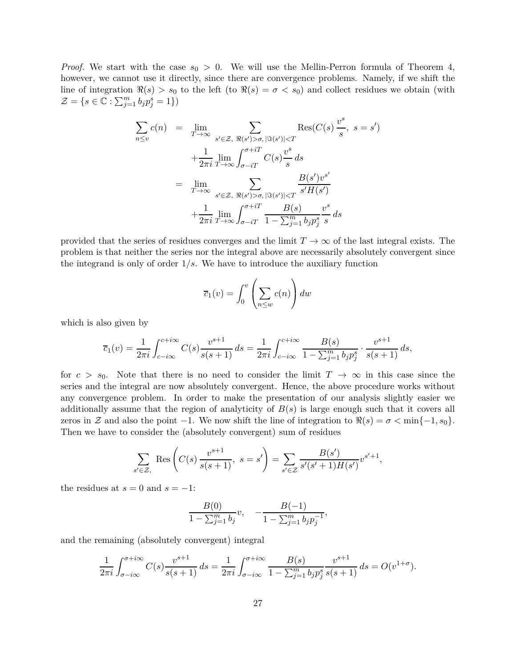*Proof.* We start with the case  $s_0 > 0$ . We will use the Mellin-Perron formula of Theorem 4, however, we cannot use it directly, since there are convergence problems. Namely, if we shift the line of integration  $\Re(s) > s_0$  to the left (to  $\Re(s) = \sigma < s_0$ ) and collect residues we obtain (with  $\mathcal{Z} = \{ s \in \mathbb{C} : \sum_{j=1}^{m} b_j p_j^s = 1 \}$ 

$$
\sum_{n\leq v} c(n) = \lim_{T \to \infty} \sum_{s' \in \mathcal{Z}, \ \Re(s') > \sigma, |\Im(s')| < T} \text{Res}(C(s) \frac{v^s}{s}, \ s = s')
$$
  
+ 
$$
\frac{1}{2\pi i} \lim_{T \to \infty} \int_{\sigma - iT}^{\sigma + iT} C(s) \frac{v^s}{s} ds
$$
  
= 
$$
\lim_{T \to \infty} \sum_{s' \in \mathcal{Z}, \ \Re(s') > \sigma, |\Im(s')| < T} \frac{B(s')v^{s'}}{s'H(s')}
$$
  
+ 
$$
\frac{1}{2\pi i} \lim_{T \to \infty} \int_{\sigma - iT}^{\sigma + iT} \frac{B(s)}{1 - \sum_{j=1}^m b_j p_j^s} \frac{v^s}{s} ds
$$

provided that the series of residues converges and the limit  $T \to \infty$  of the last integral exists. The problem is that neither the series nor the integral above are necessarily absolutely convergent since the integrand is only of order 1*/s*. We have to introduce the auxiliary function

$$
\overline{c}_1(v) = \int_0^v \left(\sum_{n \le w} c(n)\right) dw
$$

which is also given by

$$
\overline{c}_1(v) = \frac{1}{2\pi i} \int_{c-i\infty}^{c+i\infty} C(s) \frac{v^{s+1}}{s(s+1)} ds = \frac{1}{2\pi i} \int_{c-i\infty}^{c+i\infty} \frac{B(s)}{1 - \sum_{j=1}^m b_j p_j^s} \cdot \frac{v^{s+1}}{s(s+1)} ds,
$$

for  $c > s_0$ . Note that there is no need to consider the limit  $T \to \infty$  in this case since the series and the integral are now absolutely convergent. Hence, the above procedure works without any convergence problem. In order to make the presentation of our analysis slightly easier we additionally assume that the region of analyticity of  $B(s)$  is large enough such that it covers all zeros in Z and also the point  $-1$ . We now shift the line of integration to  $\Re(s) = \sigma < \min\{-1, s_0\}$ . Then we have to consider the (absolutely convergent) sum of residues

$$
\sum_{s' \in \mathcal{Z},} \text{Res}\left(C(s) \frac{v^{s+1}}{s(s+1)}, \ s = s'\right) = \sum_{s' \in \mathcal{Z}} \frac{B(s')}{s'(s'+1)H(s')} v^{s'+1},
$$

the residues at  $s = 0$  and  $s = -1$ :

$$
\frac{B(0)}{1 - \sum_{j=1}^{m} b_j} v, \quad -\frac{B(-1)}{1 - \sum_{j=1}^{m} b_j p_j^{-1}},
$$

and the remaining (absolutely convergent) integral

$$
\frac{1}{2\pi i} \int_{\sigma - i\infty}^{\sigma + i\infty} C(s) \frac{v^{s+1}}{s(s+1)} ds = \frac{1}{2\pi i} \int_{\sigma - i\infty}^{\sigma + i\infty} \frac{B(s)}{1 - \sum_{j=1}^m b_j p_j^s} \frac{v^{s+1}}{s(s+1)} ds = O(v^{1+\sigma}).
$$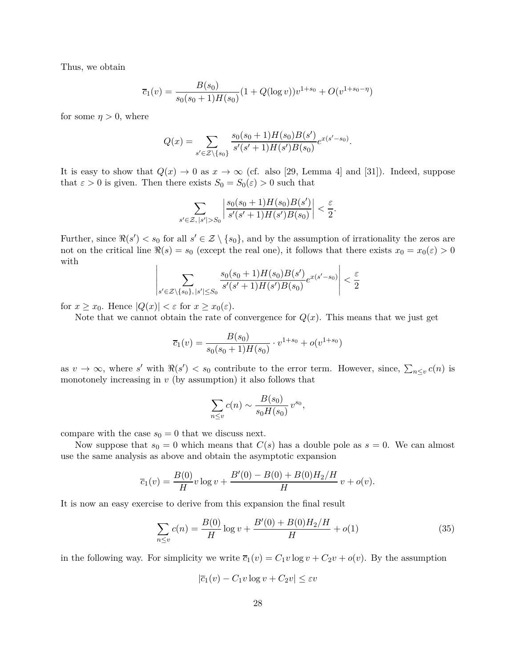Thus, we obtain

$$
\overline{c}_1(v) = \frac{B(s_0)}{s_0(s_0+1)H(s_0)}(1+Q(\log v))v^{1+s_0} + O(v^{1+s_0-\eta})
$$

for some  $\eta > 0$ , where

$$
Q(x) = \sum_{s' \in \mathcal{Z} \setminus \{s_0\}} \frac{s_0(s_0 + 1)H(s_0)B(s')}{s'(s' + 1)H(s')B(s_0)} e^{x(s' - s_0)}.
$$

It is easy to show that  $Q(x) \to 0$  as  $x \to \infty$  (cf. also [29, Lemma 4] and [31]). Indeed, suppose that  $\varepsilon > 0$  is given. Then there exists  $S_0 = S_0(\varepsilon) > 0$  such that

$$
\sum_{s' \in \mathcal{Z}, |s'| > S_0} \left| \frac{s_0(s_0 + 1)H(s_0)B(s')}{s'(s' + 1)H(s')B(s_0)} \right| < \frac{\varepsilon}{2}.
$$

Further, since  $\Re(s') < s_0$  for all  $s' \in \mathcal{Z} \setminus \{s_0\}$ , and by the assumption of irrationality the zeros are not on the critical line  $\Re(s) = s_0$  (except the real one), it follows that there exists  $x_0 = x_0(\varepsilon) > 0$ with  $\overline{\phantom{a}}$  $\mathbf{I}$ 

$$
\left| \sum_{s' \in \mathcal{Z} \setminus \{s_0\}, |s'| \le S_0} \frac{s_0(s_0+1)H(s_0)B(s')}{s'(s'+1)H(s')B(s_0)} e^{x(s'-s_0)} \right| < \frac{\varepsilon}{2}
$$

for  $x \geq x_0$ . Hence  $|Q(x)| < \varepsilon$  for  $x \geq x_0(\varepsilon)$ .

Note that we cannot obtain the rate of convergence for  $Q(x)$ . This means that we just get

$$
\overline{c}_1(v) = \frac{B(s_0)}{s_0(s_0+1)H(s_0)} \cdot v^{1+s_0} + o(v^{1+s_0})
$$

as  $v \to \infty$ , where *s'* with  $\Re(s') < s_0$  contribute to the error term. However, since,  $\sum_{n \leq v} c(n)$  is monotonely increasing in *v* (by assumption) it also follows that

$$
\sum_{n \le v} c(n) \sim \frac{B(s_0)}{s_0 H(s_0)} v^{s_0},
$$

compare with the case  $s_0 = 0$  that we discuss next.

Now suppose that  $s_0 = 0$  which means that  $C(s)$  has a double pole as  $s = 0$ . We can almost use the same analysis as above and obtain the asymptotic expansion

$$
\overline{c}_1(v) = \frac{B(0)}{H}v \log v + \frac{B'(0) - B(0) + B(0)H_2/H}{H}v + o(v).
$$

It is now an easy exercise to derive from this expansion the final result

$$
\sum_{n \le v} c(n) = \frac{B(0)}{H} \log v + \frac{B'(0) + B(0)H_2/H}{H} + o(1)
$$
\n(35)

in the following way. For simplicity we write  $\overline{c}_1(v) = C_1 v \log v + C_2 v + o(v)$ . By the assumption

$$
|\overline{c}_1(v) - C_1 v \log v + C_2 v| \le \varepsilon v
$$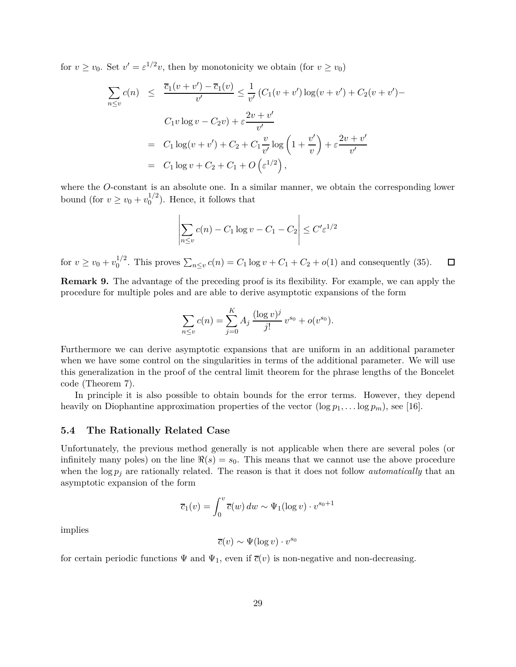for  $v \ge v_0$ . Set  $v' = \varepsilon^{1/2}v$ , then by monotonicity we obtain (for  $v \ge v_0$ )

$$
\sum_{n \le v} c(n) \le \frac{\overline{c}_1(v + v') - \overline{c}_1(v)}{v'} \le \frac{1}{v'} \left( C_1(v + v') \log(v + v') + C_2(v + v') \right)
$$
  

$$
C_1 v \log v - C_2 v + \varepsilon \frac{2v + v'}{v'}
$$
  

$$
= C_1 \log(v + v') + C_2 + C_1 \frac{v}{v'} \log \left( 1 + \frac{v'}{v} \right) + \varepsilon \frac{2v + v'}{v'}
$$
  

$$
= C_1 \log v + C_2 + C_1 + O\left(\varepsilon^{1/2}\right),
$$

where the *O*-constant is an absolute one. In a similar manner, we obtain the corresponding lower bound (for  $v \ge v_0 + v_0^{1/2}$  $_0^{1/2}$ ). Hence, it follows that

$$
\left| \sum_{n \le v} c(n) - C_1 \log v - C_1 - C_2 \right| \le C' \varepsilon^{1/2}
$$

for  $v \ge v_0 + v_0^{1/2}$ <sup>1/2</sup>. This proves  $\sum_{n \le v} c(n) = C_1 \log v + C_1 + C_2 + o(1)$  and consequently (35).  $\Box$ 

**Remark 9.** The advantage of the preceding proof is its flexibility. For example, we can apply the procedure for multiple poles and are able to derive asymptotic expansions of the form

$$
\sum_{n \leq v} c(n) = \sum_{j=0}^{K} A_j \, \frac{(\log v)^j}{j!} \, v^{s_0} + o(v^{s_0}).
$$

Furthermore we can derive asymptotic expansions that are uniform in an additional parameter when we have some control on the singularities in terms of the additional parameter. We will use this generalization in the proof of the central limit theorem for the phrase lengths of the Boncelet code (Theorem 7).

In principle it is also possible to obtain bounds for the error terms. However, they depend heavily on Diophantine approximation properties of the vector  $(\log p_1, \ldots \log p_m)$ , see [16].

### **5.4 The Rationally Related Case**

Unfortunately, the previous method generally is not applicable when there are several poles (or infinitely many poles) on the line  $\Re(s) = s_0$ . This means that we cannot use the above procedure when the  $\log p_j$  are rationally related. The reason is that it does not follow *automatically* that an asymptotic expansion of the form

$$
\overline{c}_1(v) = \int_0^v \overline{c}(w) \, dw \sim \Psi_1(\log v) \cdot v^{s_0+1}
$$

implies

$$
\overline{c}(v) \sim \Psi(\log v) \cdot v^{s_0}
$$

for certain periodic functions  $\Psi$  and  $\Psi_1$ , even if  $\overline{c}(v)$  is non-negative and non-decreasing.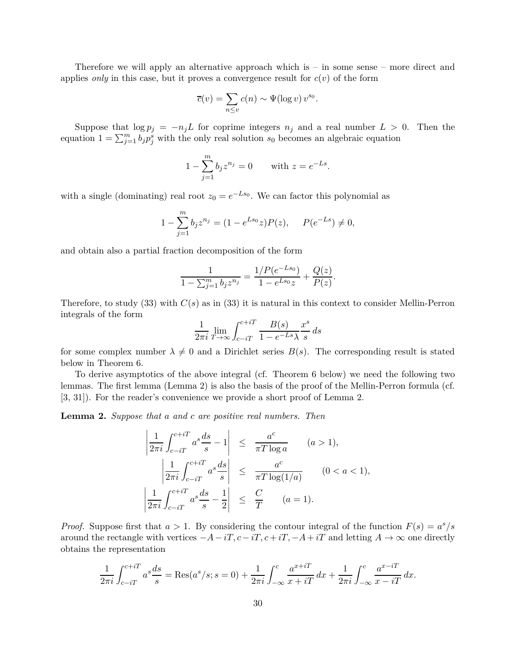Therefore we will apply an alternative approach which is – in some sense – more direct and applies *only* in this case, but it proves a convergence result for  $c(v)$  of the form

$$
\overline{c}(v) = \sum_{n \le v} c(n) \sim \Psi(\log v) v^{s_0}.
$$

Suppose that  $\log p_j = -n_j L$  for coprime integers  $n_j$  and a real number  $L > 0$ . Then the equation  $1 = \sum_{j=1}^{m} b_j p_j^s$  with the only real solution  $s_0$  becomes an algebraic equation

$$
1 - \sum_{j=1}^{m} b_j z^{n_j} = 0
$$
 with  $z = e^{-Ls}$ .

with a single (dominating) real root  $z_0 = e^{-Ls_0}$ . We can factor this polynomial as

$$
1 - \sum_{j=1}^{m} b_j z^{n_j} = (1 - e^{Ls_0} z) P(z), \quad P(e^{-Ls}) \neq 0,
$$

and obtain also a partial fraction decomposition of the form

$$
\frac{1}{1 - \sum_{j=1}^{m} b_j z^{n_j}} = \frac{1/P(e^{-Ls_0})}{1 - e^{Ls_0}z} + \frac{Q(z)}{P(z)}.
$$

Therefore, to study  $(33)$  with  $C(s)$  as in  $(33)$  it is natural in this context to consider Mellin-Perron integrals of the form

$$
\frac{1}{2\pi i} \lim_{T \to \infty} \int_{c-iT}^{c+iT} \frac{B(s)}{1 - e^{-Ls}\lambda} \frac{x^s}{s} ds
$$

for some complex number  $\lambda \neq 0$  and a Dirichlet series  $B(s)$ . The corresponding result is stated below in Theorem 6.

To derive asymptotics of the above integral (cf. Theorem 6 below) we need the following two lemmas. The first lemma (Lemma 2) is also the basis of the proof of the Mellin-Perron formula (cf. [3, 31]). For the reader's convenience we provide a short proof of Lemma 2.

**Lemma 2.** *Suppose that a and c are positive real numbers. Then*

$$
\left| \frac{1}{2\pi i} \int_{c-iT}^{c+iT} a^s \frac{ds}{s} - 1 \right| \leq \frac{a^c}{\pi T \log a} \qquad (a > 1),
$$
  

$$
\left| \frac{1}{2\pi i} \int_{c-iT}^{c+iT} a^s \frac{ds}{s} \right| \leq \frac{a^c}{\pi T \log(1/a)} \qquad (0 < a < 1),
$$
  

$$
\left| \frac{1}{2\pi i} \int_{c-iT}^{c+iT} a^s \frac{ds}{s} - \frac{1}{2} \right| \leq \frac{C}{T} \qquad (a = 1).
$$

*Proof.* Suppose first that  $a > 1$ . By considering the contour integral of the function  $F(s) = a^s/s$ around the rectangle with vertices  $-A-iT$ ,  $c-iT$ ,  $c+iT$ ,  $-A+iT$  and letting  $A \to \infty$  one directly obtains the representation

$$
\frac{1}{2\pi i} \int_{c-iT}^{c+iT} a^s \frac{ds}{s} = \text{Res}(a^s/s; s=0) + \frac{1}{2\pi i} \int_{-\infty}^c \frac{a^{x+iT}}{x+iT} dx + \frac{1}{2\pi i} \int_{-\infty}^c \frac{a^{x-iT}}{x-iT} dx.
$$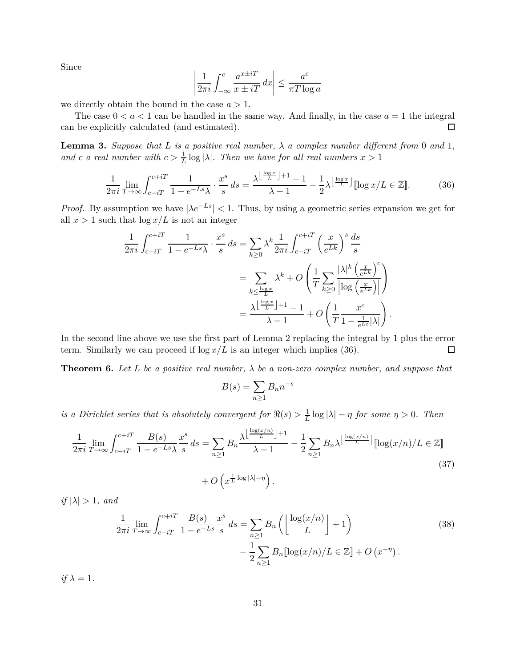Since

$$
\left| \frac{1}{2\pi i} \int_{-\infty}^{c} \frac{a^{x \pm iT}}{x \pm iT} dx \right| \leq \frac{a^c}{\pi T \log a}
$$

we directly obtain the bound in the case *a >* 1.

The case  $0 < a < 1$  can be handled in the same way. And finally, in the case  $a = 1$  the integral can be explicitly calculated (and estimated). 口

**Lemma 3.** Suppose that L is a positive real number,  $\lambda$  a complex number different from 0 and 1, *and c a* real number with  $c > \frac{1}{L} \log |\lambda|$ . Then we have for all real numbers  $x > 1$ 

$$
\frac{1}{2\pi i} \lim_{T \to \infty} \int_{c-iT}^{c+iT} \frac{1}{1 - e^{-Ls}\lambda} \cdot \frac{x^s}{s} ds = \frac{\lambda^{\left\lfloor \frac{\log x}{L} \right\rfloor + 1} - 1}{\lambda - 1} - \frac{1}{2} \lambda^{\left\lfloor \frac{\log x}{L} \right\rfloor} [\log x/L \in \mathbb{Z}]. \tag{36}
$$

*Proof.* By assumption we have  $|\lambda e^{-Ls}| < 1$ . Thus, by using a geometric series expansion we get for all  $x > 1$  such that  $\log x/L$  is not an integer

$$
\frac{1}{2\pi i} \int_{c-iT}^{c+iT} \frac{1}{1 - e^{-Ls}\lambda} \cdot \frac{x^s}{s} ds = \sum_{k \ge 0} \lambda^k \frac{1}{2\pi i} \int_{c-iT}^{c+iT} \left(\frac{x}{e^{Lk}}\right)^s \frac{ds}{s}
$$

$$
= \sum_{k \le \frac{\log x}{L}} \lambda^k + O\left(\frac{1}{T} \sum_{k \ge 0} \frac{|\lambda|^k \left(\frac{x}{e^{Lk}}\right)^c}{\left|\log\left(\frac{x}{e^{Lk}}\right)\right|}\right)
$$

$$
= \frac{\lambda^{\left\lfloor \frac{\log x}{L} \right\rfloor + 1} - 1}{\lambda - 1} + O\left(\frac{1}{T} \frac{x^c}{1 - \frac{1}{e^{Lc}} |\lambda|}\right).
$$

In the second line above we use the first part of Lemma 2 replacing the integral by 1 plus the error term. Similarly we can proceed if  $\log x/L$  is an integer which implies (36). □

**Theorem 6.** Let L be a positive real number,  $\lambda$  be a non-zero complex number, and suppose that

$$
B(s) = \sum_{n \ge 1} B_n n^{-s}
$$

*is a Dirichlet series that is absolutely convergent for*  $\Re(s) > \frac{1}{L} \log |\lambda| - \eta$  *for some*  $\eta > 0$ *. Then* 

$$
\frac{1}{2\pi i} \lim_{T \to \infty} \int_{c-iT}^{c+iT} \frac{B(s)}{1 - e^{-Ls}\lambda} \frac{x^s}{s} ds = \sum_{n \ge 1} B_n \frac{\lambda^{\left\lfloor \frac{\log(x/n)}{L} \right\rfloor + 1}}{\lambda - 1} - \frac{1}{2} \sum_{n \ge 1} B_n \lambda^{\left\lfloor \frac{\log(x/n)}{L} \right\rfloor} [\log(x/n)/L \in \mathbb{Z}]
$$
  
+  $O\left(x^{\frac{1}{L} \log|\lambda| - \eta}\right).$  (37)

*if*  $|\lambda| > 1$ *, and* 

$$
\frac{1}{2\pi i} \lim_{T \to \infty} \int_{c-iT}^{c+iT} \frac{B(s)}{1 - e^{-Ls}} \frac{x^s}{s} ds = \sum_{n \ge 1} B_n \left( \left\lfloor \frac{\log(x/n)}{L} \right\rfloor + 1 \right) \n- \frac{1}{2} \sum_{n \ge 1} B_n \left[ \log(x/n) / L \in \mathbb{Z} \right] + O\left(x^{-\eta}\right).
$$
\n(38)

 $if \lambda = 1.$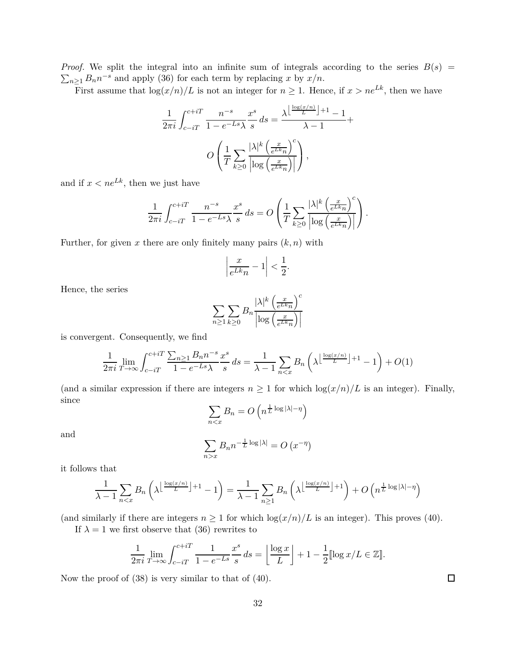*Proof.* We split the integral into an infinite sum of integrals according to the series  $B(s)$  =  $\sum_{n\geq 1} B_n n^{-s}$  and apply (36) for each term by replacing *x* by *x/n*.

First assume that  $\log(x/n)/L$  is not an integer for  $n \geq 1$ . Hence, if  $x > ne^{Lk}$ , then we have

$$
\frac{1}{2\pi i} \int_{c-iT}^{c+iT} \frac{n^{-s}}{1 - e^{-Ls}\lambda} \frac{x^s}{s} ds = \frac{\lambda \left\lfloor \frac{\log(x/n)}{L} \right\rfloor + 1}{\lambda - 1} + \frac{1}{\lambda - 1}
$$

$$
O\left(\frac{1}{T} \sum_{k \ge 0} \frac{|\lambda|^k \left(\frac{x}{e^{Lk}n}\right)^c}{\left|\log\left(\frac{x}{e^{Lk}n}\right)\right|}\right),
$$

and if  $x < ne^{Lk}$ , then we just have

$$
\frac{1}{2\pi i} \int_{c-iT}^{c+iT} \frac{n^{-s}}{1 - e^{-Ls}\lambda} \frac{x^s}{s} ds = O\left(\frac{1}{T} \sum_{k \ge 0} \frac{|\lambda|^k \left(\frac{x}{e^{Lk}n}\right)^c}{\left|\log\left(\frac{x}{e^{Lk}n}\right)\right|}\right).
$$

Further, for given  $x$  there are only finitely many pairs  $(k, n)$  with

$$
\left|\frac{x}{e^{Lk}n} - 1\right| < \frac{1}{2}.
$$

Hence, the series

$$
\sum_{n\geq 1}\sum_{k\geq 0}B_n\frac{|\lambda|^k\left(\frac{x}{e^{Lk}n}\right)^c}{\left|\log\left(\frac{x}{e^{Lk}n}\right)\right|}
$$

is convergent. Consequently, we find

$$
\frac{1}{2\pi i} \lim_{T \to \infty} \int_{c-iT}^{c+iT} \frac{\sum_{n\geq 1} B_n n^{-s}}{1 - e^{-Ls}\lambda} \frac{x^s}{s} ds = \frac{1}{\lambda - 1} \sum_{n < x} B_n \left( \lambda \left( \frac{\log(x/n)}{L} \right) + 1 - 1 \right) + O(1)
$$

(and a similar expression if there are integers  $n \geq 1$  for which  $\log(x/n)/L$  is an integer). Finally, since

$$
\sum_{n < x} B_n = O\left(n^{\frac{1}{L}\log|\lambda| - \eta}\right)
$$

and

$$
\sum_{n>x} B_n n^{-\frac{1}{L}\log|\lambda|} = O\left(x^{-\eta}\right)
$$

it follows that

$$
\frac{1}{\lambda - 1} \sum_{n < x} B_n \left( \lambda \left[ \frac{\log(x/n)}{L} \right] + 1 - 1 \right) = \frac{1}{\lambda - 1} \sum_{n \ge 1} B_n \left( \lambda \left[ \frac{\log(x/n)}{L} \right] + 1 \right) + O\left( n^{\frac{1}{L} \log|\lambda| - \eta} \right)
$$

(and similarly if there are integers  $n \geq 1$  for which  $\log(x/n)/L$  is an integer). This proves (40).

If  $\lambda = 1$  we first observe that (36) rewrites to

$$
\frac{1}{2\pi i} \lim_{T \to \infty} \int_{c-iT}^{c+iT} \frac{1}{1 - e^{-Ls}} \frac{x^s}{s} ds = \left[ \frac{\log x}{L} \right] + 1 - \frac{1}{2} [\log x/L \in \mathbb{Z}].
$$

Now the proof of (38) is very similar to that of (40).

 $\Box$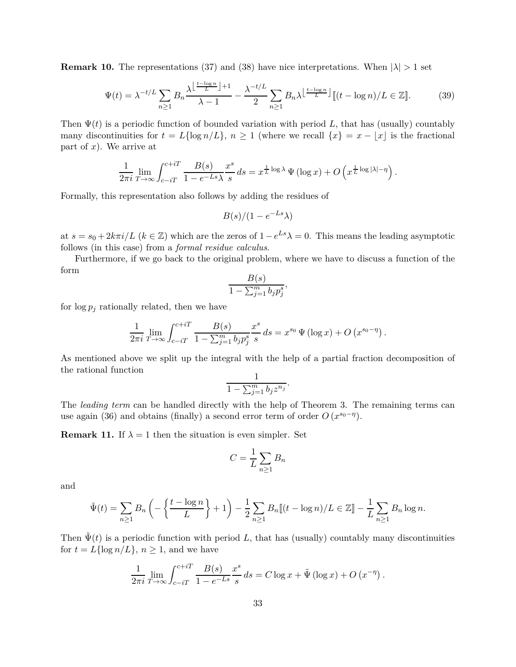**Remark 10.** The representations (37) and (38) have nice interpretations. When  $|\lambda| > 1$  set

$$
\Psi(t) = \lambda^{-t/L} \sum_{n\geq 1} B_n \frac{\lambda^{\left\lfloor \frac{t-\log n}{L} \right\rfloor+1}}{\lambda-1} - \frac{\lambda^{-t/L}}{2} \sum_{n\geq 1} B_n \lambda^{\left\lfloor \frac{t-\log n}{L} \right\rfloor} \llbracket (t-\log n)/L \in \mathbb{Z} \rrbracket. \tag{39}
$$

Then  $\Psi(t)$  is a periodic function of bounded variation with period L, that has (usually) countably many discontinuities for  $t = L\{\log n/L\}, n \ge 1$  (where we recall  $\{x\} = x - |x|$  is the fractional part of *x*). We arrive at

$$
\frac{1}{2\pi i} \lim_{T \to \infty} \int_{c-iT}^{c+iT} \frac{B(s)}{1 - e^{-Ls}\lambda} \frac{x^s}{s} ds = x^{\frac{1}{L} \log \lambda} \Psi(\log x) + O\left(x^{\frac{1}{L} \log |\lambda| - \eta}\right).
$$

Formally, this representation also follows by adding the residues of

$$
B(s)/(1-e^{-Ls}\lambda)
$$

at  $s = s_0 + 2k\pi i/L$  ( $k \in \mathbb{Z}$ ) which are the zeros of  $1 - e^{Ls}\lambda = 0$ . This means the leading asymptotic follows (in this case) from a *formal residue calculus*.

Furthermore, if we go back to the original problem, where we have to discuss a function of the form *B*(*s*)

$$
\frac{B(s)}{1-\sum_{j=1}^m b_j p_j^s},
$$

for  $\log p_j$  rationally related, then we have

$$
\frac{1}{2\pi i} \lim_{T \to \infty} \int_{c-iT}^{c+iT} \frac{B(s)}{1 - \sum_{j=1}^m b_j p_j^s} \frac{x^s}{s} ds = x^{s_0} \Psi(\log x) + O(x^{s_0 - \eta}).
$$

As mentioned above we split up the integral with the help of a partial fraction decomposition of the rational function 1

$$
\frac{1}{1-\sum_{j=1}^m b_j z^{n_j}}.
$$

The *leading term* can be handled directly with the help of Theorem 3. The remaining terms can use again (36) and obtains (finally) a second error term of order  $O(x^{s_0-\eta})$ .

**Remark 11.** If  $\lambda = 1$  then the situation is even simpler. Set

$$
C = \frac{1}{L} \sum_{n \ge 1} B_n
$$

and

$$
\tilde{\Psi}(t) = \sum_{n\geq 1} B_n \left( -\left\{ \frac{t - \log n}{L} \right\} + 1 \right) - \frac{1}{2} \sum_{n\geq 1} B_n \left[ (t - \log n) / L \in \mathbb{Z} \right] - \frac{1}{L} \sum_{n\geq 1} B_n \log n.
$$

Then  $\tilde{\Psi}(t)$  is a periodic function with period *L*, that has (usually) countably many discontinuities for  $t = L{\log n/L}$ ,  $n \ge 1$ , and we have

$$
\frac{1}{2\pi i} \lim_{T \to \infty} \int_{c-iT}^{c+iT} \frac{B(s)}{1 - e^{-Ls}} \frac{x^s}{s} ds = C \log x + \tilde{\Psi} (\log x) + O(x^{-\eta}).
$$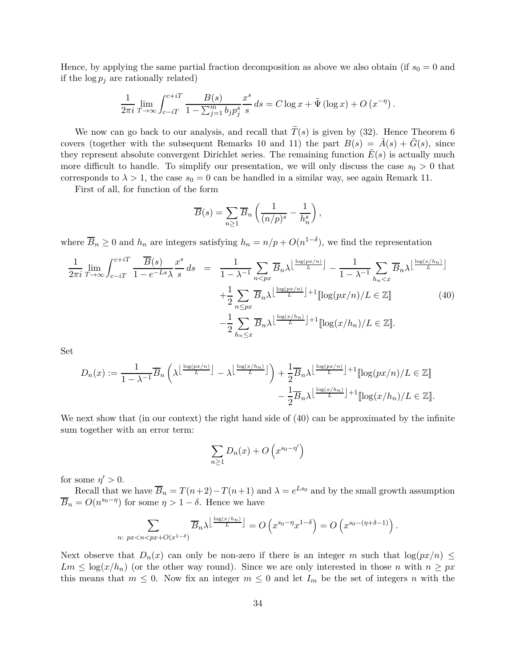Hence, by applying the same partial fraction decomposition as above we also obtain (if  $s_0 = 0$  and if the  $\log p_j$  are rationally related)

$$
\frac{1}{2\pi i} \lim_{T \to \infty} \int_{c-iT}^{c+iT} \frac{B(s)}{1 - \sum_{j=1}^m b_j p_j^s} \frac{x^s}{s} ds = C \log x + \tilde{\Psi} (\log x) + O(x^{-\eta}).
$$

We now can go back to our analysis, and recall that  $\widetilde{T}(s)$  is given by (32). Hence Theorem 6 covers (together with the subsequent Remarks 10 and 11) the part  $B(s) = \tilde{A}(s) + \tilde{G}(s)$ , since they represent absolute convergent Dirichlet series. The remaining function  $E(s)$  is actually much more difficult to handle. To simplify our presentation, we will only discuss the case  $s_0 > 0$  that corresponds to  $\lambda > 1$ , the case  $s_0 = 0$  can be handled in a similar way, see again Remark 11.

First of all, for function of the form

$$
\overline{B}(s) = \sum_{n \ge 1} \overline{B}_n \left( \frac{1}{(n/p)^s} - \frac{1}{h_n^s} \right),
$$

where  $\overline{B}_n \geq 0$  and  $h_n$  are integers satisfying  $h_n = n/p + O(n^{1-\delta})$ , we find the representation

$$
\frac{1}{2\pi i} \lim_{T \to \infty} \int_{c-iT}^{c+iT} \frac{\overline{B}(s)}{1 - e^{-Ls}\lambda} \frac{x^s}{s} ds = \frac{1}{1 - \lambda^{-1}} \sum_{n < px} \overline{B}_n \lambda \left\lfloor \frac{\log(px/n)}{L} \right\rfloor - \frac{1}{1 - \lambda^{-1}} \sum_{h_n < x} \overline{B}_n \lambda \left\lfloor \frac{\log(x/h_n)}{L} \right\rfloor + \frac{1}{2} \sum_{n \le px} \overline{B}_n \lambda \left\lfloor \frac{\log(x/n)}{L} \right\rfloor + 1 \left[ \log(px/n) / L \in \mathbb{Z} \right] \tag{40}
$$
\n
$$
- \frac{1}{2} \sum_{h_n \le x} \overline{B}_n \lambda \left\lfloor \frac{\log(x/h_n)}{L} \right\rfloor + 1 \left[ \log(x/h_n) / L \in \mathbb{Z} \right].
$$

Set

$$
D_n(x) := \frac{1}{1 - \lambda^{-1}} \overline{B}_n \left( \lambda^{\left\lfloor \frac{\log(px/n)}{L} \right\rfloor} - \lambda^{\left\lfloor \frac{\log(x/h_n)}{L} \right\rfloor} \right) + \frac{1}{2} \overline{B}_n \lambda^{\left\lfloor \frac{\log(px/n)}{L} \right\rfloor + 1} [\log(px/n)/L \in \mathbb{Z}] - \frac{1}{2} \overline{B}_n \lambda^{\left\lfloor \frac{\log(x/h_n)}{L} \right\rfloor + 1} [\log(x/h_n)/L \in \mathbb{Z}].
$$

We next show that (in our context) the right hand side of  $(40)$  can be approximated by the infinite sum together with an error term:

$$
\sum_{n\geq 1} D_n(x) + O\left(x^{s_0 - \eta'}\right)
$$

for some  $\eta' > 0$ .

Recall that we have  $\overline{B}_n = T(n+2) - T(n+1)$  and  $\lambda = e^{Ls_0}$  and by the small growth assumption  $\overline{B}_n = O(n^{s_0 - \eta})$  for some  $\eta > 1 - \delta$ . Hence we have

$$
\sum_{n:\ px
$$

Next observe that  $D_n(x)$  can only be non-zero if there is an integer *m* such that  $\log(px/n) \leq$  $Lm \leq \log(x/h_n)$  (or the other way round). Since we are only interested in those *n* with  $n \geq px$ this means that  $m \leq 0$ . Now fix an integer  $m \leq 0$  and let  $I_m$  be the set of integers *n* with the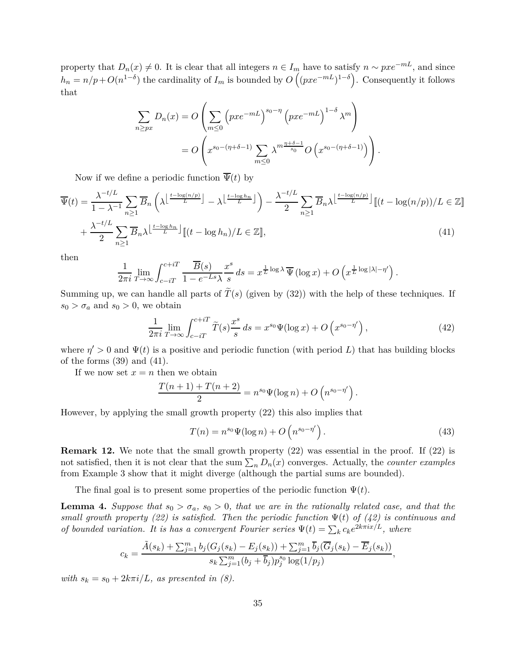property that  $D_n(x) \neq 0$ . It is clear that all integers  $n \in I_m$  have to satisfy  $n \sim pxe^{-mL}$ , and since  $h_n = n/p + O(n^{1-\delta})$  the cardinality of  $I_m$  is bounded by  $O(npc^{-mL})^{1-\delta}$ . Consequently it follows that

$$
\sum_{n\ge px} D_n(x) = O\left(\sum_{m\le 0} \left(pxe^{-mL}\right)^{s_0-\eta} \left(pxe^{-mL}\right)^{1-\delta} \lambda^m\right)
$$

$$
= O\left(x^{s_0-(\eta+\delta-1)}\sum_{m\le 0} \lambda^{m\frac{\eta+\delta-1}{s_0}} O\left(x^{s_0-(\eta+\delta-1)}\right)\right).
$$

Now if we define a periodic function  $\overline{\Psi}(t)$  by

$$
\overline{\Psi}(t) = \frac{\lambda^{-t/L}}{1 - \lambda^{-1}} \sum_{n \ge 1} \overline{B}_n \left( \lambda \left\lfloor \frac{t - \log(n/p)}{L} \right\rfloor - \lambda \left\lfloor \frac{t - \log(n/p)}{L} \right\rfloor \right) - \frac{\lambda^{-t/L}}{2} \sum_{n \ge 1} \overline{B}_n \lambda \left\lfloor \frac{t - \log(n/p)}{L} \right\rfloor \left[ (t - \log(n/p))/L \in \mathbb{Z} \right]
$$
\n
$$
+ \frac{\lambda^{-t/L}}{2} \sum_{n \ge 1} \overline{B}_n \lambda \left\lfloor \frac{t - \log(n/p)}{L} \right\rfloor \left[ (t - \log(n)/L) \in \mathbb{Z} \right],\tag{41}
$$

then

$$
\frac{1}{2\pi i} \lim_{T \to \infty} \int_{c-iT}^{c+iT} \frac{\overline{B}(s)}{1 - e^{-Ls}\lambda} \frac{x^s}{s} ds = x^{\frac{1}{L} \log \lambda} \overline{\Psi} (\log x) + O\left(x^{\frac{1}{L} \log |\lambda| - \eta'}\right).
$$

Summing up, we can handle all parts of  $\tilde{T}(s)$  (given by (32)) with the help of these techniques. If  $s_0 > \sigma_a$  and  $s_0 > 0$ , we obtain

$$
\frac{1}{2\pi i} \lim_{T \to \infty} \int_{c-iT}^{c+iT} \tilde{T}(s) \frac{x^s}{s} ds = x^{s_0} \Psi(\log x) + O\left(x^{s_0 - \eta'}\right),\tag{42}
$$

where  $\eta' > 0$  and  $\Psi(t)$  is a positive and periodic function (with period L) that has building blocks of the forms (39) and (41).

If we now set  $x = n$  then we obtain

$$
\frac{T(n+1) + T(n+2)}{2} = n^{s_0} \Psi(\log n) + O\left(n^{s_0 - \eta'}\right).
$$

However, by applying the small growth property (22) this also implies that

$$
T(n) = n^{s_0} \Psi(\log n) + O\left(n^{s_0 - \eta'}\right). \tag{43}
$$

**Remark 12.** We note that the small growth property (22) was essential in the proof. If (22) is not satisfied, then it is not clear that the sum  $\sum_{n} D_n(x)$  converges. Actually, the *counter examples* from Example 3 show that it might diverge (although the partial sums are bounded).

The final goal is to present some properties of the periodic function  $\Psi(t)$ .

**Lemma 4.** *Suppose that*  $s_0 > \sigma_a$ ,  $s_0 > 0$ , that we are in the rationally related case, and that the *small growth property (22) is satisfied. Then the periodic function*  $\Psi(t)$  *of (42) is continuous and of bounded variation. It is has a convergent Fourier series*  $\Psi(t) = \sum_k c_k e^{2k\pi i x/L}$ , where

$$
c_k = \frac{\tilde{A}(s_k) + \sum_{j=1}^m b_j (G_j(s_k) - E_j(s_k)) + \sum_{j=1}^m \overline{b}_j (\overline{G}_j(s_k) - \overline{E}_j(s_k))}{s_k \sum_{j=1}^m (b_j + \overline{b}_j) p_j^{s_0} \log(1/p_j)},
$$

*with*  $s_k = s_0 + 2k\pi i/L$ *, as presented in (8).*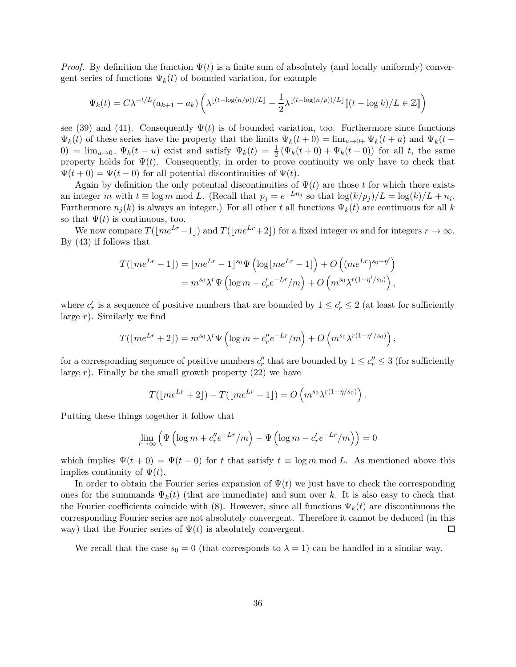*Proof.* By definition the function  $\Psi(t)$  is a finite sum of absolutely (and locally uniformly) convergent series of functions  $\Psi_k(t)$  of bounded variation, for example

$$
\Psi_k(t) = C\lambda^{-t/L} (a_{k+1} - a_k) \left( \lambda^{\lfloor (t - \log(n/p))/L \rfloor} - \frac{1}{2} \lambda^{\lfloor (t - \log(n/p))/L \rfloor} \mathbb{I}(t - \log k) / L \in \mathbb{Z} \mathbb{I} \right)
$$

see (39) and (41). Consequently  $\Psi(t)$  is of bounded variation, too. Furthermore since functions  $\Psi_k(t)$  of these series have the property that the limits  $\Psi_k(t+0) = \lim_{u\to 0+} \Psi_k(t+u)$  and  $\Psi_k(t-u)$  $0) = \lim_{u \to 0^+} \Psi_k(t-u)$  exist and satisfy  $\Psi_k(t) = \frac{1}{2} (\Psi_k(t+0) + \Psi_k(t-0))$  for all *t*, the same property holds for  $\Psi(t)$ . Consequently, in order to prove continuity we only have to check that  $\Psi(t+0) = \Psi(t-0)$  for all potential discontinuities of  $\Psi(t)$ .

Again by definition the only potential discontinuities of  $\Psi(t)$  are those *t* for which there exists an integer *m* with  $t \equiv \log m \mod L$ . (Recall that  $p_j = e^{-Ln_j}$  so that  $\log(k/p_j)/L = \log(k)/L + n_i$ . Furthermore  $n_j(k)$  is always an integer.) For all other *t* all functions  $\Psi_k(t)$  are continuous for all *k* so that  $\Psi(t)$  is continuous, too.

We now compare  $T([me^{Lr}-1])$  and  $T([me^{Lr}+2])$  for a fixed integer *m* and for integers  $r \to \infty$ . By (43) if follows that

$$
T(\lfloor me^{Lr} - 1 \rfloor) = \lfloor me^{Lr} - 1 \rfloor^{s_0} \Psi\left(\log\lfloor me^{Lr} - 1 \rfloor\right) + O\left((me^{Lr})^{s_0 - \eta'}\right)
$$
  
= 
$$
m^{s_0} \lambda^r \Psi\left(\log m - c'_r e^{-Lr}/m\right) + O\left(m^{s_0} \lambda^{r(1 - \eta'/s_0)}\right),
$$

where  $c'_r$  is a sequence of positive numbers that are bounded by  $1 \leq c'_r \leq 2$  (at least for sufficiently large *r*). Similarly we find

$$
T(\lfloor me^{Lr}+2\rfloor) = m^{s_0} \lambda^r \Psi\left(\log m + c_r''e^{-Lr}/m\right) + O\left(m^{s_0} \lambda^{r(1-\eta'/s_0)}\right),
$$

for a corresponding sequence of positive numbers  $c''_r$  that are bounded by  $1 \leq c''_r \leq 3$  (for sufficiently large  $r$ ). Finally be the small growth property  $(22)$  we have

$$
T(\lfloor me^{Lr}+2\rfloor)-T(\lfloor me^{Lr}-1\rfloor)=O\left(m^{s_0}\lambda^{r(1-\eta/s_0)}\right).
$$

Putting these things together it follow that

$$
\lim_{r \to \infty} \left( \Psi \left( \log m + c_r'' e^{-Lr} / m \right) - \Psi \left( \log m - c_r' e^{-Lr} / m \right) \right) = 0
$$

which implies  $\Psi(t+0) = \Psi(t-0)$  for t that satisfy  $t \equiv \log m \mod L$ . As mentioned above this implies continuity of  $\Psi(t)$ .

In order to obtain the Fourier series expansion of  $\Psi(t)$  we just have to check the corresponding ones for the summands  $\Psi_k(t)$  (that are immediate) and sum over k. It is also easy to check that the Fourier coefficients coincide with (8). However, since all functions  $\Psi_k(t)$  are discontinuous the corresponding Fourier series are not absolutely convergent. Therefore it cannot be deduced (in this way) that the Fourier series of  $\Psi(t)$  is absolutely convergent.  $\Box$ 

We recall that the case  $s_0 = 0$  (that corresponds to  $\lambda = 1$ ) can be handled in a similar way.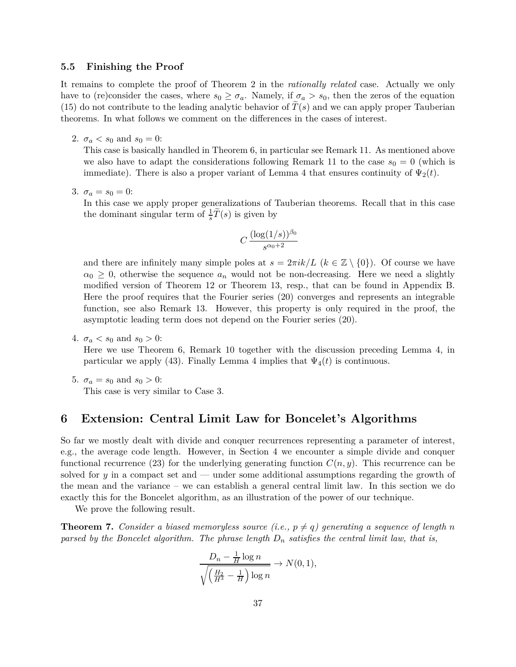### **5.5 Finishing the Proof**

It remains to complete the proof of Theorem 2 in the *rationally related* case. Actually we only have to (re)consider the cases, where  $s_0 \geq \sigma_a$ . Namely, if  $\sigma_a > s_0$ , then the zeros of the equation (15) do not contribute to the leading analytic behavior of  $T(s)$  and we can apply proper Tauberian theorems. In what follows we comment on the differences in the cases of interest.

2.  $\sigma_a < s_0$  and  $s_0 = 0$ :

This case is basically handled in Theorem 6, in particular see Remark 11. As mentioned above we also have to adapt the considerations following Remark 11 to the case  $s_0 = 0$  (which is immediate). There is also a proper variant of Lemma 4 that ensures continuity of  $\Psi_2(t)$ .

3.  $\sigma_a = s_0 = 0$ :

In this case we apply proper generalizations of Tauberian theorems. Recall that in this case the dominant singular term of  $\frac{1}{s}\tilde{T}(s)$  is given by

$$
C \, \frac{(\log(1/s))^{\beta_0}}{s^{\alpha_0+2}}
$$

and there are infinitely many simple poles at  $s = 2\pi i k/L$  ( $k \in \mathbb{Z} \setminus \{0\}$ ). Of course we have  $\alpha_0 \geq 0$ , otherwise the sequence  $a_n$  would not be non-decreasing. Here we need a slightly modified version of Theorem 12 or Theorem 13, resp., that can be found in Appendix B. Here the proof requires that the Fourier series (20) converges and represents an integrable function, see also Remark 13. However, this property is only required in the proof, the asymptotic leading term does not depend on the Fourier series (20).

4.  $\sigma_a < s_0$  and  $s_0 > 0$ :

Here we use Theorem 6, Remark 10 together with the discussion preceding Lemma 4, in particular we apply (43). Finally Lemma 4 implies that  $\Psi_4(t)$  is continuous.

5.  $\sigma_a = s_0$  and  $s_0 > 0$ : This case is very similar to Case 3.

### **6 Extension: Central Limit Law for Boncelet's Algorithms**

So far we mostly dealt with divide and conquer recurrences representing a parameter of interest, e.g., the average code length. However, in Section 4 we encounter a simple divide and conquer functional recurrence (23) for the underlying generating function  $C(n, y)$ . This recurrence can be solved for *y* in a compact set and — under some additional assumptions regarding the growth of the mean and the variance – we can establish a general central limit law. In this section we do exactly this for the Boncelet algorithm, as an illustration of the power of our technique.

We prove the following result.

**Theorem 7.** *Consider a biased memoryless source (i.e.,*  $p \neq q$ *) generating a sequence of length n parsed by the Boncelet algorithm. The phrase length D<sup>n</sup> satisfies the central limit law, that is,*

$$
\frac{D_n - \frac{1}{H} \log n}{\sqrt{\left(\frac{H_2}{H^3} - \frac{1}{H}\right) \log n}} \to N(0, 1),
$$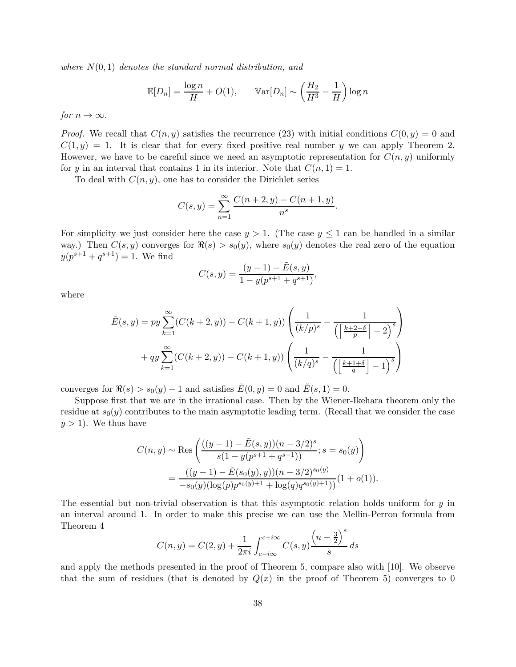*where N*(0*,* 1) *denotes the standard normal distribution, and*

$$
\mathbb{E}[D_n] = \frac{\log n}{H} + O(1), \qquad \mathbb{V}\text{ar}[D_n] \sim \left(\frac{H_2}{H^3} - \frac{1}{H}\right) \log n
$$

*for*  $n \to \infty$ *.* 

*Proof.* We recall that  $C(n, y)$  satisfies the recurrence (23) with initial conditions  $C(0, y) = 0$  and  $C(1, y) = 1$ . It is clear that for every fixed positive real number *y* we can apply Theorem 2. However, we have to be careful since we need an asymptotic representation for  $C(n, y)$  uniformly for *y* in an interval that contains 1 in its interior. Note that  $C(n, 1) = 1$ .

To deal with  $C(n, y)$ , one has to consider the Dirichlet series

$$
C(s,y) = \sum_{n=1}^{\infty} \frac{C(n+2,y) - C(n+1,y)}{n^s}.
$$

For simplicity we just consider here the case  $y > 1$ . (The case  $y \le 1$  can be handled in a similar way.) Then  $C(s, y)$  converges for  $\Re(s) > s_0(y)$ , where  $s_0(y)$  denotes the real zero of the equation  $y(p^{s+1} + q^{s+1}) = 1$ . We find

$$
C(s,y) = \frac{(y-1) - \tilde{E}(s,y)}{1 - y(p^{s+1} + q^{s+1})},
$$

where

$$
\tilde{E}(s,y) = py \sum_{k=1}^{\infty} (C(k+2,y)) - C(k+1,y)) \left( \frac{1}{(k/p)^s} - \frac{1}{\left( \left\lceil \frac{k+2-\delta}{p} \right\rceil - 2 \right)^s} \right) + qy \sum_{k=1}^{\infty} (C(k+2,y)) - C(k+1,y)) \left( \frac{1}{(k/q)^s} - \frac{1}{\left( \left\lfloor \frac{k+1+\delta}{q} \right\rfloor - 1 \right)^s} \right)
$$

converges for  $\Re(s) > s_0(y) - 1$  and satisfies  $\tilde{E}(0, y) = 0$  and  $\tilde{E}(s, 1) = 0$ .

Suppose first that we are in the irrational case. Then by the Wiener-Ikehara theorem only the residue at  $s_0(y)$  contributes to the main asymptotic leading term. (Recall that we consider the case  $y > 1$ ). We thus have

$$
C(n, y) \sim \text{Res}\left(\frac{((y-1) - \tilde{E}(s, y))(n - 3/2)^s}{s(1 - y(p^{s+1} + q^{s+1}))}; s = s_0(y)\right)
$$
  
= 
$$
\frac{((y-1) - \tilde{E}(s_0(y), y))(n - 3/2)^{s_0(y)}}{-s_0(y)(\log(p)p^{s_0(y)+1} + \log(q)q^{s_0(y)+1}))}(1 + o(1)).
$$

The essential but non-trivial observation is that this asymptotic relation holds uniform for *y* in an interval around 1. In order to make this precise we can use the Mellin-Perron formula from Theorem 4 *s*

$$
C(n, y) = C(2, y) + \frac{1}{2\pi i} \int_{c-i\infty}^{c+i\infty} C(s, y) \frac{\left(n - \frac{3}{2}\right)^s}{s} ds
$$

and apply the methods presented in the proof of Theorem 5, compare also with [10]. We observe that the sum of residues (that is denoted by  $Q(x)$  in the proof of Theorem 5) converges to 0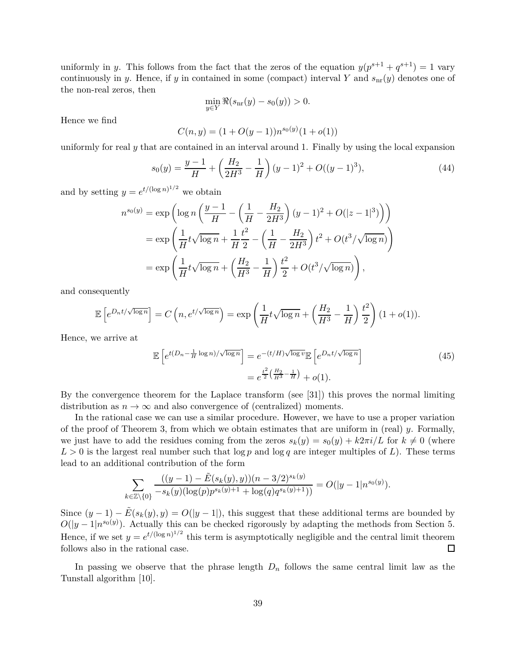uniformly in *y*. This follows from the fact that the zeros of the equation  $y(p^{s+1} + q^{s+1}) = 1$  vary continuously in *y*. Hence, if *y* in contained in some (compact) interval *Y* and  $s<sub>nr</sub>(y)$  denotes one of the non-real zeros, then

$$
\min_{y \in Y} \Re(s_{\text{nr}}(y) - s_0(y)) > 0.
$$

Hence we find

$$
C(n, y) = (1 + O(y - 1))n^{s_0(y)}(1 + o(1))
$$

uniformly for real *y* that are contained in an interval around 1. Finally by using the local expansion

$$
s_0(y) = \frac{y-1}{H} + \left(\frac{H_2}{2H^3} - \frac{1}{H}\right)(y-1)^2 + O((y-1)^3),\tag{44}
$$

and by setting  $y = e^{t/(\log n)^{1/2}}$  we obtain

$$
n^{s_0(y)} = \exp\left(\log n \left(\frac{y-1}{H} - \left(\frac{1}{H} - \frac{H_2}{2H^3}\right)(y-1)^2 + O(|z-1|^3)\right)\right)
$$
  
= 
$$
\exp\left(\frac{1}{H}t\sqrt{\log n} + \frac{1}{H}\frac{t^2}{2} - \left(\frac{1}{H} - \frac{H_2}{2H^3}\right)t^2 + O(t^3/\sqrt{\log n})\right)
$$
  
= 
$$
\exp\left(\frac{1}{H}t\sqrt{\log n} + \left(\frac{H_2}{H^3} - \frac{1}{H}\right)\frac{t^2}{2} + O(t^3/\sqrt{\log n})\right),
$$

and consequently

$$
\mathbb{E}\left[e^{D_n t/\sqrt{\log n}}\right] = C\left(n, e^{t/\sqrt{\log n}}\right) = \exp\left(\frac{1}{H}t\sqrt{\log n} + \left(\frac{H_2}{H^3} - \frac{1}{H}\right)\frac{t^2}{2}\right)(1 + o(1)).
$$

Hence, we arrive at

$$
\mathbb{E}\left[e^{t(D_n - \frac{1}{H}\log n)/\sqrt{\log n}}\right] = e^{-(t/H)\sqrt{\log v}} \mathbb{E}\left[e^{D_n t/\sqrt{\log n}}\right]
$$
\n
$$
= e^{\frac{t^2}{2}\left(\frac{H_2}{H^3} - \frac{1}{H}\right)} + o(1).
$$
\n(45)

By the convergence theorem for the Laplace transform (see [31]) this proves the normal limiting distribution as  $n \to \infty$  and also convergence of (centralized) moments.

In the rational case we can use a similar procedure. However, we have to use a proper variation of the proof of Theorem 3, from which we obtain estimates that are uniform in (real) *y*. Formally, we just have to add the residues coming from the zeros  $s_k(y) = s_0(y) + k2\pi i/L$  for  $k \neq 0$  (where  $L > 0$  is the largest real number such that  $\log p$  and  $\log q$  are integer multiples of *L*). These terms lead to an additional contribution of the form

$$
\sum_{k \in \mathbb{Z} \setminus \{0\}} \frac{((y-1) - \tilde{E}(s_k(y), y))(n - 3/2)^{s_k(y)}}{-s_k(y)(\log(p)p^{s_k(y)+1} + \log(q)q^{s_k(y)+1}))} = O(|y-1|n^{s_0(y)}).
$$

Since  $(y-1) - \tilde{E}(s_k(y), y) = O(|y-1|)$ , this suggest that these additional terms are bounded by  $O(|y-1|n^{s_0(y)})$ . Actually this can be checked rigorously by adapting the methods from Section 5. Hence, if we set  $y = e^{t/(\log n)^{1/2}}$  this term is asymptotically negligible and the central limit theorem follows also in the rational case.  $\Box$ 

In passing we observe that the phrase length *D<sup>n</sup>* follows the same central limit law as the Tunstall algorithm [10].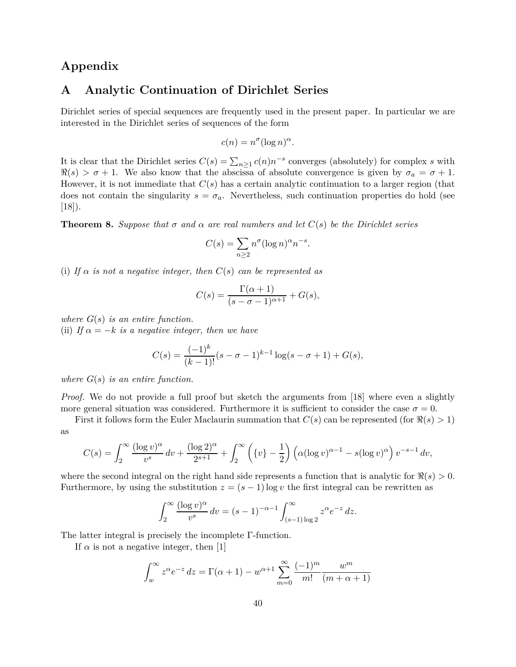# **Appendix**

### **A Analytic Continuation of Dirichlet Series**

Dirichlet series of special sequences are frequently used in the present paper. In particular we are interested in the Dirichlet series of sequences of the form

$$
c(n) = n^{\sigma} (\log n)^{\alpha}.
$$

It is clear that the Dirichlet series  $C(s) = \sum_{n\geq 1} c(n)n^{-s}$  converges (absolutely) for complex *s* with  $\Re(s) > \sigma + 1$ . We also know that the abscissa of absolute convergence is given by  $\sigma_a = \sigma + 1$ . However, it is not immediate that *C*(*s*) has a certain analytic continuation to a larger region (that does not contain the singularity  $s = \sigma_a$ . Nevertheless, such continuation properties do hold (see  $[18]$ .

**Theorem 8.** Suppose that  $\sigma$  and  $\alpha$  are real numbers and let  $C(s)$  be the Dirichlet series

$$
C(s) = \sum_{n \ge 2} n^{\sigma} (\log n)^{\alpha} n^{-s}.
$$

(i) If  $\alpha$  *is not a negative integer, then*  $C(s)$  *can be represented as* 

$$
C(s) = \frac{\Gamma(\alpha+1)}{(s-\sigma-1)^{\alpha+1}} + G(s),
$$

*where G*(*s*) *is an entire function.* (ii) *If*  $\alpha = -k$  *is a negative integer, then we have* 

$$
C(s) = \frac{(-1)^k}{(k-1)!} (s - \sigma - 1)^{k-1} \log(s - \sigma + 1) + G(s),
$$

*where G*(*s*) *is an entire function.*

*Proof.* We do not provide a full proof but sketch the arguments from [18] where even a slightly more general situation was considered. Furthermore it is sufficient to consider the case  $\sigma = 0$ .

First it follows form the Euler Maclaurin summation that  $C(s)$  can be represented (for  $\Re(s) > 1$ ) as

$$
C(s) = \int_2^{\infty} \frac{(\log v)^{\alpha}}{v^s} dv + \frac{(\log 2)^{\alpha}}{2^{s+1}} + \int_2^{\infty} \left( \{v\} - \frac{1}{2} \right) \left( \alpha (\log v)^{\alpha - 1} - s (\log v)^{\alpha} \right) v^{-s-1} dv,
$$

where the second integral on the right hand side represents a function that is analytic for  $\Re(s) > 0$ . Furthermore, by using the substitution  $z = (s - 1) \log v$  the first integral can be rewritten as

$$
\int_2^{\infty} \frac{(\log v)^{\alpha}}{v^s} dv = (s-1)^{-\alpha-1} \int_{(s-1)\log 2}^{\infty} z^{\alpha} e^{-z} dz.
$$

The latter integral is precisely the incomplete Γ-function.

If  $\alpha$  is not a negative integer, then [1]

$$
\int_{w}^{\infty} z^{\alpha} e^{-z} dz = \Gamma(\alpha + 1) - w^{\alpha+1} \sum_{m=0}^{\infty} \frac{(-1)^m}{m!} \frac{w^m}{(m + \alpha + 1)}
$$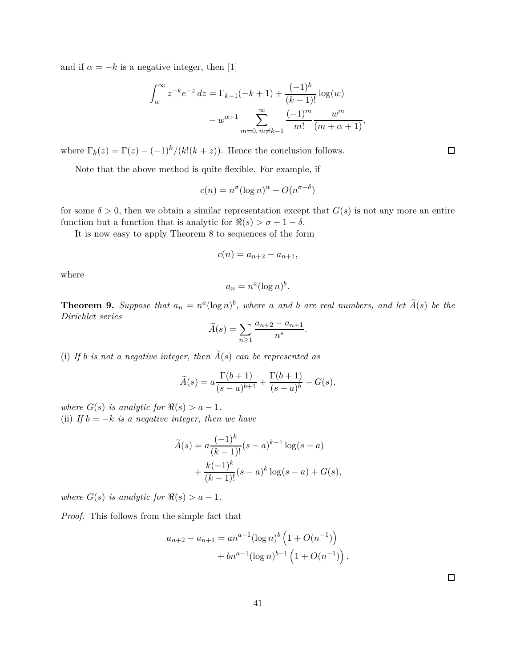and if  $\alpha = -k$  is a negative integer, then [1]

$$
\int_{w}^{\infty} z^{-k} e^{-z} dz = \Gamma_{k-1}(-k+1) + \frac{(-1)^{k}}{(k-1)!} \log(w)
$$

$$
- w^{\alpha+1} \sum_{m=0, m \neq k-1}^{\infty} \frac{(-1)^{m}}{m!} \frac{w^{m}}{(m + \alpha + 1)},
$$

where  $\Gamma_k(z) = \Gamma(z) - (-1)^k / (k!(k+z))$ . Hence the conclusion follows.

Note that the above method is quite flexible. For example, if

$$
c(n) = n^{\sigma} (\log n)^{\alpha} + O(n^{\sigma - \delta})
$$

for some  $\delta > 0$ , then we obtain a similar representation except that  $G(s)$  is not any more an entire function but a function that is analytic for  $\Re(s) > \sigma + 1 - \delta$ .

It is now easy to apply Theorem 8 to sequences of the form

$$
c(n) = a_{n+2} - a_{n+1},
$$

where

$$
a_n = n^a (\log n)^b.
$$

**Theorem 9.** Suppose that  $a_n = n^a(\log n)^b$ , where a and b are real numbers, and let  $\widetilde{A}(s)$  be the *Dirichlet series*

$$
\widetilde{A}(s) = \sum_{n \ge 1} \frac{a_{n+2} - a_{n+1}}{n^s}
$$

*.*

(i) If *b* is not a negative integer, then  $\widetilde{A}(s)$  can be represented as

$$
\widetilde{A}(s) = a \frac{\Gamma(b+1)}{(s-a)^{b+1}} + \frac{\Gamma(b+1)}{(s-a)^b} + G(s),
$$

*where*  $G(s)$  *is analytic for*  $\Re(s) > a - 1$ *.* (ii) *If*  $b = -k$  *is a negative integer, then we have* 

$$
\widetilde{A}(s) = a \frac{(-1)^k}{(k-1)!} (s-a)^{k-1} \log(s-a) + \frac{k(-1)^k}{(k-1)!} (s-a)^k \log(s-a) + G(s),
$$

*where*  $G(s)$  *is analytic for*  $\Re(s) > a - 1$ *.* 

*Proof.* This follows from the simple fact that

$$
a_{n+2} - a_{n+1} = a n^{a-1} (\log n)^b \left( 1 + O(n^{-1}) \right) + b n^{a-1} (\log n)^{b-1} \left( 1 + O(n^{-1}) \right).
$$

 $\Box$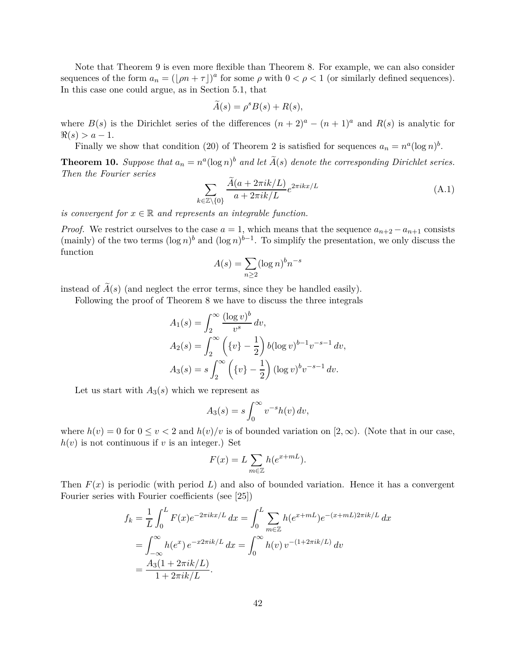Note that Theorem 9 is even more flexible than Theorem 8. For example, we can also consider sequences of the form  $a_n = (\lfloor \rho n + \tau \rfloor)^a$  for some  $\rho$  with  $0 < \rho < 1$  (or similarly defined sequences). In this case one could argue, as in Section 5.1, that

$$
\widetilde{A}(s) = \rho^s B(s) + R(s),
$$

where  $B(s)$  is the Dirichlet series of the differences  $(n+2)^a - (n+1)^a$  and  $R(s)$  is analytic for  $\Re(s) > a - 1.$ 

Finally we show that condition (20) of Theorem 2 is satisfied for sequences  $a_n = n^a(\log n)^b$ .

**Theorem 10.** Suppose that  $a_n = n^a(\log n)^b$  and let  $\tilde{A}(s)$  denote the corresponding Dirichlet series. *Then the Fourier series*

$$
\sum_{k \in \mathbb{Z} \setminus \{0\}} \frac{A(a + 2\pi i k/L)}{a + 2\pi i k/L} e^{2\pi i k x/L} \tag{A.1}
$$

*is convergent for*  $x \in \mathbb{R}$  *and represents an integrable function.* 

*Proof.* We restrict ourselves to the case  $a = 1$ , which means that the sequence  $a_{n+2} - a_{n+1}$  consists (mainly) of the two terms  $(\log n)^b$  and  $(\log n)^{b-1}$ . To simplify the presentation, we only discuss the function

$$
A(s) = \sum_{n \ge 2} (\log n)^b n^{-s}
$$

instead of  $\widetilde{A}(s)$  (and neglect the error terms, since they be handled easily).

Following the proof of Theorem 8 we have to discuss the three integrals

$$
A_1(s) = \int_2^{\infty} \frac{(\log v)^b}{v^s} dv,
$$
  
\n
$$
A_2(s) = \int_2^{\infty} \left( \{v\} - \frac{1}{2} \right) b(\log v)^{b-1} v^{-s-1} dv,
$$
  
\n
$$
A_3(s) = s \int_2^{\infty} \left( \{v\} - \frac{1}{2} \right) (\log v)^b v^{-s-1} dv.
$$

Let us start with  $A_3(s)$  which we represent as

$$
A_3(s) = s \int_0^\infty v^{-s} h(v) \, dv,
$$

where  $h(v) = 0$  for  $0 \le v < 2$  and  $h(v)/v$  is of bounded variation on  $[2, \infty)$ . (Note that in our case,  $h(v)$  is not continuous if *v* is an integer.) Set

$$
F(x) = L \sum_{m \in \mathbb{Z}} h(e^{x + mL}).
$$

Then  $F(x)$  is periodic (with period L) and also of bounded variation. Hence it has a convergent Fourier series with Fourier coefficients (see [25])

$$
f_k = \frac{1}{L} \int_0^L F(x)e^{-2\pi ikx/L} dx = \int_0^L \sum_{m \in \mathbb{Z}} h(e^{x+mL})e^{-(x+mL)2\pi ik/L} dx
$$
  
= 
$$
\int_{-\infty}^{\infty} h(e^x) e^{-x2\pi ik/L} dx = \int_0^{\infty} h(v) v^{-(1+2\pi ik/L)} dv
$$
  
= 
$$
\frac{A_3(1+2\pi ik/L)}{1+2\pi ik/L}.
$$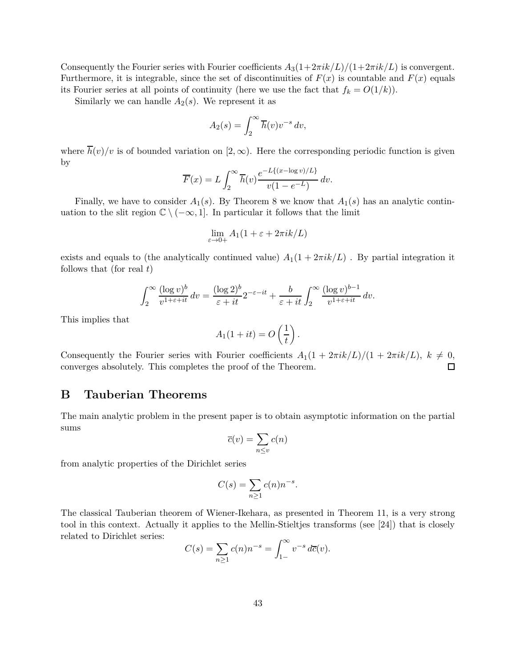Consequently the Fourier series with Fourier coefficients  $A_3(1+2\pi i k/L)/(1+2\pi i k/L)$  is convergent. Furthermore, it is integrable, since the set of discontinuities of  $F(x)$  is countable and  $F(x)$  equals its Fourier series at all points of continuity (here we use the fact that  $f_k = O(1/k)$ ).

Similarly we can handle  $A_2(s)$ . We represent it as

$$
A_2(s) = \int_2^\infty \overline{h}(v) v^{-s} \, dv,
$$

where  $\overline{h}(v)/v$  is of bounded variation on [2, ∞). Here the corresponding periodic function is given by

$$
\overline{F}(x) = L \int_2^{\infty} \overline{h}(v) \frac{e^{-L\{(x-\log v)/L\}}}{v(1 - e^{-L})} dv.
$$

Finally, we have to consider  $A_1(s)$ . By Theorem 8 we know that  $A_1(s)$  has an analytic continuation to the slit region  $\mathbb{C} \setminus (-\infty, 1]$ . In particular it follows that the limit

$$
\lim_{\varepsilon \to 0+} A_1(1 + \varepsilon + 2\pi i k/L)
$$

exists and equals to (the analytically continued value)  $A_1(1 + 2\pi i k/L)$ . By partial integration it follows that (for real *t*)

$$
\int_2^{\infty} \frac{(\log v)^b}{v^{1+\varepsilon+it}} dv = \frac{(\log 2)^b}{\varepsilon+it} 2^{-\varepsilon-it} + \frac{b}{\varepsilon+it} \int_2^{\infty} \frac{(\log v)^{b-1}}{v^{1+\varepsilon+it}} dv.
$$

This implies that

$$
A_1(1+it) = O\left(\frac{1}{t}\right).
$$

Consequently the Fourier series with Fourier coefficients  $A_1(1 + 2\pi i k/L)/(1 + 2\pi i k/L)$ ,  $k \neq 0$ , converges absolutely. This completes the proof of the Theorem. converges absolutely. This completes the proof of the Theorem.

### **B Tauberian Theorems**

The main analytic problem in the present paper is to obtain asymptotic information on the partial sums

$$
\overline{c}(v) = \sum_{n \le v} c(n)
$$

from analytic properties of the Dirichlet series

$$
C(s) = \sum_{n \ge 1} c(n) n^{-s}.
$$

The classical Tauberian theorem of Wiener-Ikehara, as presented in Theorem 11, is a very strong tool in this context. Actually it applies to the Mellin-Stieltjes transforms (see [24]) that is closely related to Dirichlet series:

$$
C(s) = \sum_{n \ge 1} c(n) n^{-s} = \int_{1-}^{\infty} v^{-s} d\overline{c}(v).
$$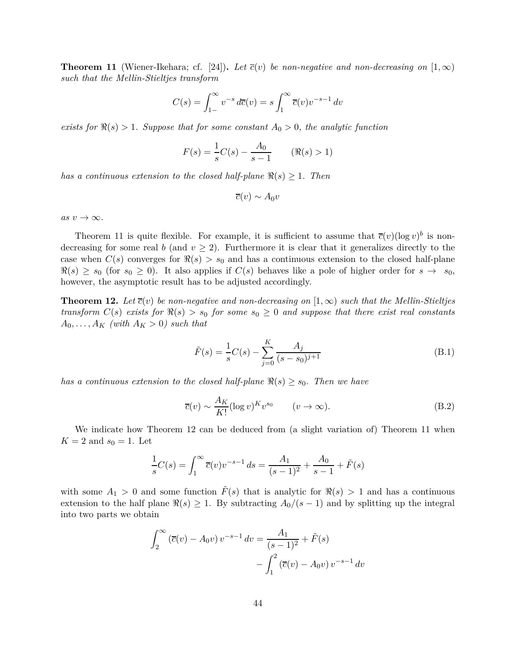**Theorem 11** (Wiener-Ikehara; cf. [24]). Let  $\overline{c}(v)$  be non-negative and non-decreasing on  $[1,\infty)$ *such that the Mellin-Stieltjes transform*

$$
C(s) = \int_{1-}^{\infty} v^{-s} d\overline{c}(v) = s \int_{1}^{\infty} \overline{c}(v) v^{-s-1} dv
$$

*exists for*  $\Re(s) > 1$ *. Suppose that for some constant*  $A_0 > 0$ *, the analytic function* 

$$
F(s) = \frac{1}{s}C(s) - \frac{A_0}{s - 1} \qquad (\Re(s) > 1)
$$

*has a continuous extension to the closed half-plane*  $\Re(s) \geq 1$ . Then

$$
\overline{c}(v) \sim A_0 v
$$

 $as v \rightarrow \infty$ .

Theorem 11 is quite flexible. For example, it is sufficient to assume that  $\overline{c}(v)(\log v)^b$  is nondecreasing for some real *b* (and  $v \geq 2$ ). Furthermore it is clear that it generalizes directly to the case when  $C(s)$  converges for  $\Re(s) > s_0$  and has a continuous extension to the closed half-plane  $\Re(s) \geq s_0$  (for  $s_0 \geq 0$ ). It also applies if  $C(s)$  behaves like a pole of higher order for  $s \to s_0$ , however, the asymptotic result has to be adjusted accordingly.

**Theorem 12.** Let  $\overline{c}(v)$  be non-negative and non-decreasing on  $[1,\infty)$  such that the Mellin-Stieltjes *transform*  $C(s)$  *exists for*  $\Re(s) > s_0$  *for some*  $s_0 \geq 0$  *and suppose that there exist real constants*  $A_0, \ldots, A_K$  *(with*  $A_K > 0$ *) such that* 

$$
\tilde{F}(s) = \frac{1}{s}C(s) - \sum_{j=0}^{K} \frac{A_j}{(s - s_0)^{j+1}}
$$
\n(B.1)

*has a continuous extension to the closed half-plane*  $\Re(s) \geq s_0$ . Then we have

$$
\overline{c}(v) \sim \frac{A_K}{K!} (\log v)^K v^{s_0} \qquad (v \to \infty). \tag{B.2}
$$

We indicate how Theorem 12 can be deduced from (a slight variation of) Theorem 11 when  $K = 2$  and  $s_0 = 1$ . Let

$$
\frac{1}{s}C(s) = \int_1^{\infty} \overline{c}(v)v^{-s-1} ds = \frac{A_1}{(s-1)^2} + \frac{A_0}{s-1} + \tilde{F}(s)
$$

with some  $A_1 > 0$  and some function  $F(s)$  that is analytic for  $\Re(s) > 1$  and has a continuous extension to the half plane  $\Re(s) \geq 1$ . By subtracting  $A_0/(s-1)$  and by splitting up the integral into two parts we obtain

$$
\int_{2}^{\infty} (\overline{c}(v) - A_0 v) v^{-s-1} dv = \frac{A_1}{(s-1)^2} + \tilde{F}(s)
$$

$$
- \int_{1}^{2} (\overline{c}(v) - A_0 v) v^{-s-1} dv
$$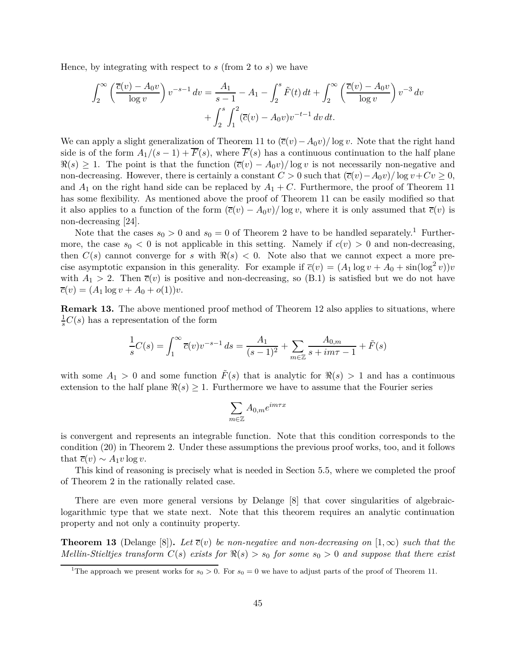Hence, by integrating with respect to *s* (from 2 to *s*) we have

$$
\int_{2}^{\infty} \left( \frac{\overline{c}(v) - A_0 v}{\log v} \right) v^{-s-1} dv = \frac{A_1}{s-1} - A_1 - \int_{2}^{s} \tilde{F}(t) dt + \int_{2}^{\infty} \left( \frac{\overline{c}(v) - A_0 v}{\log v} \right) v^{-3} dv + \int_{2}^{s} \int_{1}^{2} (\overline{c}(v) - A_0 v) v^{-t-1} dv dt.
$$

We can apply a slight generalization of Theorem 11 to  $(\overline{c}(v) - A_0v)/\log v$ . Note that the right hand side is of the form  $A_1/(s-1) + \overline{F}(s)$ , where  $\overline{F}(s)$  has a continuous continuation to the half plane  $\Re(s) \geq 1$ . The point is that the function  $(\bar{c}(v) - A_0v)/\log v$  is not necessarily non-negative and non-decreasing. However, there is certainly a constant  $C > 0$  such that  $(\overline{c}(v) - A_0v)/\log v + Cv \ge 0$ , and  $A_1$  on the right hand side can be replaced by  $A_1 + C$ . Furthermore, the proof of Theorem 11 has some flexibility. As mentioned above the proof of Theorem 11 can be easily modified so that it also applies to a function of the form  $(\overline{c}(v) - A_0v)/\log v$ , where it is only assumed that  $\overline{c}(v)$  is non-decreasing [24].

Note that the cases  $s_0 > 0$  and  $s_0 = 0$  of Theorem 2 have to be handled separately.<sup>1</sup> Furthermore, the case  $s_0 < 0$  is not applicable in this setting. Namely if  $c(v) > 0$  and non-decreasing, then  $C(s)$  cannot converge for *s* with  $\Re(s) < 0$ . Note also that we cannot expect a more precise asymptotic expansion in this generality. For example if  $\overline{c}(v) = (A_1 \log v + A_0 + \sin(\log^2 v))v$ with  $A_1 > 2$ . Then  $\overline{c}(v)$  is positive and non-decreasing, so (B.1) is satisfied but we do not have  $\overline{c}(v) = (A_1 \log v + A_0 + o(1))v.$ 

**Remark 13.** The above mentioned proof method of Theorem 12 also applies to situations, where  $\frac{1}{s}C(s)$  has a representation of the form

$$
\frac{1}{s}C(s) = \int_1^{\infty} \overline{c}(v)v^{-s-1} ds = \frac{A_1}{(s-1)^2} + \sum_{m \in \mathbb{Z}} \frac{A_{0,m}}{s + im\tau - 1} + \tilde{F}(s)
$$

with some  $A_1 > 0$  and some function  $\tilde{F}(s)$  that is analytic for  $\Re(s) > 1$  and has a continuous extension to the half plane  $\Re(s) \geq 1$ . Furthermore we have to assume that the Fourier series

$$
\sum_{m\in\mathbb{Z}}A_{0,m}e^{im\tau x}
$$

is convergent and represents an integrable function. Note that this condition corresponds to the condition (20) in Theorem 2. Under these assumptions the previous proof works, too, and it follows that  $\overline{c}(v) \sim A_1 v \log v$ .

This kind of reasoning is precisely what is needed in Section 5.5, where we completed the proof of Theorem 2 in the rationally related case.

There are even more general versions by Delange [8] that cover singularities of algebraiclogarithmic type that we state next. Note that this theorem requires an analytic continuation property and not only a continuity property.

**Theorem 13** (Delange [8]). Let  $\overline{c}(v)$  be non-negative and non-decreasing on  $[1,\infty)$  such that the *Mellin-Stieltjes transform*  $C(s)$  *exists for*  $\Re(s) > s_0$  *for some*  $s_0 > 0$  *and suppose that there exist* 

<sup>&</sup>lt;sup>1</sup>The approach we present works for  $s_0 > 0$ . For  $s_0 = 0$  we have to adjust parts of the proof of Theorem 11.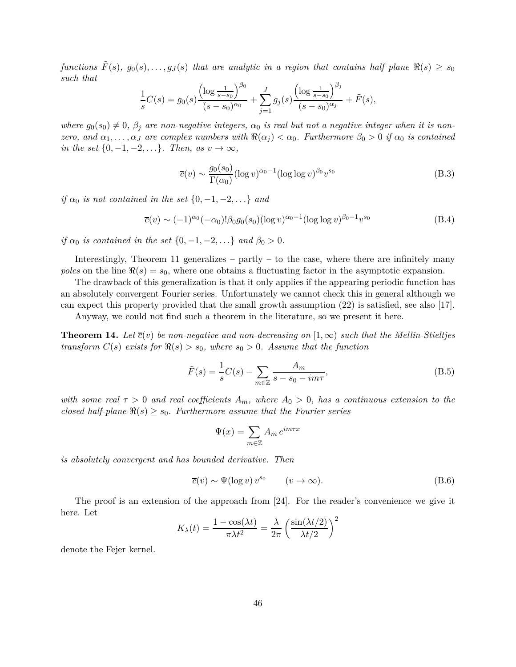*functions*  $F(s)$ ,  $g_0(s), \ldots, g_J(s)$  that are analytic in a region that contains half plane  $\Re(s) \geq s_0$ *such that*

$$
\frac{1}{s}C(s) = g_0(s)\frac{\left(\log\frac{1}{s-s_0}\right)^{\beta_0}}{(s-s_0)^{\alpha_0}} + \sum_{j=1}^J g_j(s)\frac{\left(\log\frac{1}{s-s_0}\right)^{\beta_j}}{(s-s_0)^{\alpha_j}} + \tilde{F}(s),
$$

*where*  $g_0(s_0) \neq 0$ ,  $\beta_i$  are non-negative integers,  $\alpha_0$  is real but not a negative integer when it is non*zero, and*  $\alpha_1, \ldots, \alpha_J$  *are complex numbers with*  $\Re(\alpha_j) < \alpha_0$ *. Furthermore*  $\beta_0 > 0$  *if*  $\alpha_0$  *is contained in the set*  $\{0, -1, -2, \ldots\}$ *. Then, as*  $v \to \infty$ *,* 

$$
\overline{c}(v) \sim \frac{g_0(s_0)}{\Gamma(\alpha_0)} (\log v)^{\alpha_0 - 1} (\log \log v)^{\beta_0} v^{s_0}
$$
\n(B.3)

*if*  $\alpha_0$  *is not contained in the set*  $\{0, -1, -2, \ldots\}$  *and* 

$$
\overline{c}(v) \sim (-1)^{\alpha_0} (-\alpha_0)! \beta_0 g_0(s_0) (\log v)^{\alpha_0 - 1} (\log \log v)^{\beta_0 - 1} v^{s_0}
$$
(B.4)

*if*  $\alpha_0$  *is contained in the set*  $\{0, -1, -2, ...\}$  *and*  $\beta_0 > 0$ *.* 

Interestingly, Theorem 11 generalizes – partly – to the case, where there are infinitely many *poles* on the line  $\Re(s) = s_0$ , where one obtains a fluctuating factor in the asymptotic expansion.

The drawback of this generalization is that it only applies if the appearing periodic function has an absolutely convergent Fourier series. Unfortunately we cannot check this in general although we can expect this property provided that the small growth assumption (22) is satisfied, see also [17].

Anyway, we could not find such a theorem in the literature, so we present it here.

**Theorem 14.** Let  $\bar{c}(v)$  be non-negative and non-decreasing on  $(1,\infty)$  such that the Mellin-Stieltjes *transform*  $C(s)$  *exists for*  $\Re(s) > s_0$ *, where*  $s_0 > 0$ *. Assume that the function* 

$$
\tilde{F}(s) = \frac{1}{s}C(s) - \sum_{m \in \mathbb{Z}} \frac{A_m}{s - s_0 - im\tau},\tag{B.5}
$$

*with some real*  $\tau > 0$  *and real coefficients*  $A_m$ *, where*  $A_0 > 0$ *, has a continuous extension to the closed half-plane*  $\Re(s) \geq s_0$ *. Furthermore assume that the Fourier series* 

$$
\Psi(x) = \sum_{m \in \mathbb{Z}} A_m e^{im\tau x}
$$

*is absolutely convergent and has bounded derivative. Then*

$$
\overline{c}(v) \sim \Psi(\log v) v^{s_0} \qquad (v \to \infty). \tag{B.6}
$$

The proof is an extension of the approach from [24]. For the reader's convenience we give it here. Let

$$
K_{\lambda}(t) = \frac{1 - \cos(\lambda t)}{\pi \lambda t^2} = \frac{\lambda}{2\pi} \left( \frac{\sin(\lambda t/2)}{\lambda t/2} \right)^2
$$

denote the Fejer kernel.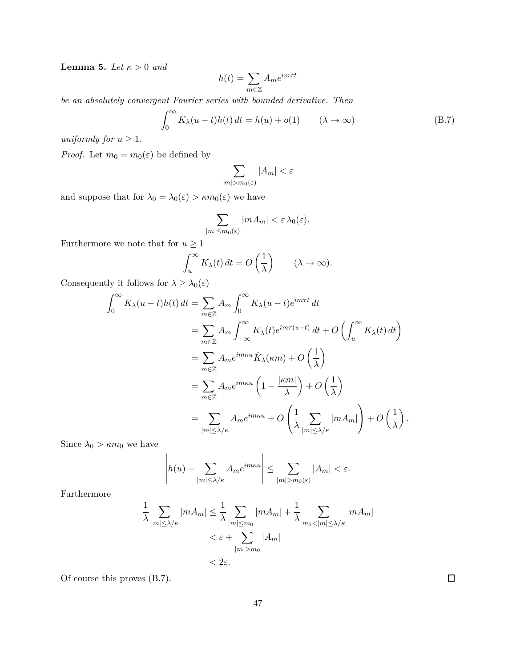**Lemma 5.** *Let*  $\kappa > 0$  *and* 

$$
h(t) = \sum_{m \in \mathbb{Z}} A_m e^{im\tau t}
$$

*be an absolutely convergent Fourier series with bounded derivative. Then*

$$
\int_0^\infty K_\lambda(u-t)h(t) dt = h(u) + o(1) \qquad (\lambda \to \infty)
$$
 (B.7)

*uniformly for*  $u \geq 1$ *.* 

*Proof.* Let  $m_0 = m_0(\varepsilon)$  be defined by

$$
\sum_{|m|>m_0(\varepsilon)}|A_m|<\varepsilon
$$

and suppose that for  $\lambda_0 = \lambda_0(\varepsilon) > \kappa m_0(\varepsilon)$  we have

$$
\sum_{|m| \le m_0(\varepsilon)} |mA_m| < \varepsilon \lambda_0(\varepsilon).
$$

Furthermore we note that for  $u\geq 1$ 

$$
\int_u^\infty K_\lambda(t) dt = O\left(\frac{1}{\lambda}\right) \qquad (\lambda \to \infty).
$$

Consequently it follows for  $\lambda \geq \lambda_0(\varepsilon)$ 

$$
\int_0^\infty K_\lambda(u-t)h(t) dt = \sum_{m\in\mathbb{Z}} A_m \int_0^\infty K_\lambda(u-t) e^{im\tau t} dt
$$
  
\n
$$
= \sum_{m\in\mathbb{Z}} A_m \int_{-\infty}^\infty K_\lambda(t) e^{im\tau(u-t)} dt + O\left(\int_u^\infty K_\lambda(t) dt\right)
$$
  
\n
$$
= \sum_{m\in\mathbb{Z}} A_m e^{im\kappa u} \hat{K}_\lambda(\kappa m) + O\left(\frac{1}{\lambda}\right)
$$
  
\n
$$
= \sum_{m\in\mathbb{Z}} A_m e^{im\kappa u} \left(1 - \frac{|\kappa m|}{\lambda}\right) + O\left(\frac{1}{\lambda}\right)
$$
  
\n
$$
= \sum_{|m| \le \lambda/\kappa} A_m e^{im\kappa u} + O\left(\frac{1}{\lambda} \sum_{|m| \le \lambda/\kappa} |m A_m|\right) + O\left(\frac{1}{\lambda}\right)
$$

Since  $\lambda_0 > \kappa m_0$  we have

$$
\left| h(u) - \sum_{|m| \le \lambda/\kappa} A_m e^{im\kappa u} \right| \le \sum_{|m| > m_0(\varepsilon)} |A_m| < \varepsilon.
$$

 $\overline{1}$ 

Furthermore

$$
\frac{1}{\lambda} \sum_{|m| \le \lambda/\kappa} |m A_m| \le \frac{1}{\lambda} \sum_{|m| \le m_0} |m A_m| + \frac{1}{\lambda} \sum_{m_0 < |m| \le \lambda/\kappa} |m A_m|
$$
\n
$$
<\varepsilon + \sum_{|m| > m_0} |A_m|
$$
\n
$$
< 2\varepsilon.
$$

Of course this proves (B.7).

 $\Box$ 

*.*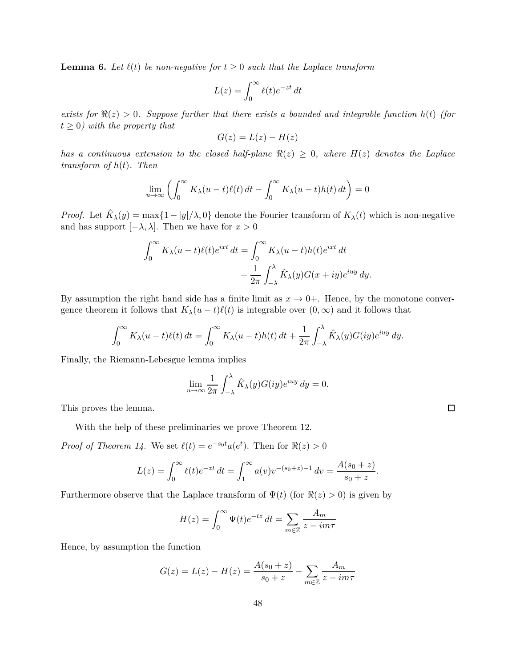**Lemma 6.** Let  $\ell(t)$  be non-negative for  $t \geq 0$  such that the Laplace transform

$$
L(z) = \int_0^\infty \ell(t)e^{-zt} dt
$$

*exists for*  $\Re(z) > 0$ *. Suppose further that there exists a bounded and integrable function*  $h(t)$  *(for*  $t > 0$ *)* with the property that

$$
G(z) = L(z) - H(z)
$$

*has a continuous extension to the closed half-plane*  $\Re(z) \geq 0$ *, where*  $H(z)$  *denotes the Laplace transform of h*(*t*)*. Then*

$$
\lim_{u \to \infty} \left( \int_0^\infty K_\lambda(u-t)\ell(t) dt - \int_0^\infty K_\lambda(u-t)h(t) dt \right) = 0
$$

*Proof.* Let  $\hat{K}_{\lambda}(y) = \max\{1 - |y|/\lambda, 0\}$  denote the Fourier transform of  $K_{\lambda}(t)$  which is non-negative and has support  $[-\lambda, \lambda]$ . Then we have for  $x > 0$ 

$$
\int_0^\infty K_\lambda(u-t)\ell(t)e^{ixt} dt = \int_0^\infty K_\lambda(u-t)h(t)e^{ixt} dt
$$

$$
+ \frac{1}{2\pi} \int_{-\lambda}^\lambda \hat{K}_\lambda(y)G(x+iy)e^{iuy} dy.
$$

By assumption the right hand side has a finite limit as  $x \to 0+$ . Hence, by the monotone convergence theorem it follows that  $K_\lambda(u-t)\ell(t)$  is integrable over  $(0,\infty)$  and it follows that

$$
\int_0^\infty K_\lambda(u-t)\ell(t) dt = \int_0^\infty K_\lambda(u-t)h(t) dt + \frac{1}{2\pi} \int_{-\lambda}^\lambda \hat{K}_\lambda(y)G(iy)e^{iuy} dy.
$$

Finally, the Riemann-Lebesgue lemma implies

$$
\lim_{u \to \infty} \frac{1}{2\pi} \int_{-\lambda}^{\lambda} \hat{K}_{\lambda}(y) G(iy) e^{iuy} dy = 0.
$$

This proves the lemma.

With the help of these preliminaries we prove Theorem 12.

*Proof of Theorem 14.* We set  $\ell(t) = e^{-s_0 t} a(e^t)$ . Then for  $\Re(z) > 0$ 

$$
L(z) = \int_0^\infty \ell(t)e^{-zt} dt = \int_1^\infty a(v)v^{-(s_0+z)-1} dv = \frac{A(s_0+z)}{s_0+z}.
$$

Furthermore observe that the Laplace transform of  $\Psi(t)$  (for  $\Re(z) > 0$ ) is given by

$$
H(z) = \int_0^\infty \Psi(t)e^{-tz} dt = \sum_{m \in \mathbb{Z}} \frac{A_m}{z - im\tau}
$$

Hence, by assumption the function

$$
G(z) = L(z) - H(z) = \frac{A(s_0 + z)}{s_0 + z} - \sum_{m \in \mathbb{Z}} \frac{A_m}{z - im\tau}
$$

 $\Box$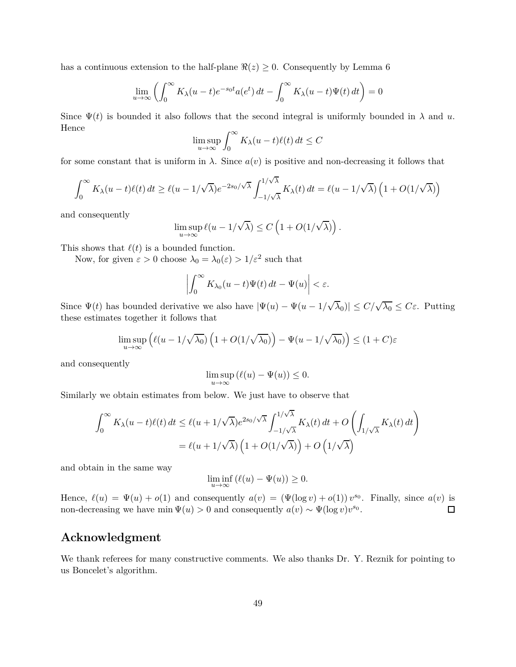has a continuous extension to the half-plane  $\Re(z) \geq 0$ . Consequently by Lemma 6

$$
\lim_{u \to \infty} \left( \int_0^\infty K_\lambda(u-t) e^{-s_0 t} a(e^t) dt - \int_0^\infty K_\lambda(u-t) \Psi(t) dt \right) = 0
$$

Since  $\Psi(t)$  is bounded it also follows that the second integral is uniformly bounded in  $\lambda$  and  $u$ . Hence

$$
\limsup_{u \to \infty} \int_0^\infty K_\lambda(u-t)\ell(t) dt \le C
$$

for some constant that is uniform in  $\lambda$ . Since  $a(v)$  is positive and non-decreasing it follows that

$$
\int_0^\infty K_\lambda(u-t)\ell(t) dt \ge \ell(u-1/\sqrt{\lambda})e^{-2s_0/\sqrt{\lambda}} \int_{-1/\sqrt{\lambda}}^{1/\sqrt{\lambda}} K_\lambda(t) dt = \ell(u-1/\sqrt{\lambda}) \left(1 + O(1/\sqrt{\lambda})\right)
$$

and consequently

$$
\limsup_{u\to\infty}\ell(u-1/\sqrt{\lambda})\leq C\left(1+O(1/\sqrt{\lambda})\right).
$$

This shows that  $\ell(t)$  is a bounded function.

Now, for given  $\varepsilon > 0$  choose  $\lambda_0 = \lambda_0(\varepsilon) > 1/\varepsilon^2$  such that

$$
\left| \int_0^\infty K_{\lambda_0}(u-t) \Psi(t) dt - \Psi(u) \right| < \varepsilon.
$$

Since  $\Psi(t)$  has bounded derivative we also have  $|\Psi(u) - \Psi(u - 1/\sqrt{\lambda_0})| \leq C/\sqrt{\lambda_0} \leq C\varepsilon$ . Putting these estimates together it follows that

$$
\limsup_{u \to \infty} \left( \ell(u - 1/\sqrt{\lambda_0}) \left( 1 + O(1/\sqrt{\lambda_0}) \right) - \Psi(u - 1/\sqrt{\lambda_0}) \right) \le (1 + C)\varepsilon
$$

and consequently

$$
\limsup_{u \to \infty} (\ell(u) - \Psi(u)) \le 0.
$$

Similarly we obtain estimates from below. We just have to observe that

$$
\int_0^\infty K_\lambda(u-t)\ell(t) dt \le \ell(u+1/\sqrt{\lambda})e^{2s_0/\sqrt{\lambda}} \int_{-1/\sqrt{\lambda}}^{1/\sqrt{\lambda}} K_\lambda(t) dt + O\left(\int_{1/\sqrt{\lambda}} K_\lambda(t) dt\right)
$$

$$
= \ell(u+1/\sqrt{\lambda}) \left(1 + O(1/\sqrt{\lambda})\right) + O\left(1/\sqrt{\lambda}\right)
$$

and obtain in the same way

$$
\liminf_{u \to \infty} (\ell(u) - \Psi(u)) \ge 0.
$$

Hence,  $\ell(u) = \Psi(u) + o(1)$  and consequently  $a(v) = (\Psi(\log v) + o(1)) v^{s_0}$ . Finally, since  $a(v)$  is non-decreasing we have min  $\Psi(u) > 0$  and consequently  $a(v) \sim \Psi(\log v) v^{s_0}$ .  $\Box$ 

## **Acknowledgment**

We thank referees for many constructive comments. We also thanks Dr. Y. Reznik for pointing to us Boncelet's algorithm.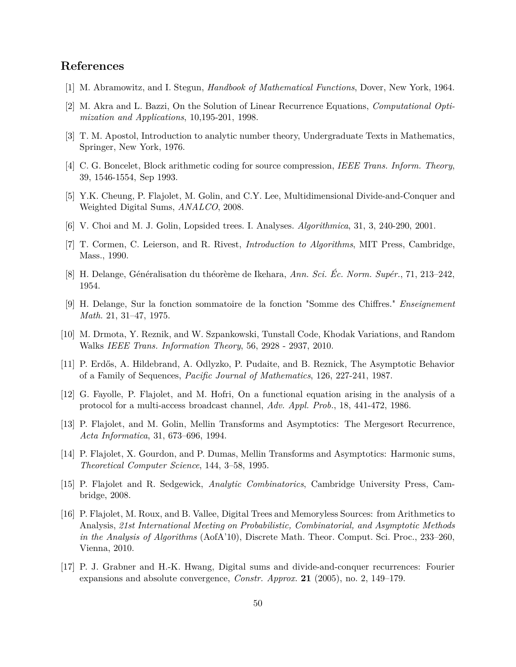# **References**

- [1] M. Abramowitz, and I. Stegun, *Handbook of Mathematical Functions*, Dover, New York, 1964.
- [2] M. Akra and L. Bazzi, On the Solution of Linear Recurrence Equations, *Computational Optimization and Applications*, 10,195-201, 1998.
- [3] T. M. Apostol, Introduction to analytic number theory, Undergraduate Texts in Mathematics, Springer, New York, 1976.
- [4] C. G. Boncelet, Block arithmetic coding for source compression, *IEEE Trans. Inform. Theory*, 39, 1546-1554, Sep 1993.
- [5] Y.K. Cheung, P. Flajolet, M. Golin, and C.Y. Lee, Multidimensional Divide-and-Conquer and Weighted Digital Sums, *ANALCO*, 2008.
- [6] V. Choi and M. J. Golin, Lopsided trees. I. Analyses. *Algorithmica*, 31, 3, 240-290, 2001.
- [7] T. Cormen, C. Leierson, and R. Rivest, *Introduction to Algorithms*, MIT Press, Cambridge, Mass., 1990.
- [8] H. Delange, Généralisation du théorème de Ikehara, *Ann. Sci. Éc. Norm. Supér.*, 71, 213–242, 1954.
- [9] H. Delange, Sur la fonction sommatoire de la fonction "Somme des Chiffres." *Enseignement Math.* 21, 31–47, 1975.
- [10] M. Drmota, Y. Reznik, and W. Szpankowski, Tunstall Code, Khodak Variations, and Random Walks *IEEE Trans. Information Theory*, 56, 2928 - 2937, 2010.
- [11] P. Erdős, A. Hildebrand, A. Odlyzko, P. Pudaite, and B. Reznick, The Asymptotic Behavior of a Family of Sequences, *Pacific Journal of Mathematics*, 126, 227-241, 1987.
- [12] G. Fayolle, P. Flajolet, and M. Hofri, On a functional equation arising in the analysis of a protocol for a multi-access broadcast channel, *Adv. Appl. Prob.*, 18, 441-472, 1986.
- [13] P. Flajolet, and M. Golin, Mellin Transforms and Asymptotics: The Mergesort Recurrence, *Acta Informatica*, 31, 673–696, 1994.
- [14] P. Flajolet, X. Gourdon, and P. Dumas, Mellin Transforms and Asymptotics: Harmonic sums, *Theoretical Computer Science*, 144, 3–58, 1995.
- [15] P. Flajolet and R. Sedgewick, *Analytic Combinatorics*, Cambridge University Press, Cambridge, 2008.
- [16] P. Flajolet, M. Roux, and B. Vallee, Digital Trees and Memoryless Sources: from Arithmetics to Analysis, *21st International Meeting on Probabilistic, Combinatorial, and Asymptotic Methods in the Analysis of Algorithms* (AofA'10), Discrete Math. Theor. Comput. Sci. Proc., 233–260, Vienna, 2010.
- [17] P. J. Grabner and H.-K. Hwang, Digital sums and divide-and-conquer recurrences: Fourier expansions and absolute convergence, *Constr. Approx.* **21** (2005), no. 2, 149–179.